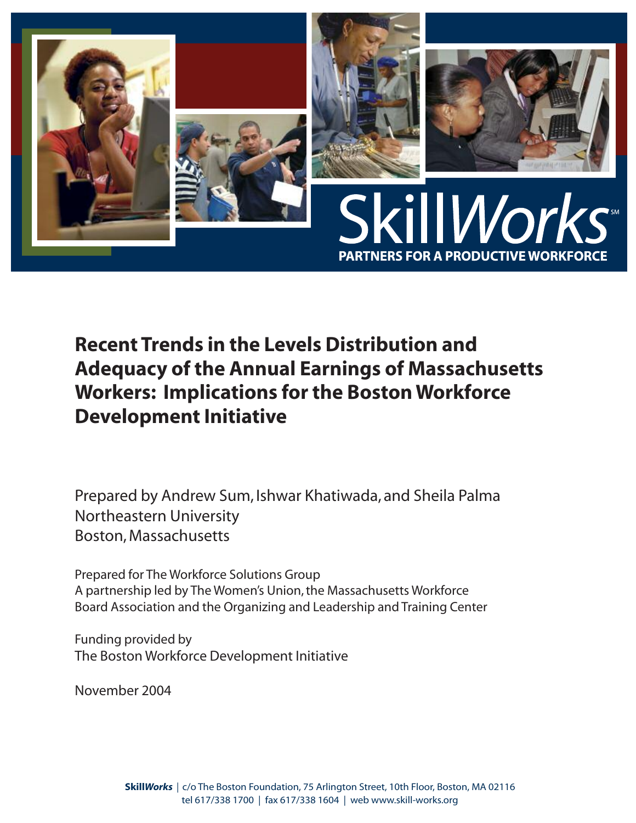

**Recent Trends in the Levels Distribution and Adequacy of the Annual Earnings of Massachusetts Workers: Implications for the Boston Workforce Development Initiative**

Prepared by Andrew Sum, Ishwar Khatiwada, and Sheila Palma Northeastern University Boston,Massachusetts

Prepared for The Workforce Solutions Group A partnership led by The Women's Union, the Massachusetts Workforce Board Association and the Organizing and Leadership and Training Center

Funding provided by The Boston Workforce Development Initiative

November 2004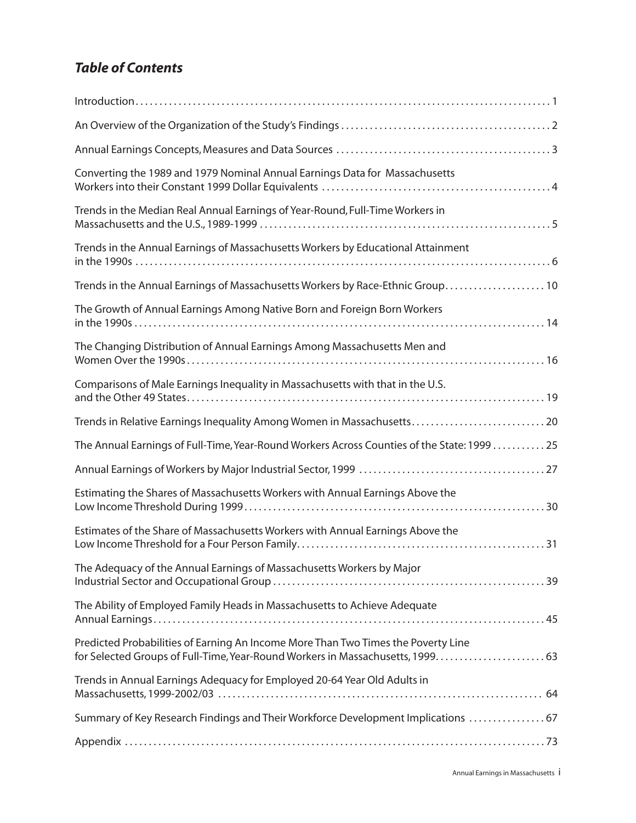# *Table of Contents*

| Converting the 1989 and 1979 Nominal Annual Earnings Data for Massachusetts                |
|--------------------------------------------------------------------------------------------|
| Trends in the Median Real Annual Earnings of Year-Round, Full-Time Workers in              |
| Trends in the Annual Earnings of Massachusetts Workers by Educational Attainment           |
| Trends in the Annual Earnings of Massachusetts Workers by Race-Ethnic Group 10             |
| The Growth of Annual Earnings Among Native Born and Foreign Born Workers                   |
| The Changing Distribution of Annual Earnings Among Massachusetts Men and                   |
| Comparisons of Male Earnings Inequality in Massachusetts with that in the U.S.             |
| Trends in Relative Earnings Inequality Among Women in Massachusetts 20                     |
| The Annual Earnings of Full-Time, Year-Round Workers Across Counties of the State: 1999 25 |
|                                                                                            |
| Estimating the Shares of Massachusetts Workers with Annual Earnings Above the              |
| Estimates of the Share of Massachusetts Workers with Annual Earnings Above the             |
| The Adequacy of the Annual Earnings of Massachusetts Workers by Major                      |
| The Ability of Employed Family Heads in Massachusetts to Achieve Adequate                  |
| Predicted Probabilities of Earning An Income More Than Two Times the Poverty Line          |
| Trends in Annual Earnings Adequacy for Employed 20-64 Year Old Adults in                   |
| Summary of Key Research Findings and Their Workforce Development Implications  67          |
|                                                                                            |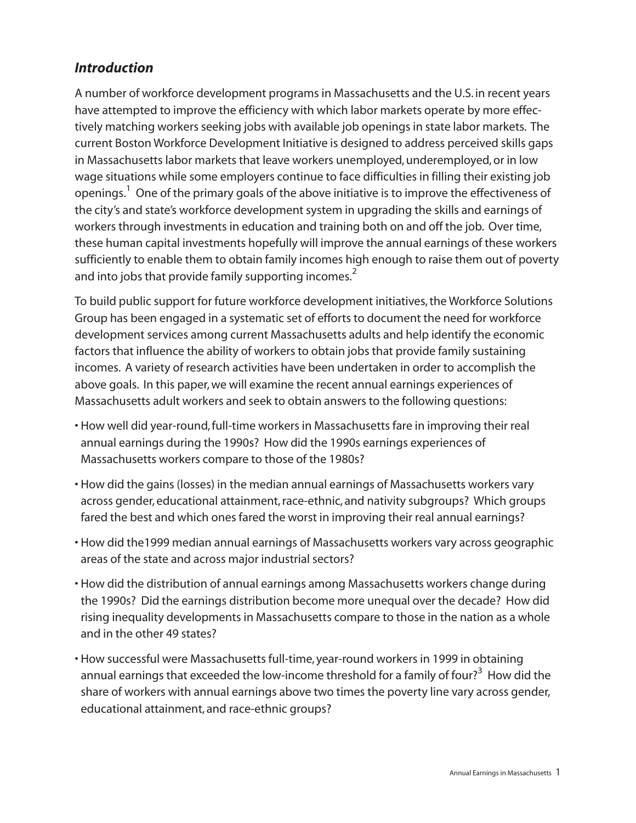## *Introduction*

A number of workforce development programs in Massachusetts and the U.S. in recent years have attempted to improve the efficiency with which labor markets operate by more effectively matching workers seeking jobs with available job openings in state labor markets. The current Boston Workforce Development Initiative is designed to address perceived skills gaps in Massachusetts labor markets that leave workers unemployed, underemployed, or in low wage situations while some employers continue to face difficulties in filling their existing job openings.<sup>1</sup> One of the primary goals of the above initiative is to improve the effectiveness of the city's and state's workforce development system in upgrading the skills and earnings of workers through investments in education and training both on and off the job. Over time, these human capital investments hopefully will improve the annual earnings of these workers sufficiently to enable them to obtain family incomes high enough to raise them out of poverty and into jobs that provide family supporting incomes.<sup>2</sup>

To build public support for future workforce development initiatives, the Workforce Solutions Group has been engaged in a systematic set of efforts to document the need for workforce development services among current Massachusetts adults and help identify the economic factors that influence the ability of workers to obtain jobs that provide family sustaining incomes. A variety of research activities have been undertaken in order to accomplish the above goals. In this paper, we will examine the recent annual earnings experiences of Massachusetts adult workers and seek to obtain answers to the following questions:

- How well did year-round, full-time workers in Massachusetts fare in improving their real annual earnings during the 1990s? How did the 1990s earnings experiences of Massachusetts workers compare to those of the 1980s?
- How did the gains (losses) in the median annual earnings of Massachusetts workers vary across gender, educational attainment, race-ethnic, and nativity subgroups? Which groups fared the best and which ones fared the worst in improving their real annual earnings?
- How did the1999 median annual earnings of Massachusetts workers vary across geographic areas of the state and across major industrial sectors?
- How did the distribution of annual earnings among Massachusetts workers change during the 1990s? Did the earnings distribution become more unequal over the decade? How did rising inequality developments in Massachusetts compare to those in the nation as a whole and in the other 49 states?
- How successful were Massachusetts full-time, year-round workers in 1999 in obtaining annual earnings that exceeded the low-income threshold for a family of four?<sup>3</sup> How did the share of workers with annual earnings above two times the poverty line vary across gender, educational attainment, and race-ethnic groups?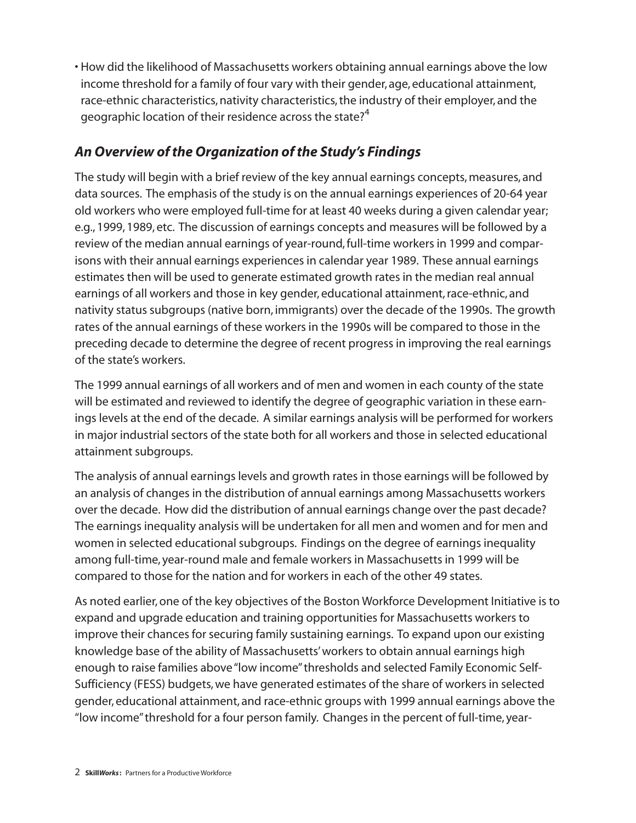• How did the likelihood of Massachusetts workers obtaining annual earnings above the low income threshold for a family of four vary with their gender, age, educational attainment, race-ethnic characteristics, nativity characteristics, the industry of their employer, and the geographic location of their residence across the state?<sup>4</sup>

# *An Overview of the Organization of the Study's Findings*

The study will begin with a brief review of the key annual earnings concepts, measures, and data sources. The emphasis of the study is on the annual earnings experiences of 20-64 year old workers who were employed full-time for at least 40 weeks during a given calendar year; e.g., 1999, 1989, etc. The discussion of earnings concepts and measures will be followed by a review of the median annual earnings of year-round, full-time workers in 1999 and comparisons with their annual earnings experiences in calendar year 1989. These annual earnings estimates then will be used to generate estimated growth rates in the median real annual earnings of all workers and those in key gender, educational attainment, race-ethnic, and nativity status subgroups (native born, immigrants) over the decade of the 1990s. The growth rates of the annual earnings of these workers in the 1990s will be compared to those in the preceding decade to determine the degree of recent progress in improving the real earnings of the state's workers.

The 1999 annual earnings of all workers and of men and women in each county of the state will be estimated and reviewed to identify the degree of geographic variation in these earnings levels at the end of the decade. A similar earnings analysis will be performed for workers in major industrial sectors of the state both for all workers and those in selected educational attainment subgroups.

The analysis of annual earnings levels and growth rates in those earnings will be followed by an analysis of changes in the distribution of annual earnings among Massachusetts workers over the decade. How did the distribution of annual earnings change over the past decade? The earnings inequality analysis will be undertaken for all men and women and for men and women in selected educational subgroups. Findings on the degree of earnings inequality among full-time, year-round male and female workers in Massachusetts in 1999 will be compared to those for the nation and for workers in each of the other 49 states.

As noted earlier, one of the key objectives of the Boston Workforce Development Initiative is to expand and upgrade education and training opportunities for Massachusetts workers to improve their chances for securing family sustaining earnings. To expand upon our existing knowledge base of the ability of Massachusetts' workers to obtain annual earnings high enough to raise families above "low income"thresholds and selected Family Economic Self-Sufficiency (FESS) budgets, we have generated estimates of the share of workers in selected gender, educational attainment, and race-ethnic groups with 1999 annual earnings above the "low income"threshold for a four person family. Changes in the percent of full-time, year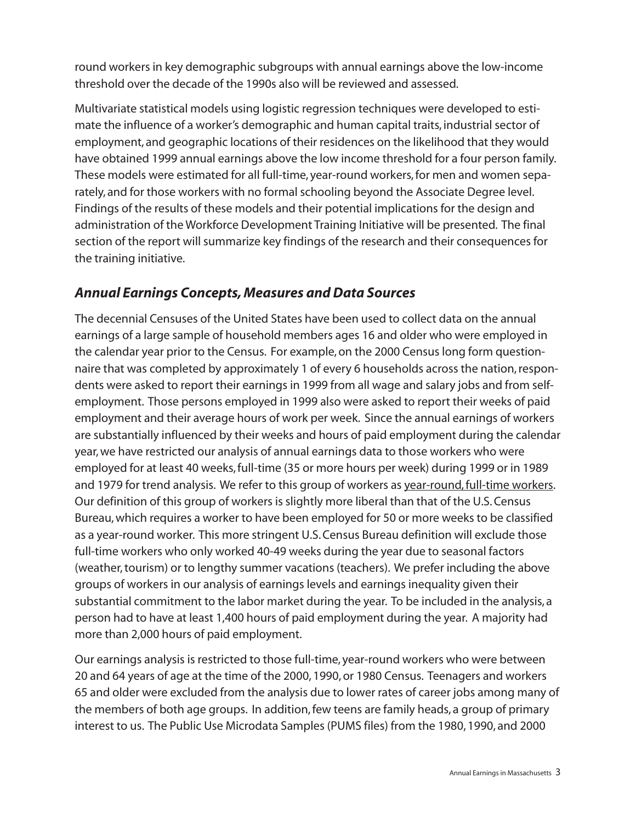round workers in key demographic subgroups with annual earnings above the low-income threshold over the decade of the 1990s also will be reviewed and assessed.

Multivariate statistical models using logistic regression techniques were developed to estimate the influence of a worker's demographic and human capital traits, industrial sector of employment, and geographic locations of their residences on the likelihood that they would have obtained 1999 annual earnings above the low income threshold for a four person family. These models were estimated for all full-time, year-round workers, for men and women separately, and for those workers with no formal schooling beyond the Associate Degree level. Findings of the results of these models and their potential implications for the design and administration of the Workforce Development Training Initiative will be presented. The final section of the report will summarize key findings of the research and their consequences for the training initiative.

## *Annual Earnings Concepts, Measures and Data Sources*

The decennial Censuses of the United States have been used to collect data on the annual earnings of a large sample of household members ages 16 and older who were employed in the calendar year prior to the Census. For example, on the 2000 Census long form questionnaire that was completed by approximately 1 of every 6 households across the nation, respondents were asked to report their earnings in 1999 from all wage and salary jobs and from selfemployment. Those persons employed in 1999 also were asked to report their weeks of paid employment and their average hours of work per week. Since the annual earnings of workers are substantially influenced by their weeks and hours of paid employment during the calendar year, we have restricted our analysis of annual earnings data to those workers who were employed for at least 40 weeks, full-time (35 or more hours per week) during 1999 or in 1989 and 1979 for trend analysis. We refer to this group of workers as year-round, full-time workers. Our definition of this group of workers is slightly more liberal than that of the U.S. Census Bureau, which requires a worker to have been employed for 50 or more weeks to be classified as a year-round worker. This more stringent U.S. Census Bureau definition will exclude those full-time workers who only worked 40-49 weeks during the year due to seasonal factors (weather, tourism) or to lengthy summer vacations (teachers). We prefer including the above groups of workers in our analysis of earnings levels and earnings inequality given their substantial commitment to the labor market during the year. To be included in the analysis, a person had to have at least 1,400 hours of paid employment during the year. A majority had more than 2,000 hours of paid employment.

Our earnings analysis is restricted to those full-time, year-round workers who were between 20 and 64 years of age at the time of the 2000, 1990, or 1980 Census. Teenagers and workers 65 and older were excluded from the analysis due to lower rates of career jobs among many of the members of both age groups. In addition, few teens are family heads, a group of primary interest to us. The Public Use Microdata Samples (PUMS files) from the 1980, 1990, and 2000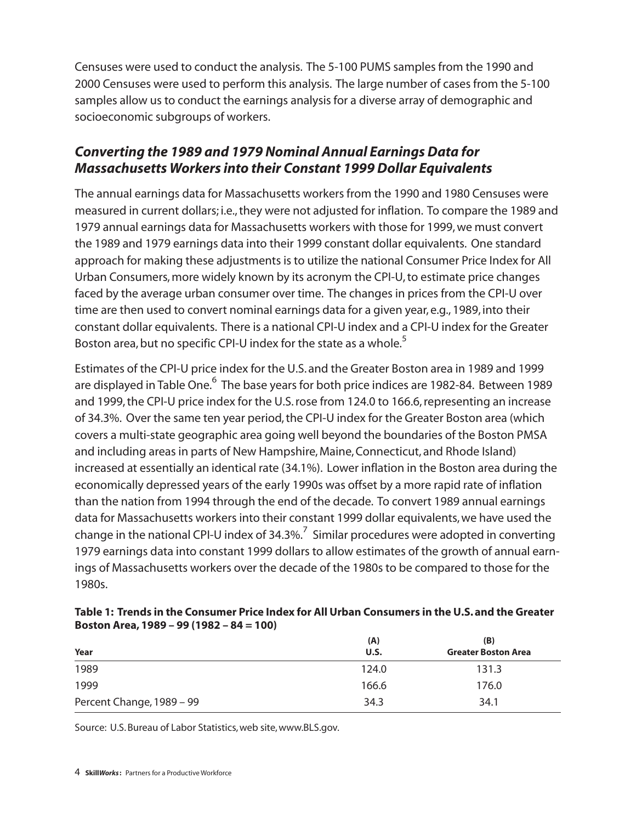Censuses were used to conduct the analysis. The 5-100 PUMS samples from the 1990 and 2000 Censuses were used to perform this analysis. The large number of cases from the 5-100 samples allow us to conduct the earnings analysis for a diverse array of demographic and socioeconomic subgroups of workers.

## *Converting the 1989 and 1979 Nominal Annual Earnings Data for Massachusetts Workers into their Constant 1999 Dollar Equivalents*

The annual earnings data for Massachusetts workers from the 1990 and 1980 Censuses were measured in current dollars; i.e., they were not adjusted for inflation. To compare the 1989 and 1979 annual earnings data for Massachusetts workers with those for 1999, we must convert the 1989 and 1979 earnings data into their 1999 constant dollar equivalents. One standard approach for making these adjustments is to utilize the national Consumer Price Index for All Urban Consumers, more widely known by its acronym the CPI-U, to estimate price changes faced by the average urban consumer over time. The changes in prices from the CPI-U over time are then used to convert nominal earnings data for a given year, e.g., 1989, into their constant dollar equivalents. There is a national CPI-U index and a CPI-U index for the Greater Boston area, but no specific CPI-U index for the state as a whole.<sup>5</sup>

Estimates of the CPI-U price index for the U.S. and the Greater Boston area in 1989 and 1999 are displayed in Table One.<sup>6</sup> The base years for both price indices are 1982-84. Between 1989 and 1999, the CPI-U price index for the U.S. rose from 124.0 to 166.6, representing an increase of 34.3%. Over the same ten year period, the CPI-U index for the Greater Boston area (which covers a multi-state geographic area going well beyond the boundaries of the Boston PMSA and including areas in parts of New Hampshire, Maine, Connecticut, and Rhode Island) increased at essentially an identical rate (34.1%). Lower inflation in the Boston area during the economically depressed years of the early 1990s was offset by a more rapid rate of inflation than the nation from 1994 through the end of the decade. To convert 1989 annual earnings data for Massachusetts workers into their constant 1999 dollar equivalents, we have used the change in the national CPI-U index of 34.3%.<sup>7</sup> Similar procedures were adopted in converting 1979 earnings data into constant 1999 dollars to allow estimates of the growth of annual earnings of Massachusetts workers over the decade of the 1980s to be compared to those for the 1980s.

| Year                      | (A)<br><b>U.S.</b> | (B)<br><b>Greater Boston Area</b> |
|---------------------------|--------------------|-----------------------------------|
| 1989                      | 124.0              | 131.3                             |
| 1999                      | 166.6              | 176.0                             |
| Percent Change, 1989 - 99 | 34.3               | 34.1                              |

#### **Table 1: Trends in the Consumer Price Index for All Urban Consumers in the U.S. and the Greater Boston Area, 1989 – 99 (1982 – 84 = 100)**

Source: U.S. Bureau of Labor Statistics, web site, www.BLS.gov.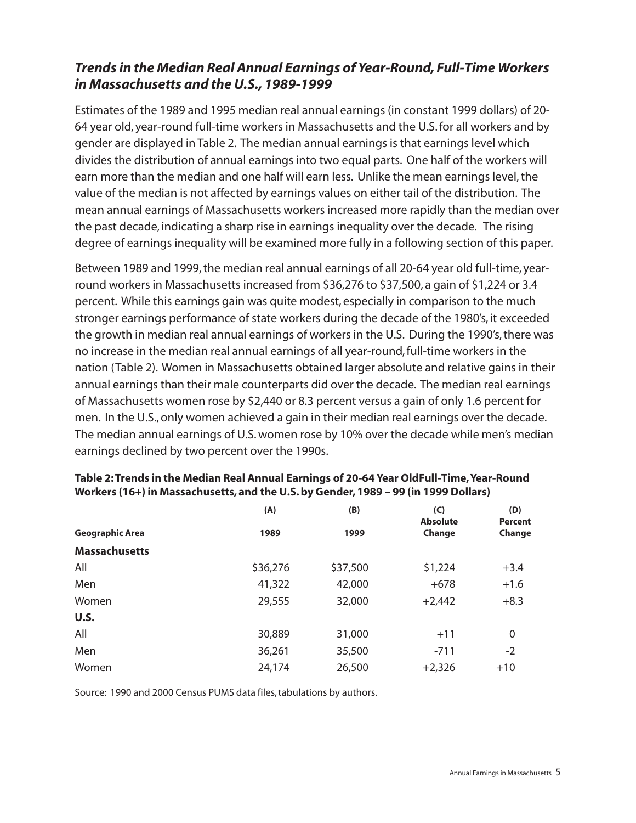# *Trends in the Median Real Annual Earnings of Year-Round, Full-Time Workers in Massachusetts and the U.S., 1989-1999*

Estimates of the 1989 and 1995 median real annual earnings (in constant 1999 dollars) of 20- 64 year old, year-round full-time workers in Massachusetts and the U.S. for all workers and by gender are displayed in Table 2. The median annual earnings is that earnings level which divides the distribution of annual earnings into two equal parts. One half of the workers will earn more than the median and one half will earn less. Unlike the mean earnings level, the value of the median is not affected by earnings values on either tail of the distribution. The mean annual earnings of Massachusetts workers increased more rapidly than the median over the past decade, indicating a sharp rise in earnings inequality over the decade. The rising degree of earnings inequality will be examined more fully in a following section of this paper.

Between 1989 and 1999, the median real annual earnings of all 20-64 year old full-time, yearround workers in Massachusetts increased from \$36,276 to \$37,500, a gain of \$1,224 or 3.4 percent. While this earnings gain was quite modest, especially in comparison to the much stronger earnings performance of state workers during the decade of the 1980's, it exceeded the growth in median real annual earnings of workers in the U.S. During the 1990's, there was no increase in the median real annual earnings of all year-round, full-time workers in the nation (Table 2). Women in Massachusetts obtained larger absolute and relative gains in their annual earnings than their male counterparts did over the decade. The median real earnings of Massachusetts women rose by \$2,440 or 8.3 percent versus a gain of only 1.6 percent for men. In the U.S., only women achieved a gain in their median real earnings over the decade. The median annual earnings of U.S.women rose by 10% over the decade while men's median earnings declined by two percent over the 1990s.

|                        | (A)      | (B)      | (C)                       | (D)                      |  |
|------------------------|----------|----------|---------------------------|--------------------------|--|
| <b>Geographic Area</b> | 1989     | 1999     | <b>Absolute</b><br>Change | <b>Percent</b><br>Change |  |
| <b>Massachusetts</b>   |          |          |                           |                          |  |
| All                    | \$36,276 | \$37,500 | \$1,224                   | $+3.4$                   |  |
| Men                    | 41,322   | 42,000   | $+678$                    | $+1.6$                   |  |
| Women                  | 29,555   | 32,000   | $+2,442$                  | $+8.3$                   |  |
| U.S.                   |          |          |                           |                          |  |
| All                    | 30,889   | 31,000   | $+11$                     | $\mathbf{0}$             |  |
| Men                    | 36,261   | 35,500   | $-711$                    | $-2$                     |  |
| Women                  | 24,174   | 26,500   | $+2,326$                  | $+10$                    |  |

| Table 2: Trends in the Median Real Annual Earnings of 20-64 Year OldFull-Time, Year-Round |
|-------------------------------------------------------------------------------------------|
| Workers (16+) in Massachusetts, and the U.S. by Gender, 1989 – 99 (in 1999 Dollars)       |

Source: 1990 and 2000 Census PUMS data files, tabulations by authors.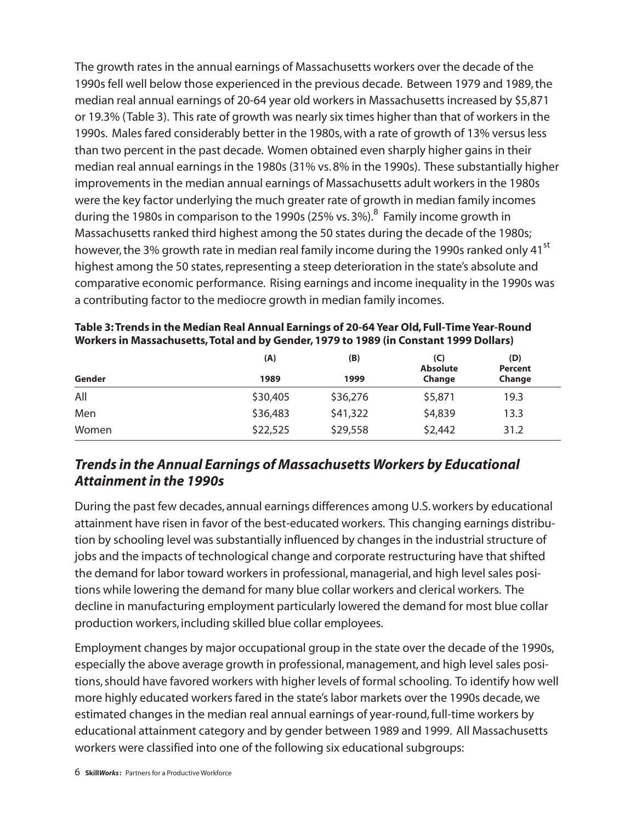The growth rates in the annual earnings of Massachusetts workers over the decade of the 1990s fell well below those experienced in the previous decade. Between 1979 and 1989, the median real annual earnings of 20-64 year old workers in Massachusetts increased by \$5,871 or 19.3% (Table 3). This rate of growth was nearly six times higher than that of workers in the 1990s. Males fared considerably better in the 1980s, with a rate of growth of 13% versus less than two percent in the past decade. Women obtained even sharply higher gains in their median real annual earnings in the 1980s (31% vs. 8% in the 1990s). These substantially higher improvements in the median annual earnings of Massachusetts adult workers in the 1980s were the key factor underlying the much greater rate of growth in median family incomes during the 1980s in comparison to the 1990s (25% vs. 3%).<sup>8</sup> Family income growth in Massachusetts ranked third highest among the 50 states during the decade of the 1980s; however, the 3% growth rate in median real family income during the 1990s ranked only 41<sup>st</sup> highest among the 50 states, representing a steep deterioration in the state's absolute and comparative economic performance. Rising earnings and income inequality in the 1990s was a contributing factor to the mediocre growth in median family incomes.

|        | (A)      | (B)      | (C)<br><b>Absolute</b> | (D)<br>Percent |
|--------|----------|----------|------------------------|----------------|
| Gender | 1989     | 1999     | Change                 | Change         |
| All    | \$30,405 | \$36,276 | \$5,871                | 19.3           |
| Men    | \$36,483 | \$41,322 | \$4,839                | 13.3           |
| Women  | \$22,525 | \$29,558 | \$2,442                | 31.2           |

**Table 3: Trends in the Median Real Annual Earnings of 20-64 Year Old, Full-Time Year-Round Workers in Massachusetts,Total and by Gender, 1979 to 1989 (in Constant 1999 Dollars)**

## *Trends in the Annual Earnings of Massachusetts Workers by Educational Attainment in the 1990s*

During the past few decades, annual earnings differences among U.S. workers by educational attainment have risen in favor of the best-educated workers. This changing earnings distribution by schooling level was substantially influenced by changes in the industrial structure of jobs and the impacts of technological change and corporate restructuring have that shifted the demand for labor toward workers in professional, managerial, and high level sales positions while lowering the demand for many blue collar workers and clerical workers. The decline in manufacturing employment particularly lowered the demand for most blue collar production workers, including skilled blue collar employees.

Employment changes by major occupational group in the state over the decade of the 1990s, especially the above average growth in professional, management, and high level sales positions, should have favored workers with higher levels of formal schooling. To identify how well more highly educated workers fared in the state's labor markets over the 1990s decade, we estimated changes in the median real annual earnings of year-round, full-time workers by educational attainment category and by gender between 1989 and 1999. All Massachusetts workers were classified into one of the following six educational subgroups: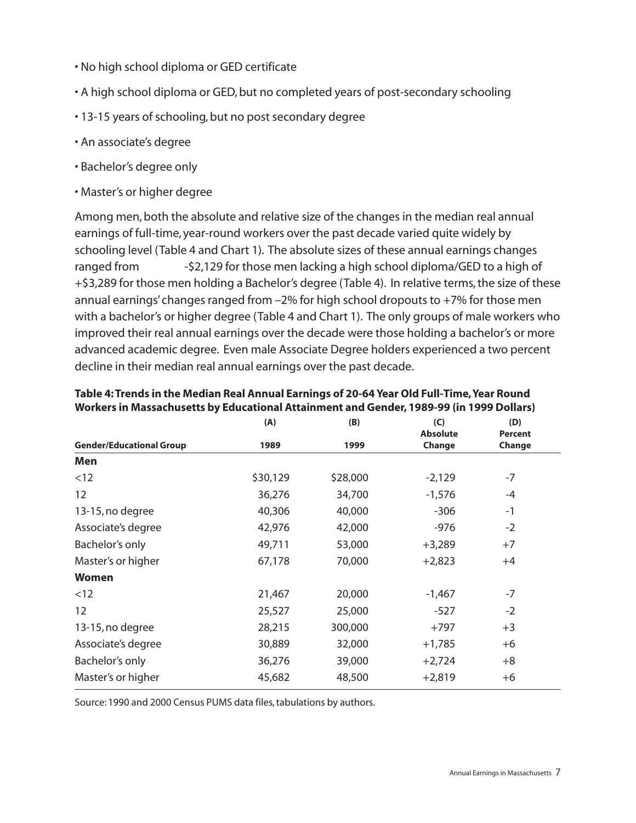- No high school diploma or GED certificate
- A high school diploma or GED, but no completed years of post-secondary schooling
- 13-15 years of schooling, but no post secondary degree
- An associate's degree
- Bachelor's degree only
- Master's or higher degree

Among men, both the absolute and relative size of the changes in the median real annual earnings of full-time, year-round workers over the past decade varied quite widely by schooling level (Table 4 and Chart 1). The absolute sizes of these annual earnings changes ranged from -\$2,129 for those men lacking a high school diploma/GED to a high of +\$3,289 for those men holding a Bachelor's degree (Table 4). In relative terms, the size of these annual earnings' changes ranged from –2% for high school dropouts to +7% for those men with a bachelor's or higher degree (Table 4 and Chart 1). The only groups of male workers who improved their real annual earnings over the decade were those holding a bachelor's or more advanced academic degree. Even male Associate Degree holders experienced a two percent decline in their median real annual earnings over the past decade.

|                                 | (A)      | (B)      | (C)                       | (D)                      |  |
|---------------------------------|----------|----------|---------------------------|--------------------------|--|
| <b>Gender/Educational Group</b> | 1989     | 1999     | <b>Absolute</b><br>Change | <b>Percent</b><br>Change |  |
| Men                             |          |          |                           |                          |  |
| < 12                            | \$30,129 | \$28,000 | $-2,129$                  | $-7$                     |  |
| 12                              | 36,276   | 34,700   | $-1,576$                  | $-4$                     |  |
| 13-15, no degree                | 40,306   | 40,000   | $-306$                    | $-1$                     |  |
| Associate's degree              | 42,976   | 42,000   | $-976$                    | $-2$                     |  |
| Bachelor's only                 | 49,711   | 53,000   | $+3,289$                  | $+7$                     |  |
| Master's or higher              | 67,178   | 70,000   | $+2,823$                  | $+4$                     |  |
| Women                           |          |          |                           |                          |  |
| $<$ 12                          | 21,467   | 20,000   | $-1,467$                  | $-7$                     |  |
| 12                              | 25,527   | 25,000   | $-527$                    | $-2$                     |  |
| 13-15, no degree                | 28,215   | 300,000  | $+797$                    | $+3$                     |  |
| Associate's degree              | 30,889   | 32,000   | $+1,785$                  | $+6$                     |  |
| Bachelor's only                 | 36,276   | 39,000   | $+2,724$                  | $+8$                     |  |
| Master's or higher              | 45,682   | 48,500   | $+2,819$                  | $+6$                     |  |

#### **Table 4:Trends in the Median Real Annual Earnings of 20-64 Year Old Full-Time,Year Round Workers in Massachusetts by Educational Attainment and Gender, 1989-99 (in 1999 Dollars)**

Source: 1990 and 2000 Census PUMS data files, tabulations by authors.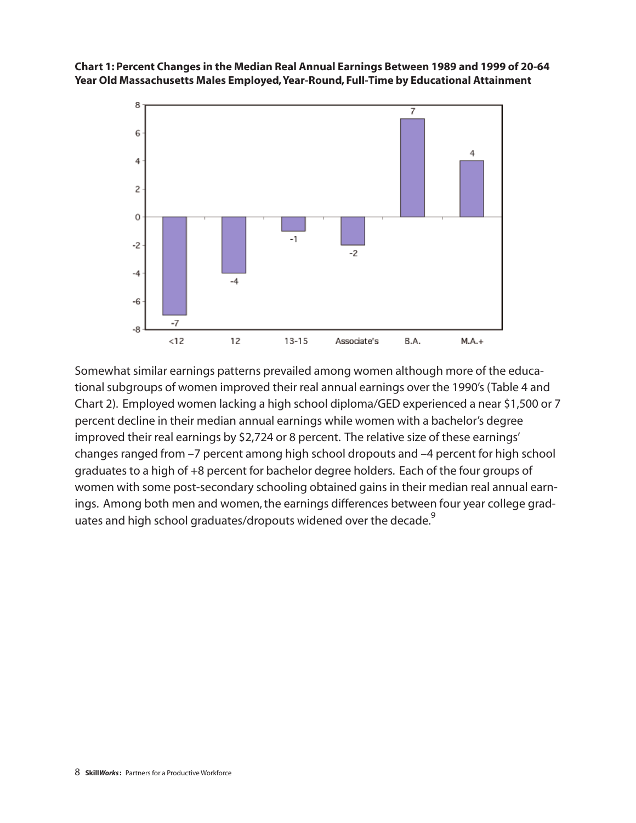**Chart 1: Percent Changes in the Median Real Annual Earnings Between 1989 and 1999 of 20-64** Year Old Massachusetts Males Employed, Year-Round, Full-Time by Educational Attainment



Somewhat similar earnings patterns prevailed among women although more of the educational subgroups of women improved their real annual earnings over the 1990's (Table 4 and Chart 2). Employed women lacking a high school diploma/GED experienced a near \$1,500 or 7 percent decline in their median annual earnings while women with a bachelor's degree improved their real earnings by \$2,724 or 8 percent. The relative size of these earnings' changes ranged from –7 percent among high school dropouts and –4 percent for high school graduates to a high of +8 percent for bachelor degree holders. Each of the four groups of women with some post-secondary schooling obtained gains in their median real annual earnings. Among both men and women, the earnings differences between four year college graduates and high school graduates/dropouts widened over the decade.<sup>9</sup>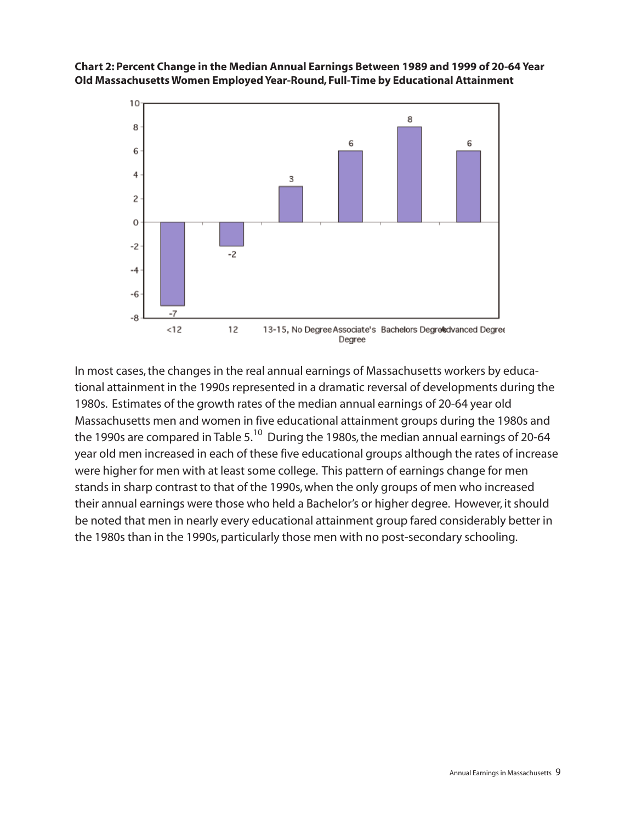**Chart 2: Percent Change in the Median Annual Earnings Between 1989 and 1999 of 20-64 Year Old Massachusetts Women Employed Year-Round, Full-Time by Educational Attainment**



In most cases, the changes in the real annual earnings of Massachusetts workers by educational attainment in the 1990s represented in a dramatic reversal of developments during the 1980s. Estimates of the growth rates of the median annual earnings of 20-64 year old Massachusetts men and women in five educational attainment groups during the 1980s and the 1990s are compared in Table 5.<sup>10</sup> During the 1980s, the median annual earnings of 20-64 year old men increased in each of these five educational groups although the rates of increase were higher for men with at least some college. This pattern of earnings change for men stands in sharp contrast to that of the 1990s, when the only groups of men who increased their annual earnings were those who held a Bachelor's or higher degree. However, it should be noted that men in nearly every educational attainment group fared considerably better in the 1980s than in the 1990s, particularly those men with no post-secondary schooling.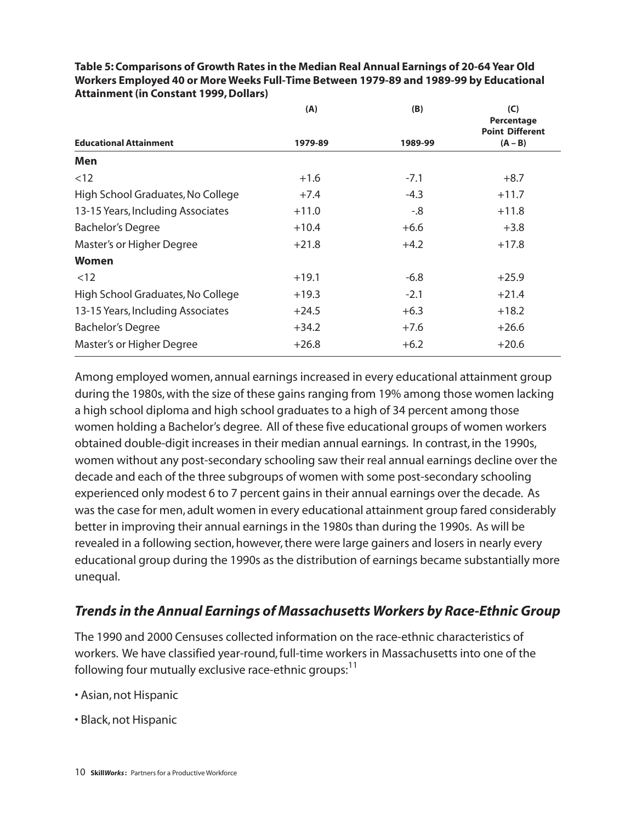|                                   | (A)     | (B)     | (C)<br>Percentage<br><b>Point Different</b> |
|-----------------------------------|---------|---------|---------------------------------------------|
| <b>Educational Attainment</b>     | 1979-89 | 1989-99 | $(A - B)$                                   |
| Men                               |         |         |                                             |
| $<$ 12                            | $+1.6$  | $-7.1$  | $+8.7$                                      |
| High School Graduates, No College | $+7.4$  | $-4.3$  | $+11.7$                                     |
| 13-15 Years, Including Associates | $+11.0$ | -.8     | $+11.8$                                     |
| <b>Bachelor's Degree</b>          | $+10.4$ | $+6.6$  | $+3.8$                                      |
| Master's or Higher Degree         | $+21.8$ | $+4.2$  | $+17.8$                                     |
| Women                             |         |         |                                             |
| <12                               | $+19.1$ | $-6.8$  | $+25.9$                                     |
| High School Graduates, No College | $+19.3$ | $-2.1$  | $+21.4$                                     |
| 13-15 Years, Including Associates | $+24.5$ | $+6.3$  | $+18.2$                                     |
| <b>Bachelor's Degree</b>          | $+34.2$ | $+7.6$  | $+26.6$                                     |
| Master's or Higher Degree         | $+26.8$ | $+6.2$  | $+20.6$                                     |

**Table 5: Comparisons of Growth Rates in the Median Real Annual Earnings of 20-64 Year Old Workers Employed 40 or More Weeks Full-Time Between 1979-89 and 1989-99 by Educational Attainment (in Constant 1999, Dollars)**

Among employed women, annual earnings increased in every educational attainment group during the 1980s, with the size of these gains ranging from 19% among those women lacking a high school diploma and high school graduates to a high of 34 percent among those women holding a Bachelor's degree. All of these five educational groups of women workers obtained double-digit increases in their median annual earnings. In contrast, in the 1990s, women without any post-secondary schooling saw their real annual earnings decline over the decade and each of the three subgroups of women with some post-secondary schooling experienced only modest 6 to 7 percent gains in their annual earnings over the decade. As was the case for men, adult women in every educational attainment group fared considerably better in improving their annual earnings in the 1980s than during the 1990s. As will be revealed in a following section, however, there were large gainers and losers in nearly every educational group during the 1990s as the distribution of earnings became substantially more unequal.

## *Trends in the Annual Earnings of Massachusetts Workers by Race-Ethnic Group*

The 1990 and 2000 Censuses collected information on the race-ethnic characteristics of workers. We have classified year-round, full-time workers in Massachusetts into one of the following four mutually exclusive race-ethnic groups: $11$ 

- Asian, not Hispanic
- Black, not Hispanic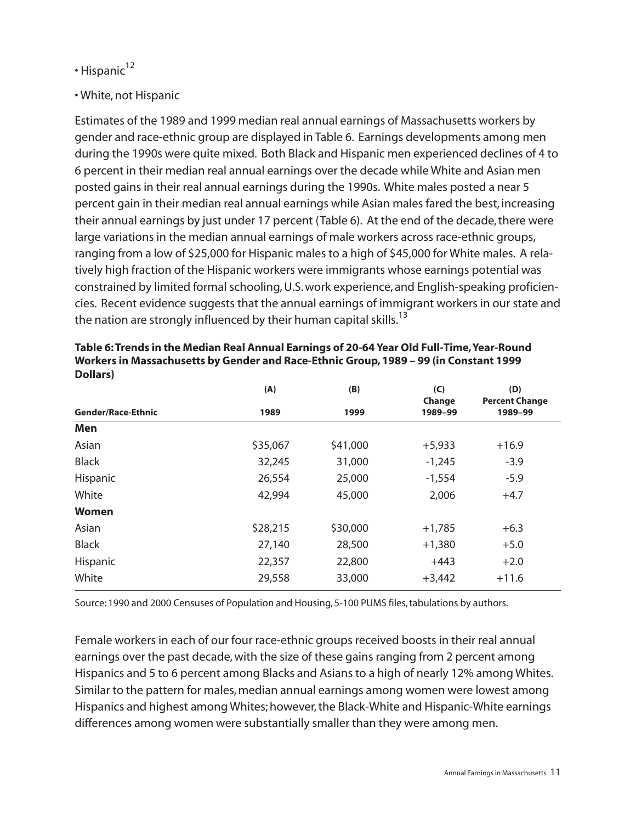- $\cdot$  Hispanic<sup>12</sup>
- White, not Hispanic

Estimates of the 1989 and 1999 median real annual earnings of Massachusetts workers by gender and race-ethnic group are displayed in Table 6. Earnings developments among men during the 1990s were quite mixed. Both Black and Hispanic men experienced declines of 4 to 6 percent in their median real annual earnings over the decade while White and Asian men posted gains in their real annual earnings during the 1990s. White males posted a near 5 percent gain in their median real annual earnings while Asian males fared the best, increasing their annual earnings by just under 17 percent (Table 6). At the end of the decade, there were large variations in the median annual earnings of male workers across race-ethnic groups, ranging from a low of \$25,000 for Hispanic males to a high of \$45,000 for White males. A relatively high fraction of the Hispanic workers were immigrants whose earnings potential was constrained by limited formal schooling, U.S. work experience, and English-speaking proficiencies. Recent evidence suggests that the annual earnings of immigrant workers in our state and the nation are strongly influenced by their human capital skills.<sup>13</sup>

|                           | (A)      | (B)      | (C)               | (D)                              |
|---------------------------|----------|----------|-------------------|----------------------------------|
| <b>Gender/Race-Ethnic</b> | 1989     | 1999     | Change<br>1989-99 | <b>Percent Change</b><br>1989-99 |
| Men                       |          |          |                   |                                  |
| Asian                     | \$35,067 | \$41,000 | $+5,933$          | $+16.9$                          |
| <b>Black</b>              | 32,245   | 31,000   | $-1,245$          | $-3.9$                           |
| Hispanic                  | 26,554   | 25,000   | $-1,554$          | $-5.9$                           |
| White                     | 42,994   | 45,000   | 2,006             | $+4.7$                           |
| Women                     |          |          |                   |                                  |
| Asian                     | \$28,215 | \$30,000 | $+1,785$          | $+6.3$                           |
| <b>Black</b>              | 27,140   | 28,500   | $+1,380$          | $+5.0$                           |
| Hispanic                  | 22,357   | 22,800   | $+443$            | $+2.0$                           |
| White                     | 29,558   | 33,000   | $+3,442$          | $+11.6$                          |

| Table 6: Trends in the Median Real Annual Earnings of 20-64 Year Old Full-Time, Year-Round |
|--------------------------------------------------------------------------------------------|
| Workers in Massachusetts by Gender and Race-Ethnic Group, 1989 - 99 (in Constant 1999      |
| Dollars)                                                                                   |

Source: 1990 and 2000 Censuses of Population and Housing, 5-100 PUMS files, tabulations by authors.

Female workers in each of our four race-ethnic groups received boosts in their real annual earnings over the past decade, with the size of these gains ranging from 2 percent among Hispanics and 5 to 6 percent among Blacks and Asians to a high of nearly 12% among Whites. Similar to the pattern for males, median annual earnings among women were lowest among Hispanics and highest among Whites; however, the Black-White and Hispanic-White earnings differences among women were substantially smaller than they were among men.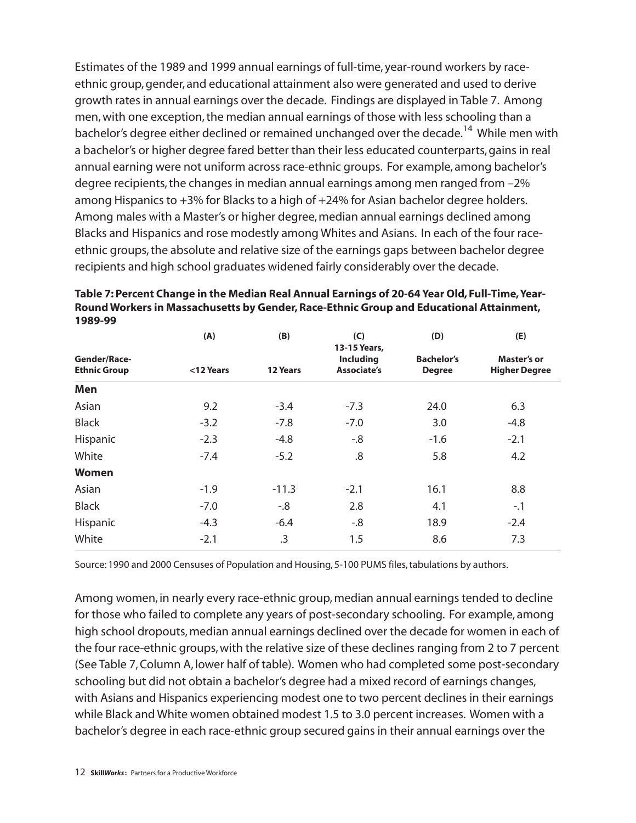Estimates of the 1989 and 1999 annual earnings of full-time, year-round workers by raceethnic group, gender, and educational attainment also were generated and used to derive growth rates in annual earnings over the decade. Findings are displayed in Table 7. Among men, with one exception, the median annual earnings of those with less schooling than a bachelor's degree either declined or remained unchanged over the decade.<sup>14</sup> While men with a bachelor's or higher degree fared better than their less educated counterparts, gains in real annual earning were not uniform across race-ethnic groups. For example, among bachelor's degree recipients, the changes in median annual earnings among men ranged from –2% among Hispanics to +3% for Blacks to a high of +24% for Asian bachelor degree holders. Among males with a Master's or higher degree, median annual earnings declined among Blacks and Hispanics and rose modestly among Whites and Asians. In each of the four raceethnic groups, the absolute and relative size of the earnings gaps between bachelor degree recipients and high school graduates widened fairly considerably over the decade.

|                                     | (A)       | (B)             | (C)<br>13-15 Years,                    | (D)                                | (E)                                        |
|-------------------------------------|-----------|-----------------|----------------------------------------|------------------------------------|--------------------------------------------|
| Gender/Race-<br><b>Ethnic Group</b> | <12 Years | <b>12 Years</b> | <b>Including</b><br><b>Associate's</b> | <b>Bachelor's</b><br><b>Degree</b> | <b>Master's or</b><br><b>Higher Degree</b> |
| <b>Men</b>                          |           |                 |                                        |                                    |                                            |
| Asian                               | 9.2       | $-3.4$          | $-7.3$                                 | 24.0                               | 6.3                                        |
| <b>Black</b>                        | $-3.2$    | $-7.8$          | $-7.0$                                 | 3.0                                | $-4.8$                                     |
| Hispanic                            | $-2.3$    | $-4.8$          | $-.8$                                  | $-1.6$                             | $-2.1$                                     |
| White                               | $-7.4$    | $-5.2$          | .8                                     | 5.8                                | 4.2                                        |
| <b>Women</b>                        |           |                 |                                        |                                    |                                            |
| Asian                               | $-1.9$    | $-11.3$         | $-2.1$                                 | 16.1                               | 8.8                                        |
| <b>Black</b>                        | $-7.0$    | $-0.8$          | 2.8                                    | 4.1                                | $-.1$                                      |
| Hispanic                            | $-4.3$    | $-6.4$          | $-0.8$                                 | 18.9                               | $-2.4$                                     |
| White                               | $-2.1$    | .3              | 1.5                                    | 8.6                                | 7.3                                        |

**Table 7: Percent Change in the Median Real Annual Earnings of 20-64 Year Old, Full-Time,Year-Round Workers in Massachusetts by Gender, Race-Ethnic Group and Educational Attainment, 1989-99**

Source: 1990 and 2000 Censuses of Population and Housing, 5-100 PUMS files, tabulations by authors.

Among women, in nearly every race-ethnic group, median annual earnings tended to decline for those who failed to complete any years of post-secondary schooling. For example, among high school dropouts, median annual earnings declined over the decade for women in each of the four race-ethnic groups, with the relative size of these declines ranging from 2 to 7 percent (See Table 7, Column A, lower half of table). Women who had completed some post-secondary schooling but did not obtain a bachelor's degree had a mixed record of earnings changes, with Asians and Hispanics experiencing modest one to two percent declines in their earnings while Black and White women obtained modest 1.5 to 3.0 percent increases. Women with a bachelor's degree in each race-ethnic group secured gains in their annual earnings over the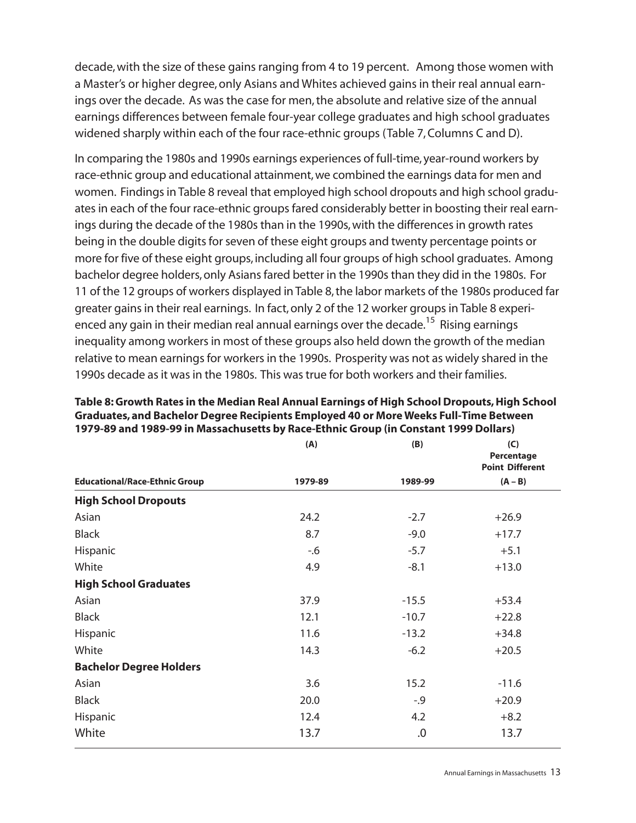decade, with the size of these gains ranging from 4 to 19 percent. Among those women with a Master's or higher degree, only Asians and Whites achieved gains in their real annual earnings over the decade. As was the case for men, the absolute and relative size of the annual earnings differences between female four-year college graduates and high school graduates widened sharply within each of the four race-ethnic groups (Table 7, Columns C and D).

In comparing the 1980s and 1990s earnings experiences of full-time, year-round workers by race-ethnic group and educational attainment, we combined the earnings data for men and women. Findings in Table 8 reveal that employed high school dropouts and high school graduates in each of the four race-ethnic groups fared considerably better in boosting their real earnings during the decade of the 1980s than in the 1990s, with the differences in growth rates being in the double digits for seven of these eight groups and twenty percentage points or more for five of these eight groups, including all four groups of high school graduates. Among bachelor degree holders, only Asians fared better in the 1990s than they did in the 1980s. For 11 of the 12 groups of workers displayed in Table 8, the labor markets of the 1980s produced far greater gains in their real earnings. In fact, only 2 of the 12 worker groups in Table 8 experienced any gain in their median real annual earnings over the decade.<sup>15</sup> Rising earnings inequality among workers in most of these groups also held down the growth of the median relative to mean earnings for workers in the 1990s. Prosperity was not as widely shared in the 1990s decade as it was in the 1980s. This was true for both workers and their families.

| (A)     | (B)     | (C)<br>Percentage<br><b>Point Different</b> |
|---------|---------|---------------------------------------------|
| 1979-89 | 1989-99 | $(A - B)$                                   |
|         |         |                                             |
| 24.2    | $-2.7$  | $+26.9$                                     |
| 8.7     | $-9.0$  | $+17.7$                                     |
| $-6$    | $-5.7$  | $+5.1$                                      |
| 4.9     | $-8.1$  | $+13.0$                                     |
|         |         |                                             |
| 37.9    | $-15.5$ | $+53.4$                                     |
| 12.1    | $-10.7$ | $+22.8$                                     |
| 11.6    | $-13.2$ | $+34.8$                                     |
| 14.3    | $-6.2$  | $+20.5$                                     |
|         |         |                                             |
| 3.6     | 15.2    | $-11.6$                                     |
| 20.0    | $-0.9$  | $+20.9$                                     |
| 12.4    | 4.2     | $+8.2$                                      |
| 13.7    | .0      | 13.7                                        |
|         |         |                                             |

#### **Table 8: Growth Rates in the Median Real Annual Earnings of High School Dropouts, High School Graduates, and Bachelor Degree Recipients Employed 40 or More Weeks Full-Time Between 1979-89 and 1989-99 in Massachusetts by Race-Ethnic Group (in Constant 1999 Dollars)**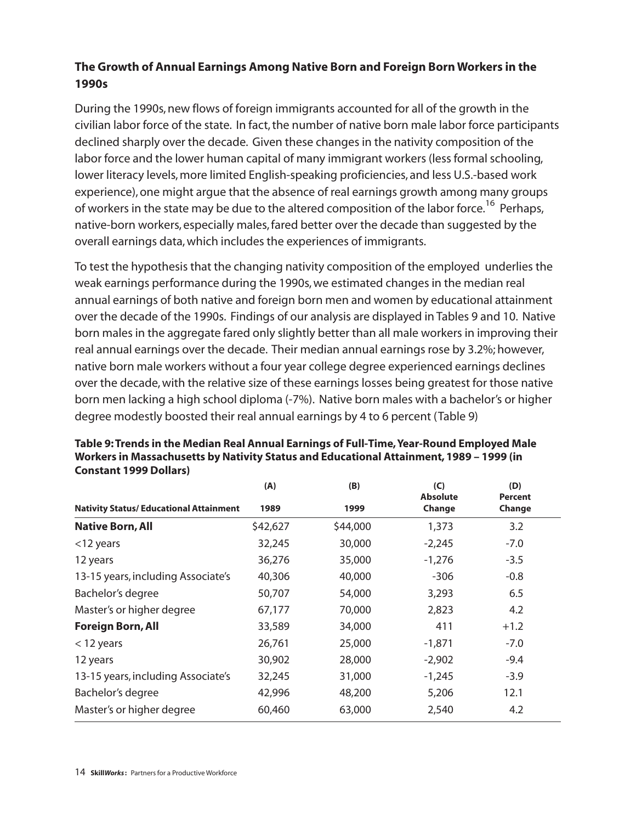### **The Growth of Annual Earnings Among Native Born and Foreign Born Workers in the 1990s**

During the 1990s, new flows of foreign immigrants accounted for all of the growth in the civilian labor force of the state. In fact, the number of native born male labor force participants declined sharply over the decade. Given these changes in the nativity composition of the labor force and the lower human capital of many immigrant workers (less formal schooling, lower literacy levels, more limited English-speaking proficiencies, and less U.S.-based work experience), one might argue that the absence of real earnings growth among many groups of workers in the state may be due to the altered composition of the labor force.<sup>16</sup> Perhaps, native-born workers, especially males, fared better over the decade than suggested by the overall earnings data, which includes the experiences of immigrants.

To test the hypothesis that the changing nativity composition of the employed underlies the weak earnings performance during the 1990s, we estimated changes in the median real annual earnings of both native and foreign born men and women by educational attainment over the decade of the 1990s. Findings of our analysis are displayed in Tables 9 and 10. Native born males in the aggregate fared only slightly better than all male workers in improving their real annual earnings over the decade. Their median annual earnings rose by 3.2%; however, native born male workers without a four year college degree experienced earnings declines over the decade, with the relative size of these earnings losses being greatest for those native born men lacking a high school diploma (-7%). Native born males with a bachelor's or higher degree modestly boosted their real annual earnings by 4 to 6 percent (Table 9)

|                                               | (A)      | (B)      | (C)<br><b>Absolute</b> | (D)<br><b>Percent</b> |
|-----------------------------------------------|----------|----------|------------------------|-----------------------|
| <b>Nativity Status/Educational Attainment</b> | 1989     | 1999     | Change                 | Change                |
| <b>Native Born, All</b>                       | \$42,627 | \$44,000 | 1,373                  | 3.2                   |
| <12 years                                     | 32,245   | 30,000   | $-2,245$               | $-7.0$                |
| 12 years                                      | 36,276   | 35,000   | $-1,276$               | $-3.5$                |
| 13-15 years, including Associate's            | 40,306   | 40,000   | $-306$                 | $-0.8$                |
| Bachelor's degree                             | 50,707   | 54,000   | 3,293                  | 6.5                   |
| Master's or higher degree                     | 67,177   | 70,000   | 2,823                  | 4.2                   |
| <b>Foreign Born, All</b>                      | 33,589   | 34,000   | 411                    | $+1.2$                |
| $<$ 12 years                                  | 26,761   | 25,000   | $-1,871$               | $-7.0$                |
| 12 years                                      | 30,902   | 28,000   | $-2,902$               | $-9.4$                |
| 13-15 years, including Associate's            | 32,245   | 31,000   | $-1,245$               | $-3.9$                |
| Bachelor's degree                             | 42,996   | 48,200   | 5,206                  | 12.1                  |
| Master's or higher degree                     | 60,460   | 63,000   | 2,540                  | 4.2                   |

#### **Table 9: Trends in the Median Real Annual Earnings of Full-Time,Year-Round Employed Male Workers in Massachusetts by Nativity Status and Educational Attainment, 1989 – 1999 (in Constant 1999 Dollars)**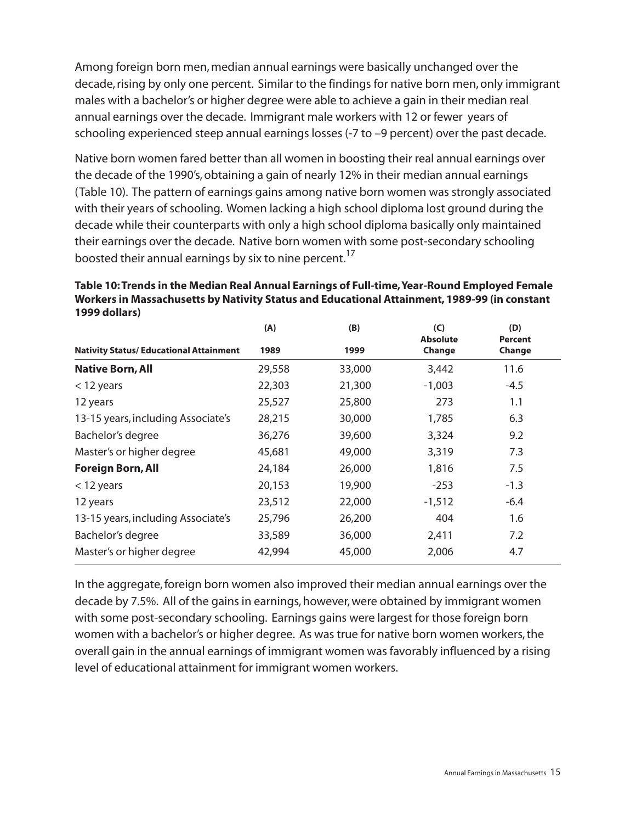Among foreign born men, median annual earnings were basically unchanged over the decade, rising by only one percent. Similar to the findings for native born men, only immigrant males with a bachelor's or higher degree were able to achieve a gain in their median real annual earnings over the decade. Immigrant male workers with 12 or fewer years of schooling experienced steep annual earnings losses (-7 to –9 percent) over the past decade.

Native born women fared better than all women in boosting their real annual earnings over the decade of the 1990's, obtaining a gain of nearly 12% in their median annual earnings (Table 10). The pattern of earnings gains among native born women was strongly associated with their years of schooling. Women lacking a high school diploma lost ground during the decade while their counterparts with only a high school diploma basically only maintained their earnings over the decade. Native born women with some post-secondary schooling boosted their annual earnings by six to nine percent.<sup>17</sup>

### **Table 10: Trends in the Median Real Annual Earnings of Full-time,Year-Round Employed Female Workers in Massachusetts by Nativity Status and Educational Attainment, 1989-99 (in constant 1999 dollars)**

|                                               | (A)    | (B)    | (C)<br><b>Absolute</b> | (D)<br><b>Percent</b> |
|-----------------------------------------------|--------|--------|------------------------|-----------------------|
| <b>Nativity Status/Educational Attainment</b> | 1989   | 1999   | Change                 | Change                |
| <b>Native Born, All</b>                       | 29,558 | 33,000 | 3,442                  | 11.6                  |
| $<$ 12 years                                  | 22,303 | 21,300 | $-1,003$               | $-4.5$                |
| 12 years                                      | 25,527 | 25,800 | 273                    | 1.1                   |
| 13-15 years, including Associate's            | 28,215 | 30,000 | 1,785                  | 6.3                   |
| Bachelor's degree                             | 36,276 | 39,600 | 3,324                  | 9.2                   |
| Master's or higher degree                     | 45,681 | 49,000 | 3,319                  | 7.3                   |
| <b>Foreign Born, All</b>                      | 24,184 | 26,000 | 1,816                  | 7.5                   |
| $<$ 12 years                                  | 20,153 | 19,900 | $-253$                 | $-1.3$                |
| 12 years                                      | 23,512 | 22,000 | $-1,512$               | $-6.4$                |
| 13-15 years, including Associate's            | 25,796 | 26,200 | 404                    | 1.6                   |
| Bachelor's degree                             | 33,589 | 36,000 | 2,411                  | 7.2                   |
| Master's or higher degree                     | 42,994 | 45,000 | 2,006                  | 4.7                   |

In the aggregate, foreign born women also improved their median annual earnings over the decade by 7.5%. All of the gains in earnings, however, were obtained by immigrant women with some post-secondary schooling. Earnings gains were largest for those foreign born women with a bachelor's or higher degree. As was true for native born women workers, the overall gain in the annual earnings of immigrant women was favorably influenced by a rising level of educational attainment for immigrant women workers.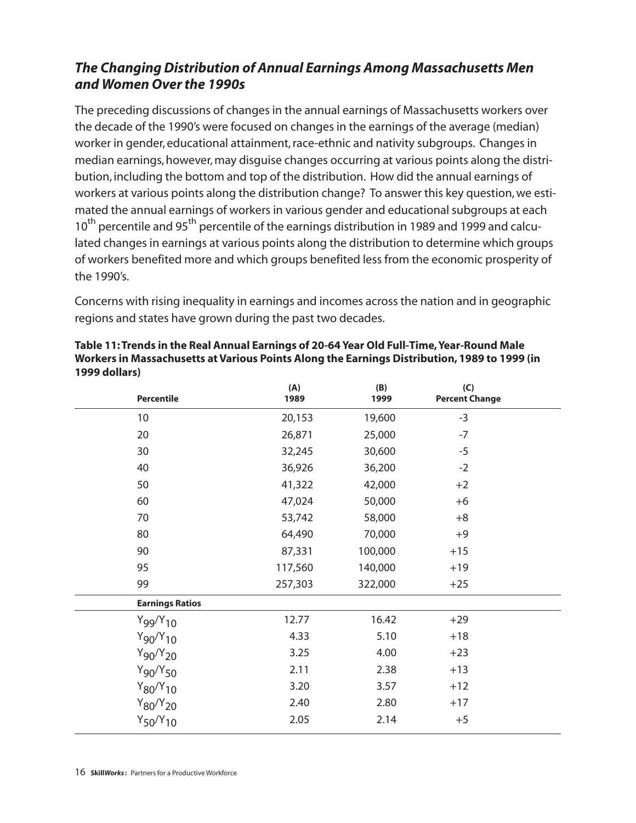# *The Changing Distribution of Annual Earnings Among Massachusetts Men and Women Over the 1990s*

The preceding discussions of changes in the annual earnings of Massachusetts workers over the decade of the 1990's were focused on changes in the earnings of the average (median) worker in gender, educational attainment, race-ethnic and nativity subgroups. Changes in median earnings, however, may disguise changes occurring at various points along the distribution, including the bottom and top of the distribution. How did the annual earnings of workers at various points along the distribution change? To answer this key question, we estimated the annual earnings of workers in various gender and educational subgroups at each 10<sup>th</sup> percentile and 95<sup>th</sup> percentile of the earnings distribution in 1989 and 1999 and calculated changes in earnings at various points along the distribution to determine which groups of workers benefited more and which groups benefited less from the economic prosperity of the 1990's.

Concerns with rising inequality in earnings and incomes across the nation and in geographic regions and states have grown during the past two decades.

| <b>Percentile</b>         | (A)<br>1989 | (B)<br>1999 | (C)<br><b>Percent Change</b> |  |
|---------------------------|-------------|-------------|------------------------------|--|
| 10                        | 20,153      | 19,600      | $-3$                         |  |
| 20                        | 26,871      | 25,000      | $-7$                         |  |
| 30                        | 32,245      | 30,600      | $-5$                         |  |
| 40                        | 36,926      | 36,200      | $-2$                         |  |
| 50                        | 41,322      | 42,000      | $+2$                         |  |
| 60                        | 47,024      | 50,000      | $+6$                         |  |
| 70                        | 53,742      | 58,000      | $+8$                         |  |
| 80                        | 64,490      | 70,000      | $+9$                         |  |
| 90                        | 87,331      | 100,000     | $+15$                        |  |
| 95                        | 117,560     | 140,000     | $+19$                        |  |
| 99                        | 257,303     | 322,000     | $+25$                        |  |
| <b>Earnings Ratios</b>    |             |             |                              |  |
| $Y_{99}$ / $Y_{10}$       | 12.77       | 16.42       | $+29$                        |  |
| $Y_{90}/Y_{10}$           | 4.33        | 5.10        | $+18$                        |  |
| $Y_{90}/Y_{20}$           | 3.25        | 4.00        | $+23$                        |  |
| $Y_{90}/Y_{50}$           | 2.11        | 2.38        | $+13$                        |  |
| $Y_{80}$ /Y <sub>10</sub> | 3.20        | 3.57        | $+12$                        |  |
| $Y_{80}$ / $Y_{20}$       | 2.40        | 2.80        | $+17$                        |  |
| $Y_{50}/Y_{10}$           | 2.05        | 2.14        | $+5$                         |  |

**Table 11: Trends in the Real Annual Earnings of 20-64 Year Old Full-Time,Year-Round Male Workers in Massachusetts at Various Points Along the Earnings Distribution, 1989 to 1999 (in 1999 dollars)**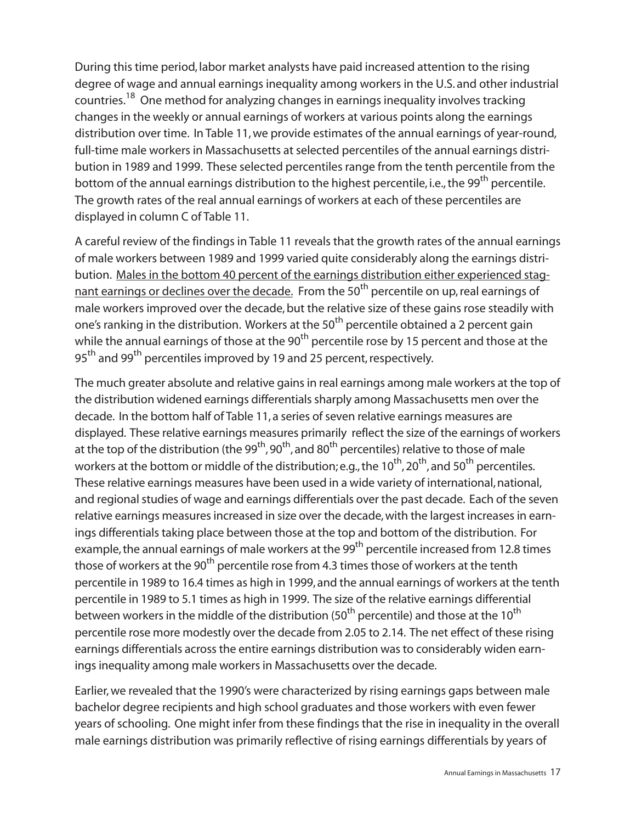During this time period, labor market analysts have paid increased attention to the rising degree of wage and annual earnings inequality among workers in the U.S. and other industrial countries.18 One method for analyzing changes in earnings inequality involves tracking changes in the weekly or annual earnings of workers at various points along the earnings distribution over time. In Table 11, we provide estimates of the annual earnings of year-round, full-time male workers in Massachusetts at selected percentiles of the annual earnings distribution in 1989 and 1999. These selected percentiles range from the tenth percentile from the bottom of the annual earnings distribution to the highest percentile, i.e., the 99<sup>th</sup> percentile. The growth rates of the real annual earnings of workers at each of these percentiles are displayed in column C of Table 11.

A careful review of the findings in Table 11 reveals that the growth rates of the annual earnings of male workers between 1989 and 1999 varied quite considerably along the earnings distribution. Males in the bottom 40 percent of the earnings distribution either experienced stagnant earnings or declines over the decade. From the 50<sup>th</sup> percentile on up, real earnings of male workers improved over the decade, but the relative size of these gains rose steadily with one's ranking in the distribution. Workers at the 50<sup>th</sup> percentile obtained a 2 percent gain while the annual earnings of those at the  $90<sup>th</sup>$  percentile rose by 15 percent and those at the 95<sup>th</sup> and 99<sup>th</sup> percentiles improved by 19 and 25 percent, respectively.

The much greater absolute and relative gains in real earnings among male workers at the top of the distribution widened earnings differentials sharply among Massachusetts men over the decade. In the bottom half of Table 11, a series of seven relative earnings measures are displayed. These relative earnings measures primarily reflect the size of the earnings of workers at the top of the distribution (the 99<sup>th</sup>, 90<sup>th</sup>, and 80<sup>th</sup> percentiles) relative to those of male workers at the bottom or middle of the distribution; e.g., the  $10^{th}$ ,  $20^{th}$ , and  $50^{th}$  percentiles. These relative earnings measures have been used in a wide variety of international, national, and regional studies of wage and earnings differentials over the past decade. Each of the seven relative earnings measures increased in size over the decade, with the largest increases in earnings differentials taking place between those at the top and bottom of the distribution. For example, the annual earnings of male workers at the 99<sup>th</sup> percentile increased from 12.8 times those of workers at the 90<sup>th</sup> percentile rose from 4.3 times those of workers at the tenth percentile in 1989 to 16.4 times as high in 1999, and the annual earnings of workers at the tenth percentile in 1989 to 5.1 times as high in 1999. The size of the relative earnings differential between workers in the middle of the distribution (50<sup>th</sup> percentile) and those at the 10<sup>th</sup> percentile rose more modestly over the decade from 2.05 to 2.14. The net effect of these rising earnings differentials across the entire earnings distribution was to considerably widen earnings inequality among male workers in Massachusetts over the decade.

Earlier, we revealed that the 1990's were characterized by rising earnings gaps between male bachelor degree recipients and high school graduates and those workers with even fewer years of schooling. One might infer from these findings that the rise in inequality in the overall male earnings distribution was primarily reflective of rising earnings differentials by years of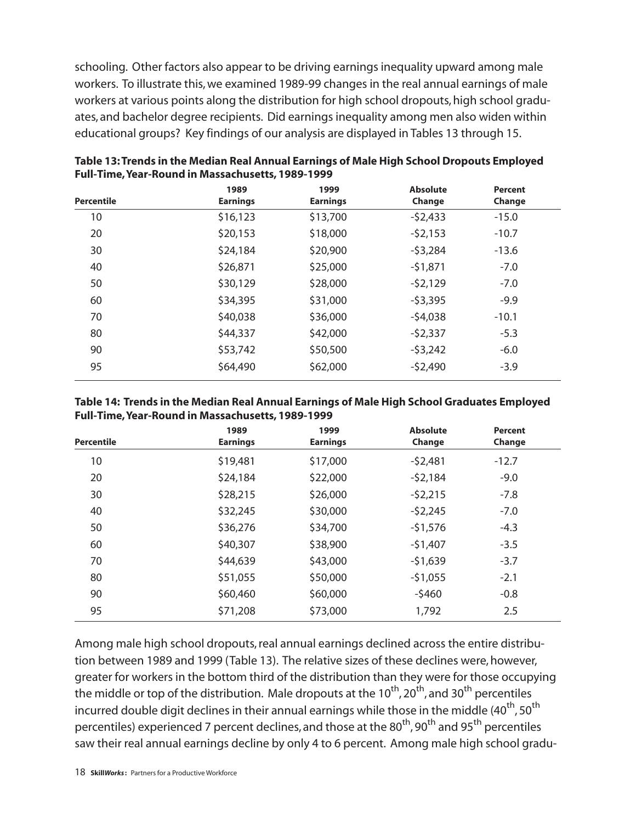schooling. Other factors also appear to be driving earnings inequality upward among male workers. To illustrate this, we examined 1989-99 changes in the real annual earnings of male workers at various points along the distribution for high school dropouts, high school graduates, and bachelor degree recipients. Did earnings inequality among men also widen within educational groups? Key findings of our analysis are displayed in Tables 13 through 15.

| Percentile | 1989<br><b>Earnings</b> | 1999<br><b>Earnings</b> | <b>Absolute</b><br>Change | <b>Percent</b><br>Change |
|------------|-------------------------|-------------------------|---------------------------|--------------------------|
| 10         | \$16,123                | \$13,700                | $-52,433$                 | $-15.0$                  |
| 20         | \$20,153                | \$18,000                | $-52,153$                 | $-10.7$                  |
| 30         | \$24,184                | \$20,900                | $-53,284$                 | $-13.6$                  |
| 40         | \$26,871                | \$25,000                | $-51,871$                 | $-7.0$                   |
| 50         | \$30,129                | \$28,000                | $-52,129$                 | $-7.0$                   |
| 60         | \$34,395                | \$31,000                | $-53,395$                 | $-9.9$                   |
| 70         | \$40,038                | \$36,000                | $-54,038$                 | $-10.1$                  |
| 80         | \$44,337                | \$42,000                | $-52,337$                 | $-5.3$                   |
| 90         | \$53,742                | \$50,500                | $-53,242$                 | $-6.0$                   |
| 95         | \$64,490                | \$62,000                | $-52,490$                 | $-3.9$                   |
|            |                         |                         |                           |                          |

**Table 13: Trends in the Median Real Annual Earnings of Male High School Dropouts Employed Full-Time,Year-Round in Massachusetts, 1989-1999**

#### **Table 14: Trends in the Median Real Annual Earnings of Male High School Graduates Employed Full-Time,Year-Round in Massachusetts, 1989-1999**

| Percentile | 1989<br><b>Earnings</b> | 1999<br><b>Earnings</b> | <b>Absolute</b><br>Change | <b>Percent</b><br>Change |
|------------|-------------------------|-------------------------|---------------------------|--------------------------|
| 10         | \$19,481                | \$17,000                | $-52,481$                 | $-12.7$                  |
| 20         | \$24,184                | \$22,000                | $-52,184$                 | $-9.0$                   |
| 30         | \$28,215                | \$26,000                | $-52,215$                 | $-7.8$                   |
| 40         | \$32,245                | \$30,000                | $-52,245$                 | $-7.0$                   |
| 50         | \$36,276                | \$34,700                | $-51,576$                 | $-4.3$                   |
| 60         | \$40,307                | \$38,900                | $-51,407$                 | $-3.5$                   |
| 70         | \$44,639                | \$43,000                | $-51,639$                 | $-3.7$                   |
| 80         | \$51,055                | \$50,000                | $-51,055$                 | $-2.1$                   |
| 90         | \$60,460                | \$60,000                | $-5460$                   | $-0.8$                   |
| 95         | \$71,208                | \$73,000                | 1,792                     | 2.5                      |

Among male high school dropouts, real annual earnings declined across the entire distribution between 1989 and 1999 (Table 13). The relative sizes of these declines were, however, greater for workers in the bottom third of the distribution than they were for those occupying the middle or top of the distribution. Male dropouts at the  $10^{th}$ ,  $20^{th}$ , and  $30^{th}$  percentiles incurred double digit declines in their annual earnings while those in the middle  $(40^{th}, 50^{th})$ percentiles) experienced 7 percent declines, and those at the 80<sup>th</sup>, 90<sup>th</sup> and 95<sup>th</sup> percentiles saw their real annual earnings decline by only 4 to 6 percent. Among male high school gradu-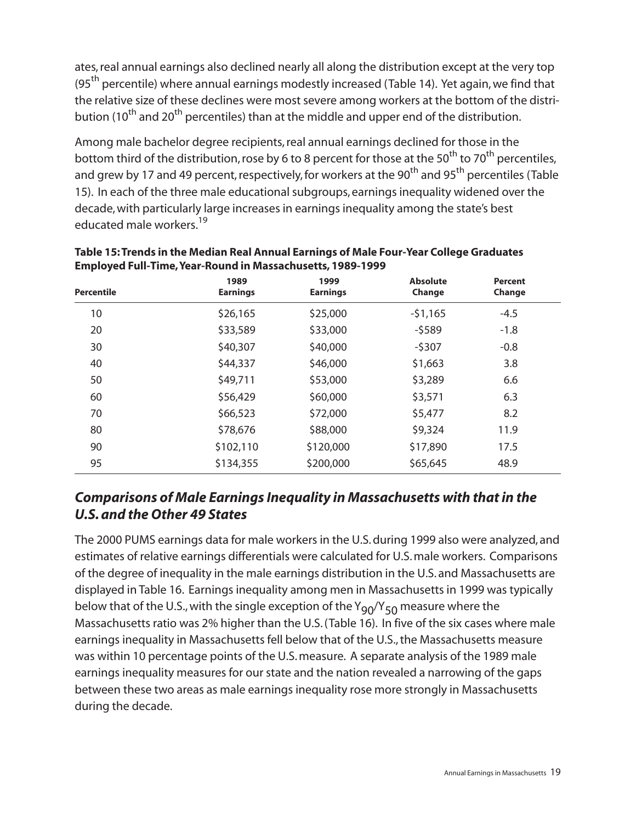ates, real annual earnings also declined nearly all along the distribution except at the very top (95<sup>th</sup> percentile) where annual earnings modestly increased (Table 14). Yet again, we find that the relative size of these declines were most severe among workers at the bottom of the distribution (10<sup>th</sup> and 20<sup>th</sup> percentiles) than at the middle and upper end of the distribution.

Among male bachelor degree recipients, real annual earnings declined for those in the bottom third of the distribution, rose by 6 to 8 percent for those at the  $50<sup>th</sup>$  to 70<sup>th</sup> percentiles, and grew by 17 and 49 percent, respectively, for workers at the 90<sup>th</sup> and 95<sup>th</sup> percentiles (Table 15). In each of the three male educational subgroups, earnings inequality widened over the decade, with particularly large increases in earnings inequality among the state's best educated male workers.<sup>19</sup>

| <b>Percentile</b> | 1989<br><b>Earnings</b> | 1999<br><b>Earnings</b> | <b>Absolute</b><br>Change | <b>Percent</b><br>Change |  |
|-------------------|-------------------------|-------------------------|---------------------------|--------------------------|--|
| 10                | \$26,165                | \$25,000                | $-51,165$                 | $-4.5$                   |  |
| 20                | \$33,589                | \$33,000                | $-5589$                   | $-1.8$                   |  |
| 30                | \$40,307                | \$40,000                | $-5307$                   | $-0.8$                   |  |
| 40                | \$44,337                | \$46,000                | \$1,663                   | 3.8                      |  |
| 50                | \$49,711                | \$53,000                | \$3,289                   | 6.6                      |  |
| 60                | \$56,429                | \$60,000                | \$3,571                   | 6.3                      |  |
| 70                | \$66,523                | \$72,000                | \$5,477                   | 8.2                      |  |
| 80                | \$78,676                | \$88,000                | \$9,324                   | 11.9                     |  |
| 90                | \$102,110               | \$120,000               | \$17,890                  | 17.5                     |  |
| 95                | \$134,355               | \$200,000               | \$65,645                  | 48.9                     |  |

**Table 15: Trends in the Median Real Annual Earnings of Male Four-Year College Graduates Employed Full-Time,Year-Round in Massachusetts, 1989-1999**

## *Comparisons of Male Earnings Inequality in Massachusetts with that in the U.S.and the Other 49 States*

The 2000 PUMS earnings data for male workers in the U.S. during 1999 also were analyzed, and estimates of relative earnings differentials were calculated for U.S. male workers. Comparisons of the degree of inequality in the male earnings distribution in the U.S. and Massachusetts are displayed in Table 16. Earnings inequality among men in Massachusetts in 1999 was typically below that of the U.S., with the single exception of the  $Y_{90}/Y_{50}$  measure where the Massachusetts ratio was 2% higher than the U.S. (Table 16). In five of the six cases where male earnings inequality in Massachusetts fell below that of the U.S., the Massachusetts measure was within 10 percentage points of the U.S. measure. A separate analysis of the 1989 male earnings inequality measures for our state and the nation revealed a narrowing of the gaps between these two areas as male earnings inequality rose more strongly in Massachusetts during the decade.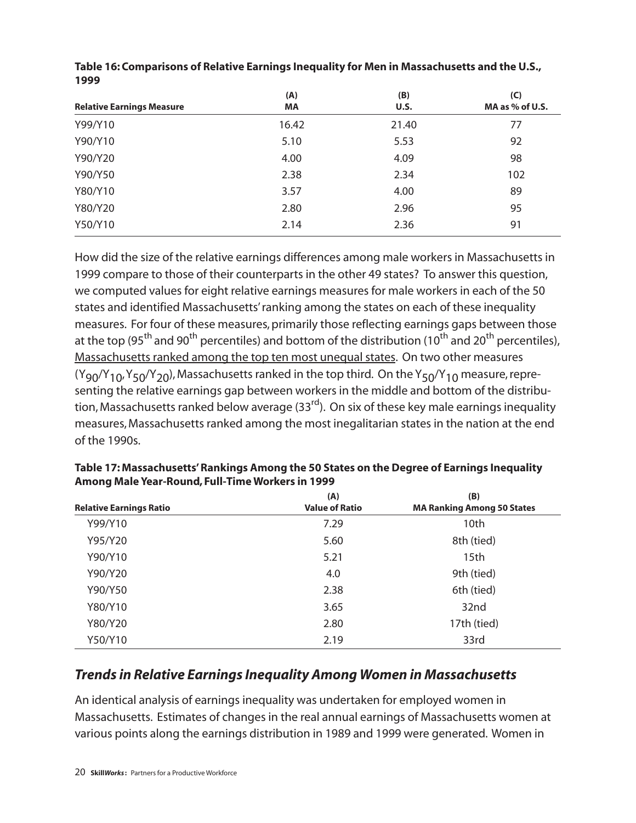| <b>Relative Earnings Measure</b> | (A)<br><b>MA</b> | (B)<br>U.S. | (C)<br>MA as $%$ of U.S. |
|----------------------------------|------------------|-------------|--------------------------|
| Y99/Y10                          | 16.42            | 21.40       | 77                       |
| Y90/Y10                          | 5.10             | 5.53        | 92                       |
| Y90/Y20                          | 4.00             | 4.09        | 98                       |
| Y90/Y50                          | 2.38             | 2.34        | 102                      |
| Y80/Y10                          | 3.57             | 4.00        | 89                       |
| Y80/Y20                          | 2.80             | 2.96        | 95                       |
| Y50/Y10                          | 2.14             | 2.36        | 91                       |

**Table 16: Comparisons of Relative Earnings Inequality for Men in Massachusetts and the U.S., 1999**

How did the size of the relative earnings differences among male workers in Massachusetts in 1999 compare to those of their counterparts in the other 49 states? To answer this question, we computed values for eight relative earnings measures for male workers in each of the 50 states and identified Massachusetts' ranking among the states on each of these inequality measures. For four of these measures, primarily those reflecting earnings gaps between those at the top (95<sup>th</sup> and 90<sup>th</sup> percentiles) and bottom of the distribution (10<sup>th</sup> and 20<sup>th</sup> percentiles), Massachusetts ranked among the top ten most unequal states. On two other measures  $(Y_{90}/Y_{10}, Y_{50}/Y_{20})$ , Massachusetts ranked in the top third. On the  $Y_{50}/Y_{10}$  measure, representing the relative earnings gap between workers in the middle and bottom of the distribution, Massachusetts ranked below average  $(33<sup>rd</sup>)$ . On six of these key male earnings inequality measures, Massachusetts ranked among the most inegalitarian states in the nation at the end of the 1990s.

| <b>Relative Earnings Ratio</b> | (A)<br><b>Value of Ratio</b> | (B)<br><b>MA Ranking Among 50 States</b> |
|--------------------------------|------------------------------|------------------------------------------|
| Y99/Y10                        | 7.29                         | 10th                                     |
| Y95/Y20                        | 5.60                         | 8th (tied)                               |
| Y90/Y10                        | 5.21                         | 15th                                     |
| Y90/Y20                        | 4.0                          | 9th (tied)                               |
| Y90/Y50                        | 2.38                         | 6th (tied)                               |
| Y80/Y10                        | 3.65                         | 32nd                                     |
| Y80/Y20                        | 2.80                         | 17th (tied)                              |
| Y50/Y10                        | 2.19                         | 33rd                                     |

**Table 17: Massachusetts' Rankings Among the 50 States on the Degree of Earnings Inequality Among Male Year-Round, Full-Time Workers in 1999**

### *Trends in Relative Earnings Inequality Among Women in Massachusetts*

An identical analysis of earnings inequality was undertaken for employed women in Massachusetts. Estimates of changes in the real annual earnings of Massachusetts women at various points along the earnings distribution in 1989 and 1999 were generated. Women in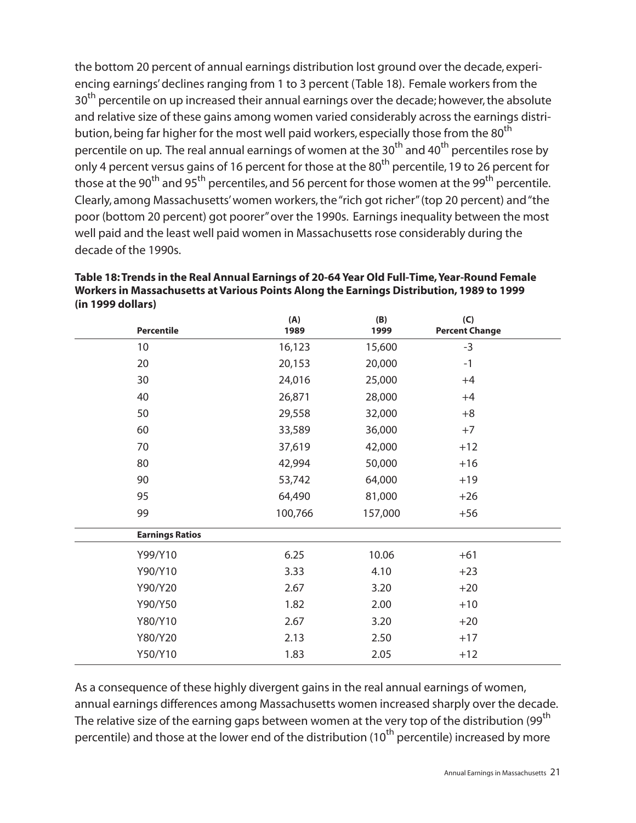the bottom 20 percent of annual earnings distribution lost ground over the decade, experiencing earnings' declines ranging from 1 to 3 percent (Table 18). Female workers from the 30<sup>th</sup> percentile on up increased their annual earnings over the decade; however, the absolute and relative size of these gains among women varied considerably across the earnings distribution, being far higher for the most well paid workers, especially those from the 80<sup>th</sup> percentile on up. The real annual earnings of women at the 30<sup>th</sup> and 40<sup>th</sup> percentiles rose by only 4 percent versus gains of 16 percent for those at the 80<sup>th</sup> percentile, 19 to 26 percent for those at the 90<sup>th</sup> and 95<sup>th</sup> percentiles, and 56 percent for those women at the 99<sup>th</sup> percentile. Clearly, among Massachusetts' women workers, the "rich got richer"(top 20 percent) and "the poor (bottom 20 percent) got poorer"over the 1990s. Earnings inequality between the most well paid and the least well paid women in Massachusetts rose considerably during the decade of the 1990s.

| <b>Percentile</b>      | (A)<br>1989 | (B)<br>1999 | (C)<br><b>Percent Change</b> |
|------------------------|-------------|-------------|------------------------------|
| 10                     | 16,123      | 15,600      | $-3$                         |
| 20                     | 20,153      | 20,000      | $-1$                         |
| 30                     | 24,016      | 25,000      | $+4$                         |
| 40                     | 26,871      | 28,000      | $+4$                         |
| 50                     | 29,558      | 32,000      | $+8$                         |
| 60                     | 33,589      | 36,000      | $+7$                         |
| 70                     | 37,619      | 42,000      | $+12$                        |
| 80                     | 42,994      | 50,000      | $+16$                        |
| 90                     | 53,742      | 64,000      | $+19$                        |
| 95                     | 64,490      | 81,000      | $+26$                        |
| 99                     | 100,766     | 157,000     | $+56$                        |
| <b>Earnings Ratios</b> |             |             |                              |
| Y99/Y10                | 6.25        | 10.06       | $+61$                        |
| Y90/Y10                | 3.33        | 4.10        | $+23$                        |
| Y90/Y20                | 2.67        | 3.20        | $+20$                        |
| Y90/Y50                | 1.82        | 2.00        | $+10$                        |
| Y80/Y10                | 2.67        | 3.20        | $+20$                        |
| Y80/Y20                | 2.13        | 2.50        | $+17$                        |
| Y50/Y10                | 1.83        | 2.05        | $+12$                        |

**Table 18: Trends in the Real Annual Earnings of 20-64 Year Old Full-Time,Year-Round Female Workers in Massachusetts at Various Points Along the Earnings Distribution, 1989 to 1999 (in 1999 dollars)**

As a consequence of these highly divergent gains in the real annual earnings of women, annual earnings differences among Massachusetts women increased sharply over the decade. The relative size of the earning gaps between women at the very top of the distribution (99<sup>th</sup>) percentile) and those at the lower end of the distribution (10<sup>th</sup> percentile) increased by more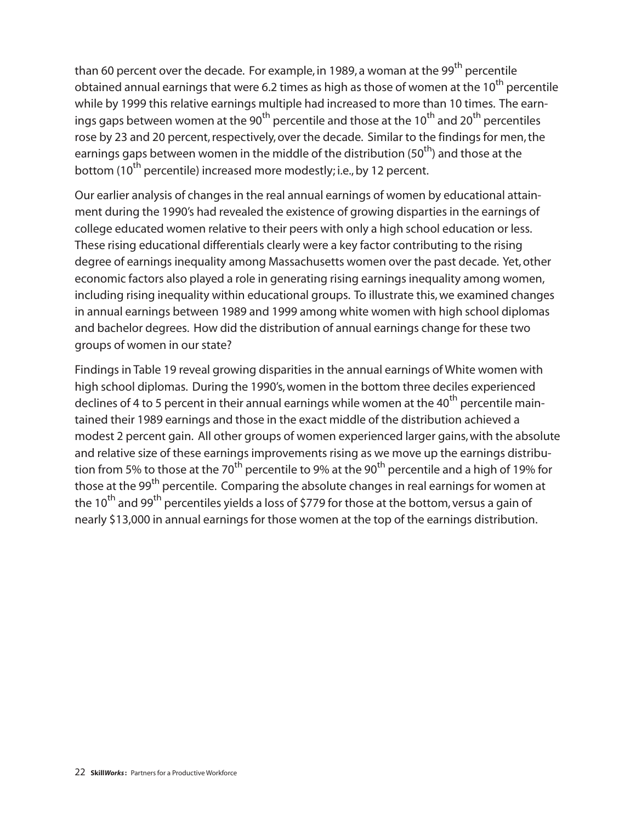than 60 percent over the decade. For example, in 1989, a woman at the 99<sup>th</sup> percentile obtained annual earnings that were 6.2 times as high as those of women at the 10<sup>th</sup> percentile while by 1999 this relative earnings multiple had increased to more than 10 times. The earnings gaps between women at the 90<sup>th</sup> percentile and those at the 10<sup>th</sup> and 20<sup>th</sup> percentiles rose by 23 and 20 percent, respectively, over the decade. Similar to the findings for men, the earnings gaps between women in the middle of the distribution  $(50<sup>th</sup>)$  and those at the bottom (10<sup>th</sup> percentile) increased more modestly; i.e., by 12 percent.

Our earlier analysis of changes in the real annual earnings of women by educational attainment during the 1990's had revealed the existence of growing disparties in the earnings of college educated women relative to their peers with only a high school education or less. These rising educational differentials clearly were a key factor contributing to the rising degree of earnings inequality among Massachusetts women over the past decade. Yet, other economic factors also played a role in generating rising earnings inequality among women, including rising inequality within educational groups. To illustrate this, we examined changes in annual earnings between 1989 and 1999 among white women with high school diplomas and bachelor degrees. How did the distribution of annual earnings change for these two groups of women in our state?

Findings in Table 19 reveal growing disparities in the annual earnings of White women with high school diplomas. During the 1990's, women in the bottom three deciles experienced declines of 4 to 5 percent in their annual earnings while women at the  $40<sup>th</sup>$  percentile maintained their 1989 earnings and those in the exact middle of the distribution achieved a modest 2 percent gain. All other groups of women experienced larger gains, with the absolute and relative size of these earnings improvements rising as we move up the earnings distribution from 5% to those at the 70<sup>th</sup> percentile to 9% at the 90<sup>th</sup> percentile and a high of 19% for those at the 99<sup>th</sup> percentile. Comparing the absolute changes in real earnings for women at the 10<sup>th</sup> and 99<sup>th</sup> percentiles yields a loss of \$779 for those at the bottom, versus a gain of nearly \$13,000 in annual earnings for those women at the top of the earnings distribution.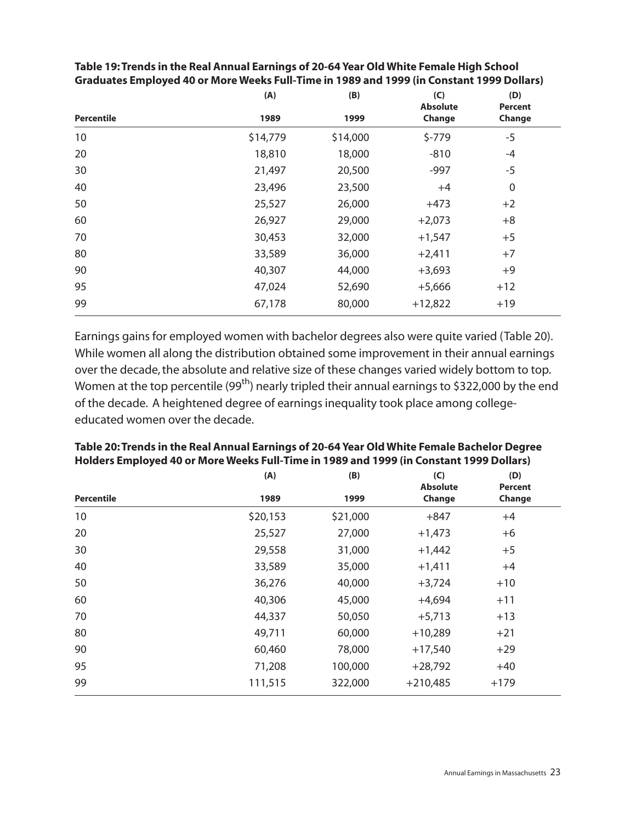|                   | (A)      | (B)      | (C)                       | (D)                      |  |
|-------------------|----------|----------|---------------------------|--------------------------|--|
| <b>Percentile</b> | 1989     | 1999     | <b>Absolute</b><br>Change | <b>Percent</b><br>Change |  |
| 10                | \$14,779 | \$14,000 | $$-779$                   | $-5$                     |  |
| 20                | 18,810   | 18,000   | $-810$                    | $-4$                     |  |
| 30                | 21,497   | 20,500   | $-997$                    | $-5$                     |  |
| 40                | 23,496   | 23,500   | $+4$                      | $\mathbf 0$              |  |
| 50                | 25,527   | 26,000   | $+473$                    | $+2$                     |  |
| 60                | 26,927   | 29,000   | $+2,073$                  | $+8$                     |  |
| 70                | 30,453   | 32,000   | $+1,547$                  | $+5$                     |  |
| 80                | 33,589   | 36,000   | $+2,411$                  | $+7$                     |  |
| 90                | 40,307   | 44,000   | $+3,693$                  | $+9$                     |  |
| 95                | 47,024   | 52,690   | $+5,666$                  | $+12$                    |  |
| 99                | 67,178   | 80,000   | $+12,822$                 | $+19$                    |  |

| Table 19: Trends in the Real Annual Earnings of 20-64 Year Old White Female High School   |
|-------------------------------------------------------------------------------------------|
| Graduates Employed 40 or More Weeks Full-Time in 1989 and 1999 (in Constant 1999 Dollars) |

Earnings gains for employed women with bachelor degrees also were quite varied (Table 20). While women all along the distribution obtained some improvement in their annual earnings over the decade, the absolute and relative size of these changes varied widely bottom to top. Women at the top percentile (99<sup>th</sup>) nearly tripled their annual earnings to \$322,000 by the end of the decade. A heightened degree of earnings inequality took place among collegeeducated women over the decade.

|                   | (A)      | (B)      | (C)<br><b>Absolute</b> | (D)<br>Percent |  |
|-------------------|----------|----------|------------------------|----------------|--|
| <b>Percentile</b> | 1989     | 1999     | Change                 | Change         |  |
| 10                | \$20,153 | \$21,000 | $+847$                 | $+4$           |  |
| 20                | 25,527   | 27,000   | $+1,473$               | $+6$           |  |
| 30                | 29,558   | 31,000   | $+1,442$               | $+5$           |  |
| 40                | 33,589   | 35,000   | $+1,411$               | $+4$           |  |
| 50                | 36,276   | 40,000   | $+3,724$               | $+10$          |  |
| 60                | 40,306   | 45,000   | $+4,694$               | $+11$          |  |
| 70                | 44,337   | 50,050   | $+5,713$               | $+13$          |  |
| 80                | 49,711   | 60,000   | $+10,289$              | $+21$          |  |
| 90                | 60,460   | 78,000   | $+17,540$              | $+29$          |  |
| 95                | 71,208   | 100,000  | $+28,792$              | $+40$          |  |
| 99                | 111,515  | 322,000  | $+210,485$             | $+179$         |  |

### **Table 20:Trends in the Real Annual Earnings of 20-64 Year Old White Female Bachelor Degree Holders Employed 40 or More Weeks Full-Time in 1989 and 1999 (in Constant 1999 Dollars)**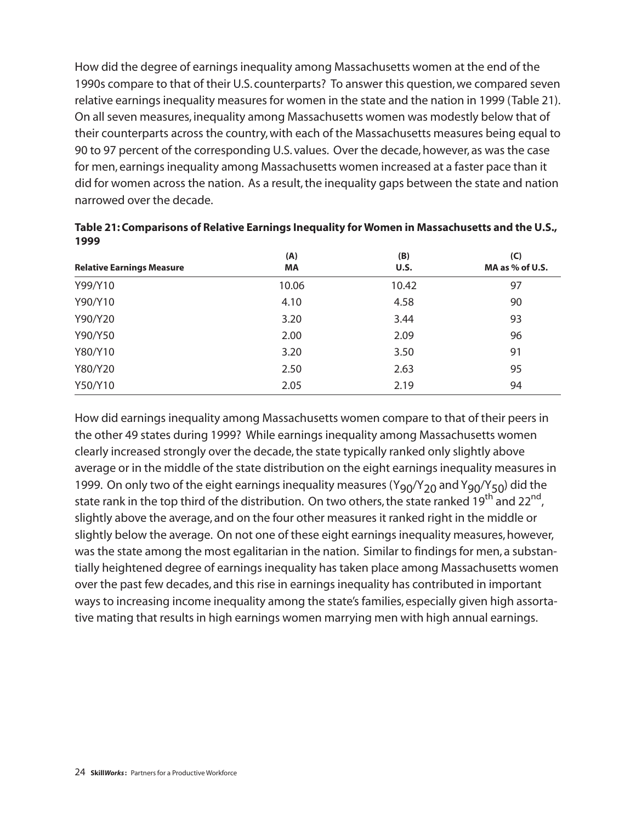How did the degree of earnings inequality among Massachusetts women at the end of the 1990s compare to that of their U.S. counterparts? To answer this question, we compared seven relative earnings inequality measures for women in the state and the nation in 1999 (Table 21). On all seven measures, inequality among Massachusetts women was modestly below that of their counterparts across the country, with each of the Massachusetts measures being equal to 90 to 97 percent of the corresponding U.S. values. Over the decade, however, as was the case for men, earnings inequality among Massachusetts women increased at a faster pace than it did for women across the nation. As a result, the inequality gaps between the state and nation narrowed over the decade.

| <b>Relative Earnings Measure</b> | (A)<br><b>MA</b> | (B)<br>U.S. | (C)<br>MA as $%$ of U.S. |
|----------------------------------|------------------|-------------|--------------------------|
| Y99/Y10                          | 10.06            | 10.42       | 97                       |
| Y90/Y10                          | 4.10             | 4.58        | 90                       |
| Y90/Y20                          | 3.20             | 3.44        | 93                       |
| Y90/Y50                          | 2.00             | 2.09        | 96                       |
| Y80/Y10                          | 3.20             | 3.50        | 91                       |
| Y80/Y20                          | 2.50             | 2.63        | 95                       |
| Y50/Y10                          | 2.05             | 2.19        | 94                       |

**Table 21: Comparisons of Relative Earnings Inequality for Women in Massachusetts and the U.S., 1999**

How did earnings inequality among Massachusetts women compare to that of their peers in the other 49 states during 1999? While earnings inequality among Massachusetts women clearly increased strongly over the decade, the state typically ranked only slightly above average or in the middle of the state distribution on the eight earnings inequality measures in 1999. On only two of the eight earnings inequality measures ( $Y_{90}/Y_{20}$  and  $Y_{90}/Y_{50}$ ) did the state rank in the top third of the distribution. On two others, the state ranked 19<sup>th</sup> and 22<sup>nd</sup>, slightly above the average, and on the four other measures it ranked right in the middle or slightly below the average. On not one of these eight earnings inequality measures, however, was the state among the most egalitarian in the nation. Similar to findings for men, a substantially heightened degree of earnings inequality has taken place among Massachusetts women over the past few decades, and this rise in earnings inequality has contributed in important ways to increasing income inequality among the state's families, especially given high assortative mating that results in high earnings women marrying men with high annual earnings.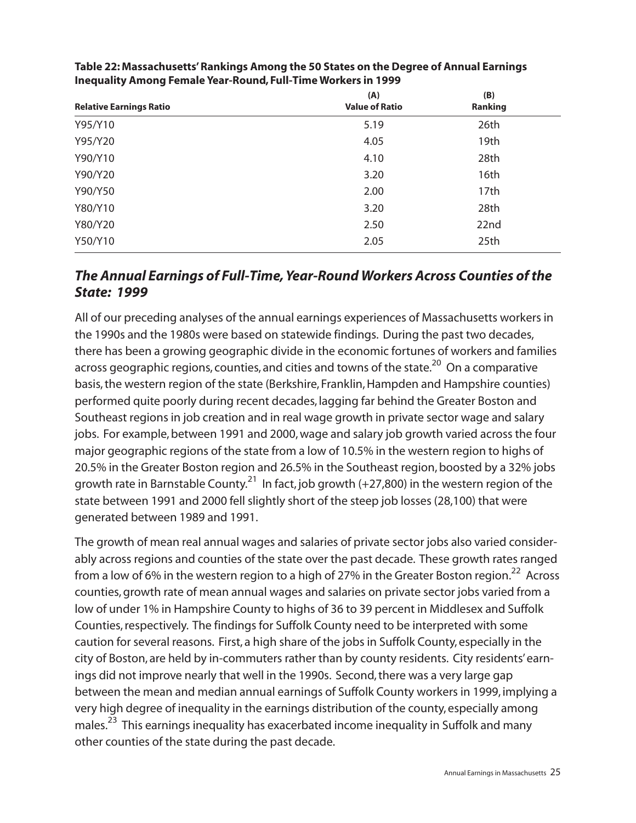| <b>Relative Earnings Ratio</b> | (A)<br><b>Value of Ratio</b> | (B)<br>Ranking |  |
|--------------------------------|------------------------------|----------------|--|
| Y95/Y10                        | 5.19                         | 26th           |  |
| Y95/Y20                        | 4.05                         | 19th           |  |
| Y90/Y10                        | 4.10                         | 28th           |  |
| Y90/Y20                        | 3.20                         | 16th           |  |
| Y90/Y50                        | 2.00                         | 17th           |  |
| Y80/Y10                        | 3.20                         | 28th           |  |
| Y80/Y20                        | 2.50                         | 22nd           |  |
| Y50/Y10                        | 2.05                         | 25th           |  |

**Table 22: Massachusetts' Rankings Among the 50 States on the Degree of Annual Earnings Inequality Among Female Year-Round, Full-Time Workers in 1999**

### *The Annual Earnings of Full-Time, Year-Round Workers Across Counties of the State: 1999*

All of our preceding analyses of the annual earnings experiences of Massachusetts workers in the 1990s and the 1980s were based on statewide findings. During the past two decades, there has been a growing geographic divide in the economic fortunes of workers and families across geographic regions, counties, and cities and towns of the state.<sup>20</sup> On a comparative basis, the western region of the state (Berkshire, Franklin, Hampden and Hampshire counties) performed quite poorly during recent decades, lagging far behind the Greater Boston and Southeast regions in job creation and in real wage growth in private sector wage and salary jobs. For example, between 1991 and 2000, wage and salary job growth varied across the four major geographic regions of the state from a low of 10.5% in the western region to highs of 20.5% in the Greater Boston region and 26.5% in the Southeast region, boosted by a 32% jobs growth rate in Barnstable County.<sup>21</sup> In fact, job growth (+27,800) in the western region of the state between 1991 and 2000 fell slightly short of the steep job losses (28,100) that were generated between 1989 and 1991.

The growth of mean real annual wages and salaries of private sector jobs also varied considerably across regions and counties of the state over the past decade. These growth rates ranged from a low of 6% in the western region to a high of 27% in the Greater Boston region.<sup>22</sup> Across counties, growth rate of mean annual wages and salaries on private sector jobs varied from a low of under 1% in Hampshire County to highs of 36 to 39 percent in Middlesex and Suffolk Counties, respectively. The findings for Suffolk County need to be interpreted with some caution for several reasons. First, a high share of the jobs in Suffolk County, especially in the city of Boston, are held by in-commuters rather than by county residents. City residents' earnings did not improve nearly that well in the 1990s. Second, there was a very large gap between the mean and median annual earnings of Suffolk County workers in 1999, implying a very high degree of inequality in the earnings distribution of the county, especially among males.<sup>23</sup> This earnings inequality has exacerbated income inequality in Suffolk and many other counties of the state during the past decade.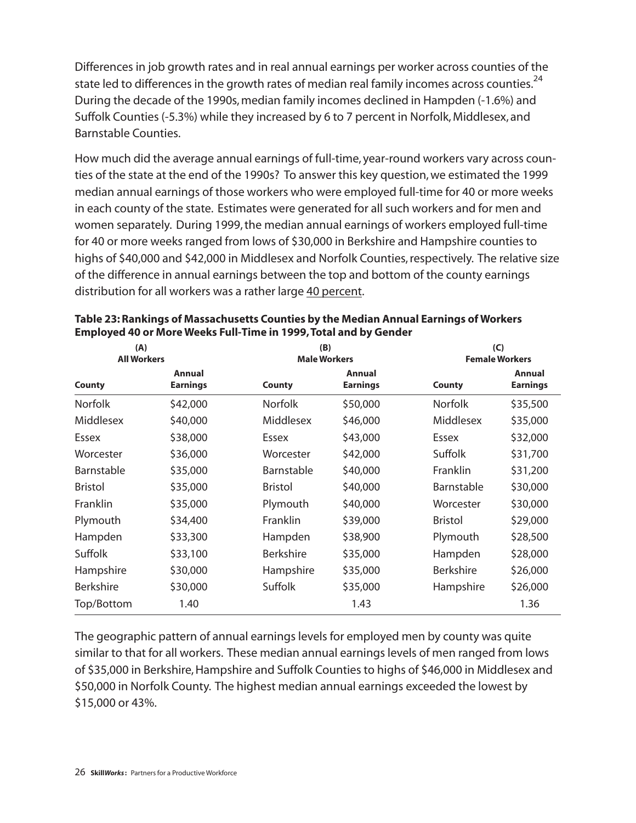Differences in job growth rates and in real annual earnings per worker across counties of the state led to differences in the growth rates of median real family incomes across counties.<sup>24</sup> During the decade of the 1990s, median family incomes declined in Hampden (-1.6%) and Suffolk Counties (-5.3%) while they increased by 6 to 7 percent in Norfolk, Middlesex, and Barnstable Counties.

How much did the average annual earnings of full-time, year-round workers vary across counties of the state at the end of the 1990s? To answer this key question, we estimated the 1999 median annual earnings of those workers who were employed full-time for 40 or more weeks in each county of the state. Estimates were generated for all such workers and for men and women separately. During 1999, the median annual earnings of workers employed full-time for 40 or more weeks ranged from lows of \$30,000 in Berkshire and Hampshire counties to highs of \$40,000 and \$42,000 in Middlesex and Norfolk Counties, respectively. The relative size of the difference in annual earnings between the top and bottom of the county earnings distribution for all workers was a rather large 40 percent.

| (A)<br>(B)<br><b>All Workers</b><br><b>Male Workers</b> |                           |                   | (C)<br><b>Female Workers</b> |                   |                           |
|---------------------------------------------------------|---------------------------|-------------------|------------------------------|-------------------|---------------------------|
| County                                                  | Annual<br><b>Earnings</b> | County            | Annual<br><b>Earnings</b>    | County            | Annual<br><b>Earnings</b> |
| <b>Norfolk</b>                                          | \$42,000                  | <b>Norfolk</b>    | \$50,000                     | <b>Norfolk</b>    | \$35,500                  |
| Middlesex                                               | \$40,000                  | Middlesex         | \$46,000                     | Middlesex         | \$35,000                  |
| Essex                                                   | \$38,000                  | Essex             | \$43,000                     | Essex             | \$32,000                  |
| Worcester                                               | \$36,000                  | Worcester         | \$42,000                     | Suffolk           | \$31,700                  |
| <b>Barnstable</b>                                       | \$35,000                  | <b>Barnstable</b> | \$40,000                     | Franklin          | \$31,200                  |
| <b>Bristol</b>                                          | \$35,000                  | <b>Bristol</b>    | \$40,000                     | <b>Barnstable</b> | \$30,000                  |
| <b>Franklin</b>                                         | \$35,000                  | Plymouth          | \$40,000                     | Worcester         | \$30,000                  |
| Plymouth                                                | \$34,400                  | Franklin          | \$39,000                     | <b>Bristol</b>    | \$29,000                  |
| Hampden                                                 | \$33,300                  | Hampden           | \$38,900                     | Plymouth          | \$28,500                  |
| Suffolk                                                 | \$33,100                  | <b>Berkshire</b>  | \$35,000                     | Hampden           | \$28,000                  |
| Hampshire                                               | \$30,000                  | Hampshire         | \$35,000                     | <b>Berkshire</b>  | \$26,000                  |
| <b>Berkshire</b>                                        | \$30,000                  | Suffolk           | \$35,000                     | Hampshire         | \$26,000                  |
| Top/Bottom                                              | 1.40                      |                   | 1.43                         |                   | 1.36                      |

#### **Table 23:Rankings of Massachusetts Counties by the Median Annual Earnings of Workers Employed 40 or More Weeks Full-Time in 1999,Total and by Gender**

The geographic pattern of annual earnings levels for employed men by county was quite similar to that for all workers. These median annual earnings levels of men ranged from lows of \$35,000 in Berkshire, Hampshire and Suffolk Counties to highs of \$46,000 in Middlesex and \$50,000 in Norfolk County. The highest median annual earnings exceeded the lowest by \$15,000 or 43%.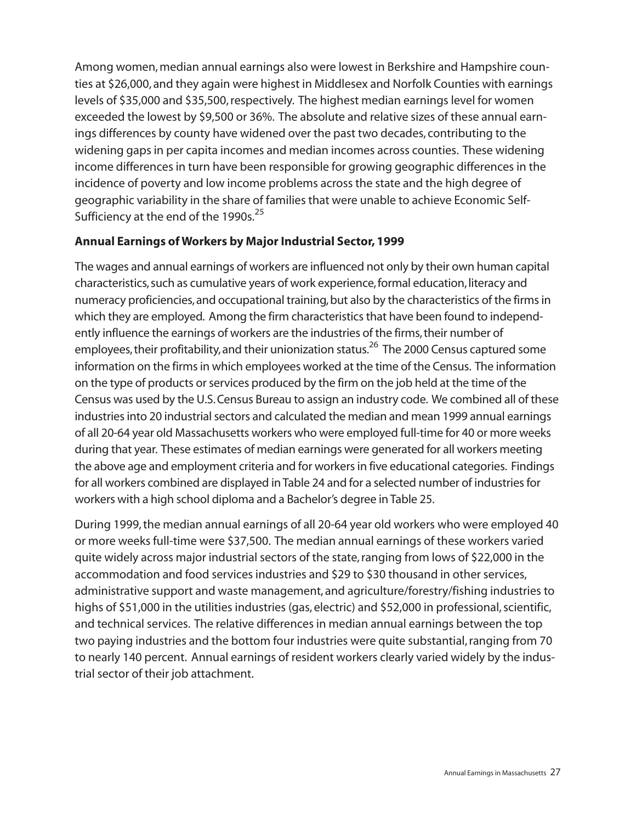Among women, median annual earnings also were lowest in Berkshire and Hampshire counties at \$26,000, and they again were highest in Middlesex and Norfolk Counties with earnings levels of \$35,000 and \$35,500, respectively. The highest median earnings level for women exceeded the lowest by \$9,500 or 36%. The absolute and relative sizes of these annual earnings differences by county have widened over the past two decades, contributing to the widening gaps in per capita incomes and median incomes across counties. These widening income differences in turn have been responsible for growing geographic differences in the incidence of poverty and low income problems across the state and the high degree of geographic variability in the share of families that were unable to achieve Economic Self-Sufficiency at the end of the 1990s. $25$ 

### **Annual Earnings of Workers by Major Industrial Sector, 1999**

The wages and annual earnings of workers are influenced not only by their own human capital characteristics, such as cumulative years of work experience, formal education, literacy and numeracy proficiencies, and occupational training, but also by the characteristics of the firms in which they are employed. Among the firm characteristics that have been found to independently influence the earnings of workers are the industries of the firms, their number of employees, their profitability, and their unionization status.<sup>26</sup> The 2000 Census captured some information on the firms in which employees worked at the time of the Census. The information on the type of products or services produced by the firm on the job held at the time of the Census was used by the U.S. Census Bureau to assign an industry code. We combined all of these industries into 20 industrial sectors and calculated the median and mean 1999 annual earnings of all 20-64 year old Massachusetts workers who were employed full-time for 40 or more weeks during that year. These estimates of median earnings were generated for all workers meeting the above age and employment criteria and for workers in five educational categories. Findings for all workers combined are displayed in Table 24 and for a selected number of industries for workers with a high school diploma and a Bachelor's degree in Table 25.

During 1999,the median annual earnings of all 20-64 year old workers who were employed 40 or more weeks full-time were \$37,500. The median annual earnings of these workers varied quite widely across major industrial sectors of the state, ranging from lows of \$22,000 in the accommodation and food services industries and \$29 to \$30 thousand in other services, administrative support and waste management, and agriculture/forestry/fishing industries to highs of \$51,000 in the utilities industries (gas, electric) and \$52,000 in professional, scientific, and technical services. The relative differences in median annual earnings between the top two paying industries and the bottom four industries were quite substantial, ranging from 70 to nearly 140 percent. Annual earnings of resident workers clearly varied widely by the industrial sector of their job attachment.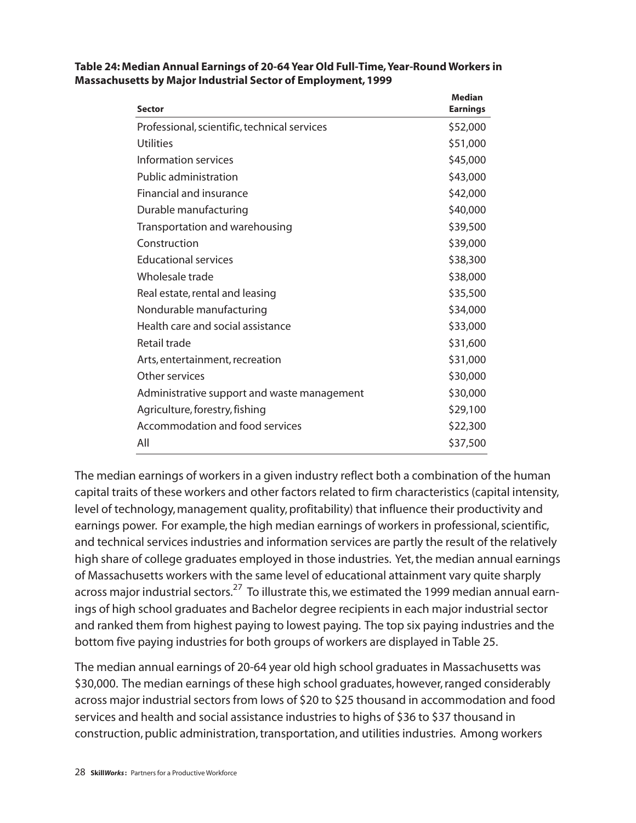| <b>Sector</b>                                | <b>Median</b><br><b>Earnings</b> |
|----------------------------------------------|----------------------------------|
| Professional, scientific, technical services | \$52,000                         |
| Utilities                                    | \$51,000                         |
| Information services                         | \$45,000                         |
| Public administration                        | \$43,000                         |
| <b>Financial and insurance</b>               | \$42,000                         |
| Durable manufacturing                        | \$40,000                         |
| Transportation and warehousing               | \$39,500                         |
| Construction                                 | \$39,000                         |
| <b>Educational services</b>                  | \$38,300                         |
| Wholesale trade                              | \$38,000                         |
| Real estate, rental and leasing              | \$35,500                         |
| Nondurable manufacturing                     | \$34,000                         |
| Health care and social assistance            | \$33,000                         |
| <b>Retail trade</b>                          | \$31,600                         |
| Arts, entertainment, recreation              | \$31,000                         |
| Other services                               | \$30,000                         |
| Administrative support and waste management  | \$30,000                         |
| Agriculture, forestry, fishing               | \$29,100                         |
| Accommodation and food services              | \$22,300                         |
| All                                          | \$37,500                         |

#### **Table 24: Median Annual Earnings of 20-64 Year Old Full-Time,Year-Round Workers in Massachusetts by Major Industrial Sector of Employment, 1999**

The median earnings of workers in a given industry reflect both a combination of the human capital traits of these workers and other factors related to firm characteristics (capital intensity, level of technology, management quality, profitability) that influence their productivity and earnings power. For example, the high median earnings of workers in professional, scientific, and technical services industries and information services are partly the result of the relatively high share of college graduates employed in those industries. Yet, the median annual earnings of Massachusetts workers with the same level of educational attainment vary quite sharply across major industrial sectors.<sup>27</sup> To illustrate this, we estimated the 1999 median annual earnings of high school graduates and Bachelor degree recipients in each major industrial sector and ranked them from highest paying to lowest paying. The top six paying industries and the bottom five paying industries for both groups of workers are displayed in Table 25.

The median annual earnings of 20-64 year old high school graduates in Massachusetts was \$30,000. The median earnings of these high school graduates, however, ranged considerably across major industrial sectors from lows of \$20 to \$25 thousand in accommodation and food services and health and social assistance industries to highs of \$36 to \$37 thousand in construction, public administration, transportation, and utilities industries. Among workers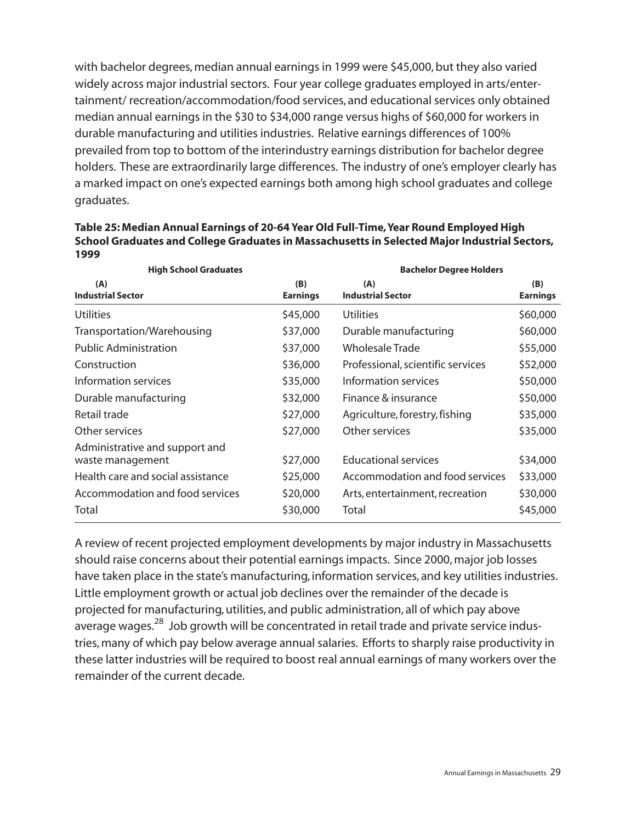with bachelor degrees, median annual earnings in 1999 were \$45,000, but they also varied widely across major industrial sectors. Four year college graduates employed in arts/entertainment/ recreation/accommodation/food services, and educational services only obtained median annual earnings in the \$30 to \$34,000 range versus highs of \$60,000 for workers in durable manufacturing and utilities industries. Relative earnings differences of 100% prevailed from top to bottom of the interindustry earnings distribution for bachelor degree holders. These are extraordinarily large differences. The industry of one's employer clearly has a marked impact on one's expected earnings both among high school graduates and college graduates.

| <b>High School Graduates</b>                       |                        | <b>Bachelor Degree Holders</b>    |                        |  |
|----------------------------------------------------|------------------------|-----------------------------------|------------------------|--|
| (A)<br><b>Industrial Sector</b>                    | (B)<br><b>Earnings</b> | (A)<br><b>Industrial Sector</b>   | (B)<br><b>Earnings</b> |  |
| <b>Utilities</b>                                   | \$45,000               | <b>Utilities</b>                  | \$60,000               |  |
| Transportation/Warehousing                         | \$37,000               | Durable manufacturing             | \$60,000               |  |
| <b>Public Administration</b>                       | \$37,000               | Wholesale Trade                   | \$55,000               |  |
| Construction                                       | \$36,000               | Professional, scientific services | \$52,000               |  |
| Information services                               | \$35,000               | Information services              | \$50,000               |  |
| Durable manufacturing                              | \$32,000               | Finance & insurance               | \$50,000               |  |
| Retail trade                                       | \$27,000               | Agriculture, forestry, fishing    | \$35,000               |  |
| Other services                                     | \$27,000               | Other services                    | \$35,000               |  |
| Administrative and support and<br>waste management | \$27,000               | Educational services              | \$34,000               |  |
| Health care and social assistance                  | \$25,000               | Accommodation and food services   | \$33,000               |  |
| Accommodation and food services                    | \$20,000               | Arts, entertainment, recreation   | \$30,000               |  |
| Total                                              | \$30,000               | Total                             | \$45,000               |  |

#### **Table 25: Median Annual Earnings of 20-64 Year Old Full-Time,Year Round Employed High School Graduates and College Graduates in Massachusetts in Selected Major Industrial Sectors, 1999**

A review of recent projected employment developments by major industry in Massachusetts should raise concerns about their potential earnings impacts. Since 2000, major job losses have taken place in the state's manufacturing, information services, and key utilities industries. Little employment growth or actual job declines over the remainder of the decade is projected for manufacturing, utilities, and public administration, all of which pay above average wages.<sup>28</sup> Job growth will be concentrated in retail trade and private service industries, many of which pay below average annual salaries. Efforts to sharply raise productivity in these latter industries will be required to boost real annual earnings of many workers over the remainder of the current decade.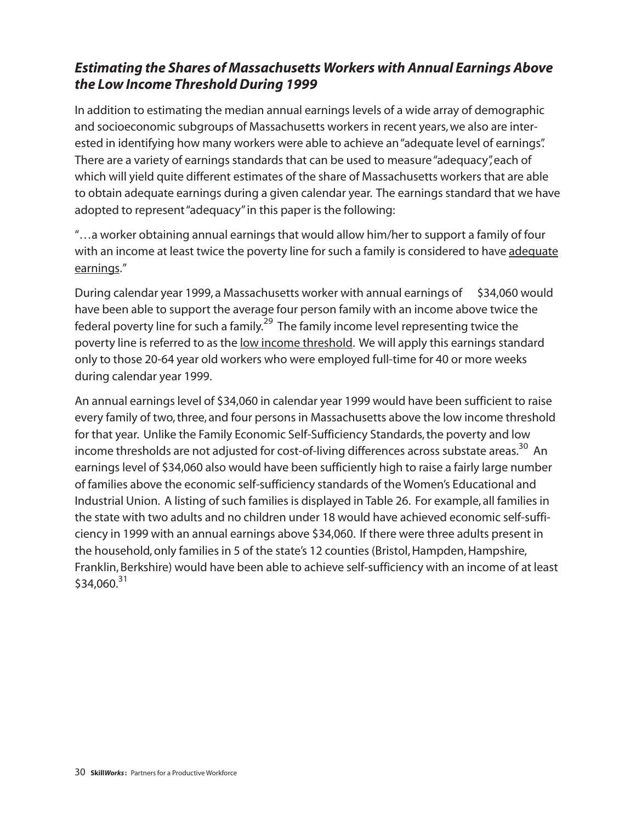# *Estimating the Shares of Massachusetts Workers with Annual Earnings Above the Low Income Threshold During 1999*

In addition to estimating the median annual earnings levels of a wide array of demographic and socioeconomic subgroups of Massachusetts workers in recent years, we also are interested in identifying how many workers were able to achieve an "adequate level of earnings". There are a variety of earnings standards that can be used to measure "adequacy", each of which will yield quite different estimates of the share of Massachusetts workers that are able to obtain adequate earnings during a given calendar year. The earnings standard that we have adopted to represent "adequacy"in this paper is the following:

"…a worker obtaining annual earnings that would allow him/her to support a family of four with an income at least twice the poverty line for such a family is considered to have adequate earnings."

During calendar year 1999, a Massachusetts worker with annual earnings of \$34,060 would have been able to support the average four person family with an income above twice the federal poverty line for such a family.<sup>29</sup> The family income level representing twice the poverty line is referred to as the low income threshold. We will apply this earnings standard only to those 20-64 year old workers who were employed full-time for 40 or more weeks during calendar year 1999.

An annual earnings level of \$34,060 in calendar year 1999 would have been sufficient to raise every family of two, three, and four persons in Massachusetts above the low income threshold for that year. Unlike the Family Economic Self-Sufficiency Standards, the poverty and low income thresholds are not adjusted for cost-of-living differences across substate areas.<sup>30</sup> An earnings level of \$34,060 also would have been sufficiently high to raise a fairly large number of families above the economic self-sufficiency standards of the Women's Educational and Industrial Union. A listing of such families is displayed in Table 26. For example, all families in the state with two adults and no children under 18 would have achieved economic self-sufficiency in 1999 with an annual earnings above \$34,060. If there were three adults present in the household, only families in 5 of the state's 12 counties (Bristol, Hampden, Hampshire, Franklin, Berkshire) would have been able to achieve self-sufficiency with an income of at least  $$34,060.<sup>31</sup>$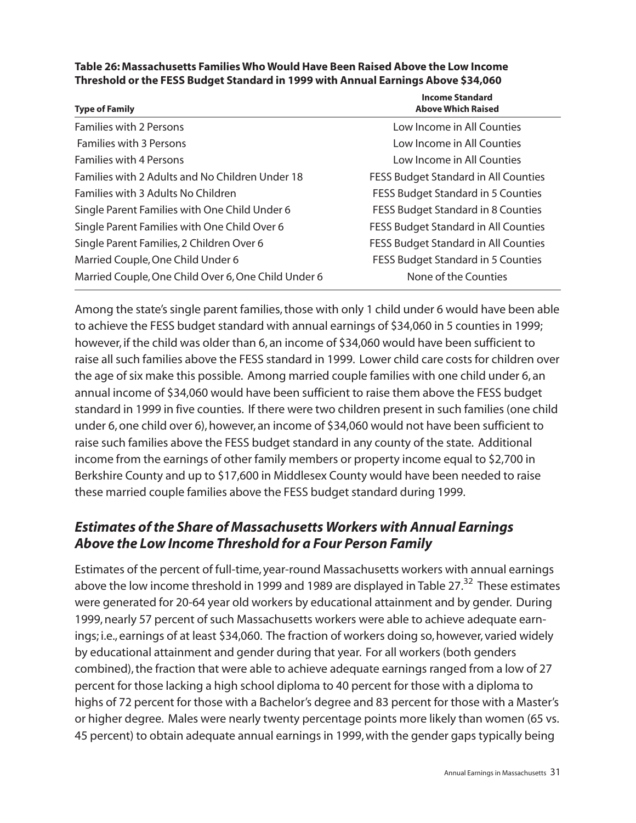#### **Table 26: Massachusetts Families Who Would Have Been Raised Above the Low Income Threshold or the FESS Budget Standard in 1999 with Annual Earnings Above \$34,060**

| <b>Type of Family</b>                               | <b>Income Standard</b><br><b>Above Which Raised</b> |
|-----------------------------------------------------|-----------------------------------------------------|
| <b>Families with 2 Persons</b>                      | Low Income in All Counties                          |
| <b>Families with 3 Persons</b>                      | Low Income in All Counties                          |
| <b>Families with 4 Persons</b>                      | Low Income in All Counties                          |
| Families with 2 Adults and No Children Under 18     | <b>FESS Budget Standard in All Counties</b>         |
| Families with 3 Adults No Children                  | FESS Budget Standard in 5 Counties                  |
| Single Parent Families with One Child Under 6       | FESS Budget Standard in 8 Counties                  |
| Single Parent Families with One Child Over 6        | <b>FESS Budget Standard in All Counties</b>         |
| Single Parent Families, 2 Children Over 6           | <b>FESS Budget Standard in All Counties</b>         |
| Married Couple, One Child Under 6                   | <b>FESS Budget Standard in 5 Counties</b>           |
| Married Couple, One Child Over 6, One Child Under 6 | None of the Counties                                |

Among the state's single parent families, those with only 1 child under 6 would have been able to achieve the FESS budget standard with annual earnings of \$34,060 in 5 counties in 1999; however, if the child was older than 6, an income of \$34,060 would have been sufficient to raise all such families above the FESS standard in 1999. Lower child care costs for children over the age of six make this possible. Among married couple families with one child under 6, an annual income of \$34,060 would have been sufficient to raise them above the FESS budget standard in 1999 in five counties. If there were two children present in such families (one child under 6, one child over 6), however, an income of \$34,060 would not have been sufficient to raise such families above the FESS budget standard in any county of the state. Additional income from the earnings of other family members or property income equal to \$2,700 in Berkshire County and up to \$17,600 in Middlesex County would have been needed to raise these married couple families above the FESS budget standard during 1999.

# *Estimates of the Share of Massachusetts Workers with Annual Earnings Above the Low Income Threshold for a Four Person Family*

Estimates of the percent of full-time, year-round Massachusetts workers with annual earnings above the low income threshold in 1999 and 1989 are displayed in Table  $27.^{32}$  These estimates were generated for 20-64 year old workers by educational attainment and by gender. During 1999, nearly 57 percent of such Massachusetts workers were able to achieve adequate earnings; i.e., earnings of at least \$34,060. The fraction of workers doing so, however, varied widely by educational attainment and gender during that year. For all workers (both genders combined), the fraction that were able to achieve adequate earnings ranged from a low of 27 percent for those lacking a high school diploma to 40 percent for those with a diploma to highs of 72 percent for those with a Bachelor's degree and 83 percent for those with a Master's or higher degree. Males were nearly twenty percentage points more likely than women (65 vs. 45 percent) to obtain adequate annual earnings in 1999, with the gender gaps typically being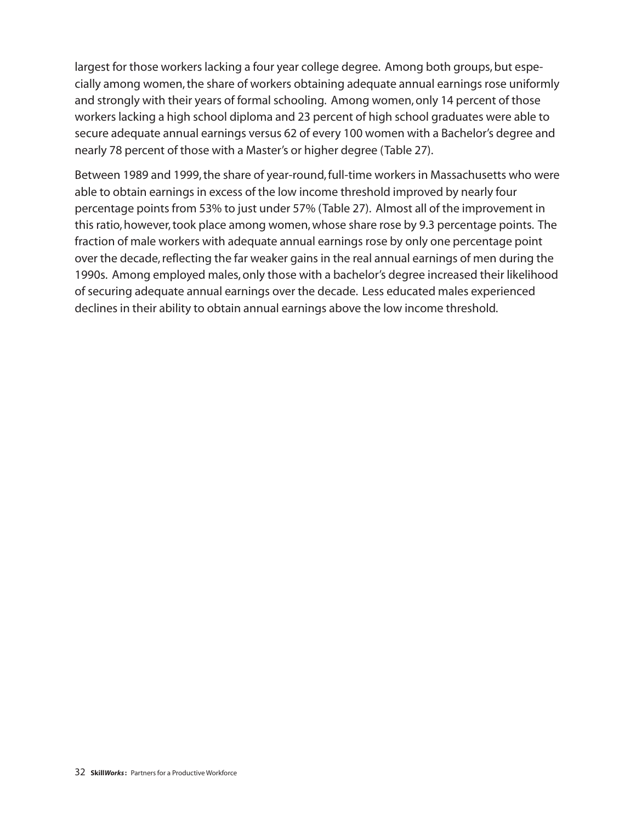largest for those workers lacking a four year college degree. Among both groups, but especially among women, the share of workers obtaining adequate annual earnings rose uniformly and strongly with their years of formal schooling. Among women, only 14 percent of those workers lacking a high school diploma and 23 percent of high school graduates were able to secure adequate annual earnings versus 62 of every 100 women with a Bachelor's degree and nearly 78 percent of those with a Master's or higher degree (Table 27).

Between 1989 and 1999, the share of year-round, full-time workers in Massachusetts who were able to obtain earnings in excess of the low income threshold improved by nearly four percentage points from 53% to just under 57% (Table 27). Almost all of the improvement in this ratio, however, took place among women, whose share rose by 9.3 percentage points. The fraction of male workers with adequate annual earnings rose by only one percentage point over the decade, reflecting the far weaker gains in the real annual earnings of men during the 1990s. Among employed males, only those with a bachelor's degree increased their likelihood of securing adequate annual earnings over the decade. Less educated males experienced declines in their ability to obtain annual earnings above the low income threshold.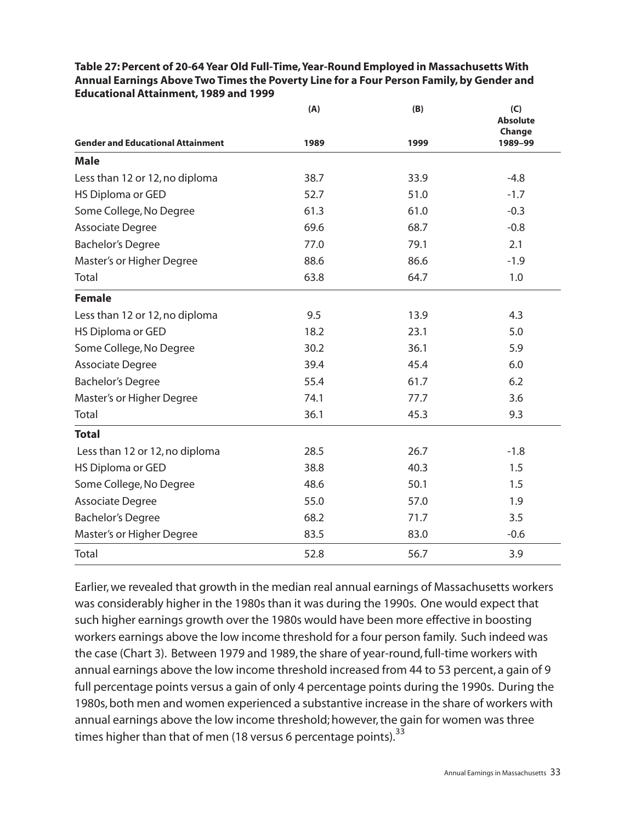| <b>Gender and Educational Attainment</b> | (A)<br>1989 | (B)<br>1999 | (C)<br><b>Absolute</b><br>Change<br>1989-99 |
|------------------------------------------|-------------|-------------|---------------------------------------------|
| <b>Male</b>                              |             |             |                                             |
| Less than 12 or 12, no diploma           | 38.7        | 33.9        | $-4.8$                                      |
| HS Diploma or GED                        | 52.7        | 51.0        | $-1.7$                                      |
| Some College, No Degree                  | 61.3        | 61.0        | $-0.3$                                      |
|                                          | 69.6        | 68.7        | $-0.8$                                      |
| Associate Degree                         |             |             |                                             |
| <b>Bachelor's Degree</b>                 | 77.0        | 79.1        | 2.1                                         |
| Master's or Higher Degree                | 88.6        | 86.6        | $-1.9$                                      |
| Total                                    | 63.8        | 64.7        | 1.0                                         |
| <b>Female</b>                            |             |             |                                             |
| Less than 12 or 12, no diploma           | 9.5         | 13.9        | 4.3                                         |
| HS Diploma or GED                        | 18.2        | 23.1        | 5.0                                         |
| Some College, No Degree                  | 30.2        | 36.1        | 5.9                                         |
| <b>Associate Degree</b>                  | 39.4        | 45.4        | 6.0                                         |
| <b>Bachelor's Degree</b>                 | 55.4        | 61.7        | 6.2                                         |
| Master's or Higher Degree                | 74.1        | 77.7        | 3.6                                         |
| Total                                    | 36.1        | 45.3        | 9.3                                         |
| <b>Total</b>                             |             |             |                                             |
| Less than 12 or 12, no diploma           | 28.5        | 26.7        | $-1.8$                                      |
| HS Diploma or GED                        | 38.8        | 40.3        | 1.5                                         |
| Some College, No Degree                  | 48.6        | 50.1        | 1.5                                         |
| Associate Degree                         | 55.0        | 57.0        | 1.9                                         |
| <b>Bachelor's Degree</b>                 | 68.2        | 71.7        | 3.5                                         |
| Master's or Higher Degree                | 83.5        | 83.0        | $-0.6$                                      |
| <b>Total</b>                             | 52.8        | 56.7        | 3.9                                         |

**Table 27: Percent of 20-64 Year Old Full-Time,Year-Round Employed in Massachusetts With Annual Earnings Above Two Times the Poverty Line for a Four Person Family, by Gender and Educational Attainment, 1989 and 1999**

Earlier, we revealed that growth in the median real annual earnings of Massachusetts workers was considerably higher in the 1980s than it was during the 1990s. One would expect that such higher earnings growth over the 1980s would have been more effective in boosting workers earnings above the low income threshold for a four person family. Such indeed was the case (Chart 3). Between 1979 and 1989, the share of year-round, full-time workers with annual earnings above the low income threshold increased from 44 to 53 percent, a gain of 9 full percentage points versus a gain of only 4 percentage points during the 1990s. During the 1980s, both men and women experienced a substantive increase in the share of workers with annual earnings above the low income threshold; however, the gain for women was three times higher than that of men (18 versus 6 percentage points). $^{33}$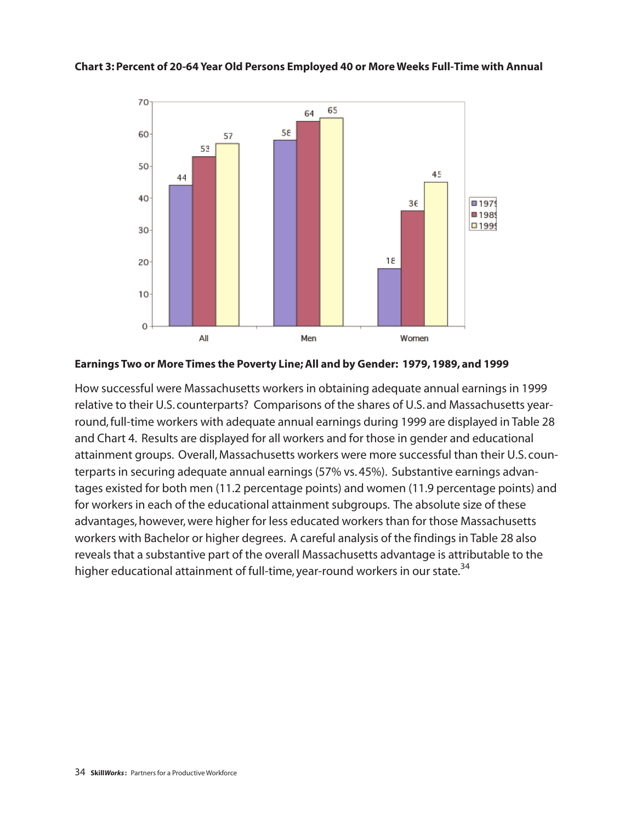**Chart 3: Percent of 20-64 Year Old Persons Employed 40 or More Weeks Full-Time with Annual**



**Earnings Two or More Times the Poverty Line; All and by Gender: 1979, 1989, and 1999**

How successful were Massachusetts workers in obtaining adequate annual earnings in 1999 relative to their U.S. counterparts? Comparisons of the shares of U.S. and Massachusetts yearround, full-time workers with adequate annual earnings during 1999 are displayed in Table 28 and Chart 4. Results are displayed for all workers and for those in gender and educational attainment groups. Overall, Massachusetts workers were more successful than their U.S. counterparts in securing adequate annual earnings (57% vs. 45%). Substantive earnings advantages existed for both men (11.2 percentage points) and women (11.9 percentage points) and for workers in each of the educational attainment subgroups. The absolute size of these advantages, however, were higher for less educated workers than for those Massachusetts workers with Bachelor or higher degrees. A careful analysis of the findings in Table 28 also reveals that a substantive part of the overall Massachusetts advantage is attributable to the higher educational attainment of full-time, year-round workers in our state.<sup>34</sup>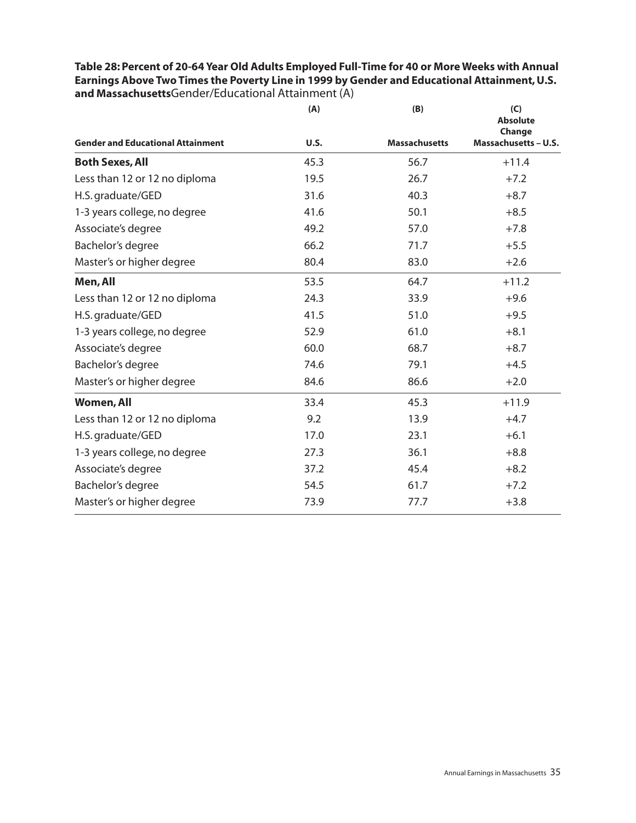**Table 28: Percent of 20-64 Year Old Adults Employed Full-Time for 40 or More Weeks with Annual Earnings Above Two Times the Poverty Line in 1999 by Gender and Educational Attainment, U.S. and Massachusetts**Gender/Educational Attainment (A)

| <b>Gender and Educational Attainment</b> | (A)<br><b>U.S.</b> | (B)<br><b>Massachusetts</b> | (C)<br><b>Absolute</b><br>Change<br>Massachusetts - U.S. |
|------------------------------------------|--------------------|-----------------------------|----------------------------------------------------------|
|                                          |                    |                             |                                                          |
| <b>Both Sexes, All</b>                   | 45.3               | 56.7                        | $+11.4$                                                  |
| Less than 12 or 12 no diploma            | 19.5               | 26.7                        | $+7.2$                                                   |
| H.S. graduate/GED                        | 31.6               | 40.3                        | $+8.7$                                                   |
| 1-3 years college, no degree             | 41.6               | 50.1                        | $+8.5$                                                   |
| Associate's degree                       | 49.2               | 57.0                        | $+7.8$                                                   |
| Bachelor's degree                        | 66.2               | 71.7                        | $+5.5$                                                   |
| Master's or higher degree                | 80.4               | 83.0                        | $+2.6$                                                   |
| Men, All                                 | 53.5               | 64.7                        | $+11.2$                                                  |
| Less than 12 or 12 no diploma            | 24.3               | 33.9                        | $+9.6$                                                   |
| H.S. graduate/GED                        | 41.5               | 51.0                        | $+9.5$                                                   |
| 1-3 years college, no degree             | 52.9               | 61.0                        | $+8.1$                                                   |
| Associate's degree                       | 60.0               | 68.7                        | $+8.7$                                                   |
| Bachelor's degree                        | 74.6               | 79.1                        | $+4.5$                                                   |
| Master's or higher degree                | 84.6               | 86.6                        | $+2.0$                                                   |
| <b>Women, All</b>                        | 33.4               | 45.3                        | $+11.9$                                                  |
| Less than 12 or 12 no diploma            | 9.2                | 13.9                        | $+4.7$                                                   |
| H.S. graduate/GED                        | 17.0               | 23.1                        | $+6.1$                                                   |
| 1-3 years college, no degree             | 27.3               | 36.1                        | $+8.8$                                                   |
| Associate's degree                       | 37.2               | 45.4                        | $+8.2$                                                   |
| Bachelor's degree                        | 54.5               | 61.7                        | $+7.2$                                                   |
| Master's or higher degree                | 73.9               | 77.7                        | $+3.8$                                                   |
|                                          |                    |                             |                                                          |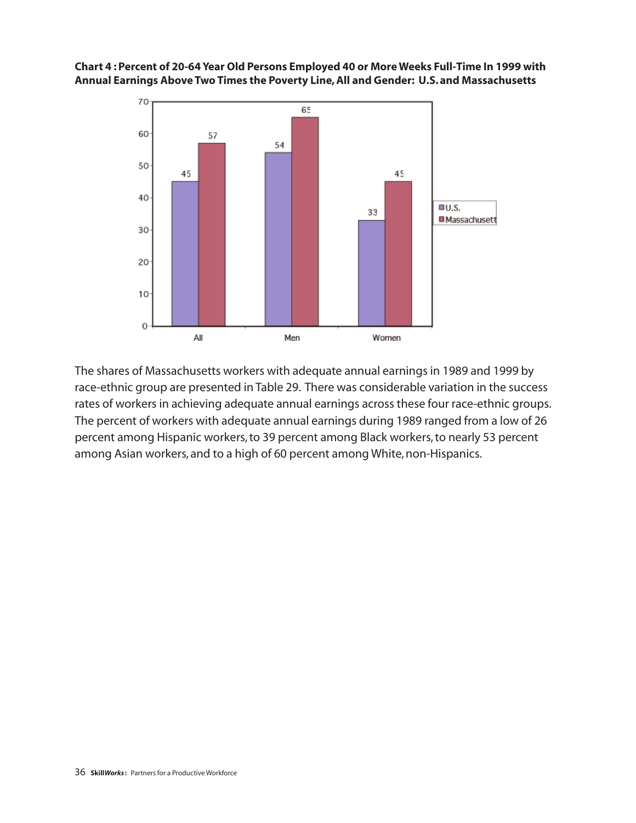**Chart 4 : Percent of 20-64 Year Old Persons Employed 40 or More Weeks Full-Time In 1999 with Annual Earnings Above Two Times the Poverty Line, All and Gender: U.S. and Massachusetts**



The shares of Massachusetts workers with adequate annual earnings in 1989 and 1999 by race-ethnic group are presented in Table 29. There was considerable variation in the success rates of workers in achieving adequate annual earnings across these four race-ethnic groups. The percent of workers with adequate annual earnings during 1989 ranged from a low of 26 percent among Hispanic workers, to 39 percent among Black workers, to nearly 53 percent among Asian workers, and to a high of 60 percent among White, non-Hispanics.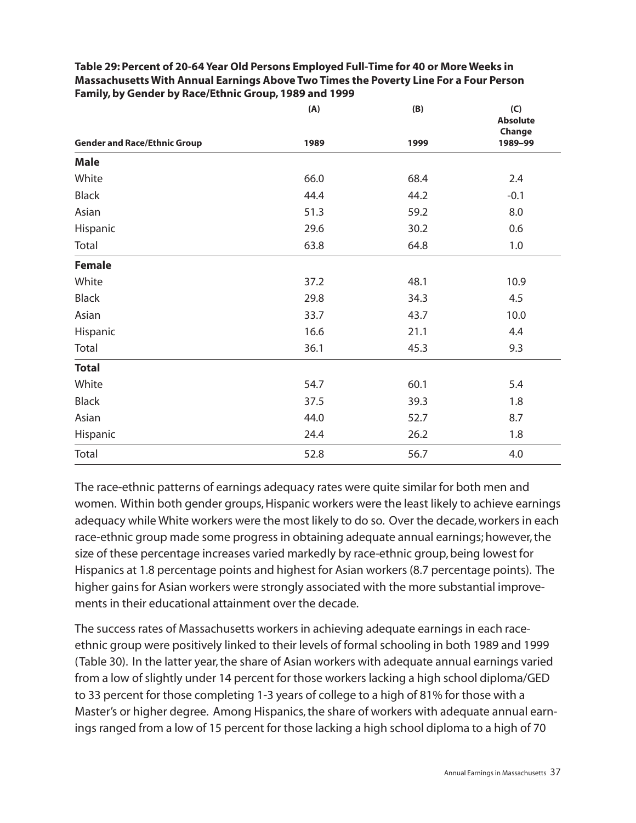|                                     | (A)  | (B)  | (C)                       |
|-------------------------------------|------|------|---------------------------|
|                                     |      |      | <b>Absolute</b><br>Change |
| <b>Gender and Race/Ethnic Group</b> | 1989 | 1999 | 1989-99                   |
| <b>Male</b>                         |      |      |                           |
| White                               | 66.0 | 68.4 | 2.4                       |
| <b>Black</b>                        | 44.4 | 44.2 | $-0.1$                    |
| Asian                               | 51.3 | 59.2 | 8.0                       |
| Hispanic                            | 29.6 | 30.2 | 0.6                       |
| Total                               | 63.8 | 64.8 | 1.0                       |
| <b>Female</b>                       |      |      |                           |
| White                               | 37.2 | 48.1 | 10.9                      |
| <b>Black</b>                        | 29.8 | 34.3 | 4.5                       |
| Asian                               | 33.7 | 43.7 | 10.0                      |
| Hispanic                            | 16.6 | 21.1 | 4.4                       |
| Total                               | 36.1 | 45.3 | 9.3                       |
| <b>Total</b>                        |      |      |                           |
| White                               | 54.7 | 60.1 | 5.4                       |
| <b>Black</b>                        | 37.5 | 39.3 | 1.8                       |
| Asian                               | 44.0 | 52.7 | 8.7                       |
| Hispanic                            | 24.4 | 26.2 | 1.8                       |
| Total                               | 52.8 | 56.7 | 4.0                       |

**Table 29: Percent of 20-64 Year Old Persons Employed Full-Time for 40 or More Weeks in Massachusetts With Annual Earnings Above Two Times the Poverty Line For a Four Person Family, by Gender by Race/Ethnic Group, 1989 and 1999**

The race-ethnic patterns of earnings adequacy rates were quite similar for both men and women. Within both gender groups, Hispanic workers were the least likely to achieve earnings adequacy while White workers were the most likely to do so. Over the decade, workers in each race-ethnic group made some progress in obtaining adequate annual earnings; however, the size of these percentage increases varied markedly by race-ethnic group, being lowest for Hispanics at 1.8 percentage points and highest for Asian workers (8.7 percentage points). The higher gains for Asian workers were strongly associated with the more substantial improvements in their educational attainment over the decade.

The success rates of Massachusetts workers in achieving adequate earnings in each raceethnic group were positively linked to their levels of formal schooling in both 1989 and 1999 (Table 30). In the latter year, the share of Asian workers with adequate annual earnings varied from a low of slightly under 14 percent for those workers lacking a high school diploma/GED to 33 percent for those completing 1-3 years of college to a high of 81% for those with a Master's or higher degree. Among Hispanics, the share of workers with adequate annual earnings ranged from a low of 15 percent for those lacking a high school diploma to a high of 70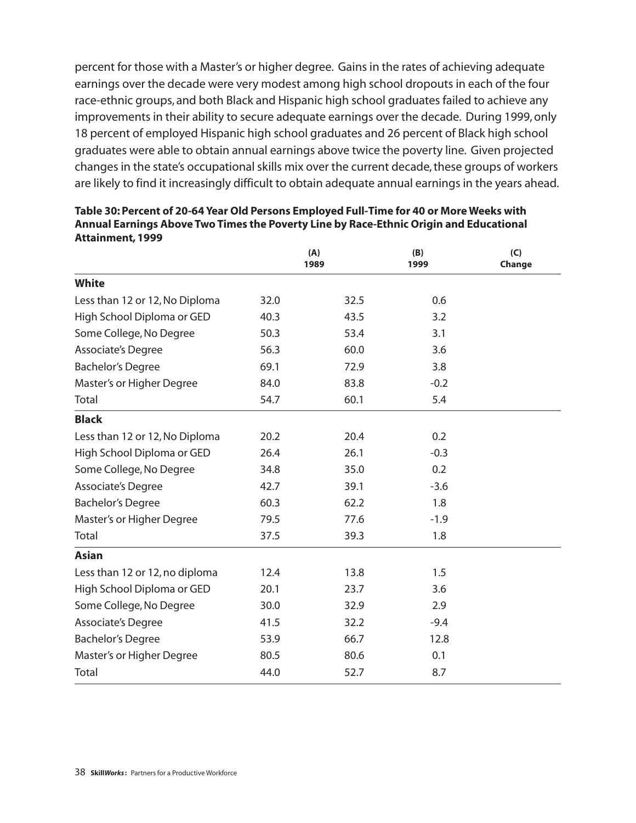percent for those with a Master's or higher degree. Gains in the rates of achieving adequate earnings over the decade were very modest among high school dropouts in each of the four race-ethnic groups, and both Black and Hispanic high school graduates failed to achieve any improvements in their ability to secure adequate earnings over the decade. During 1999, only 18 percent of employed Hispanic high school graduates and 26 percent of Black high school graduates were able to obtain annual earnings above twice the poverty line. Given projected changes in the state's occupational skills mix over the current decade, these groups of workers are likely to find it increasingly difficult to obtain adequate annual earnings in the years ahead.

|                                |      | (A)<br>1989 | (B)<br>1999 | (C)<br>Change |
|--------------------------------|------|-------------|-------------|---------------|
| <b>White</b>                   |      |             |             |               |
| Less than 12 or 12, No Diploma | 32.0 | 32.5        | 0.6         |               |
| High School Diploma or GED     | 40.3 | 43.5        | 3.2         |               |
| Some College, No Degree        | 50.3 | 53.4        | 3.1         |               |
| Associate's Degree             | 56.3 | 60.0        | 3.6         |               |
| <b>Bachelor's Degree</b>       | 69.1 | 72.9        | 3.8         |               |
| Master's or Higher Degree      | 84.0 | 83.8        | $-0.2$      |               |
| Total                          | 54.7 | 60.1        | 5.4         |               |
| <b>Black</b>                   |      |             |             |               |
| Less than 12 or 12, No Diploma | 20.2 | 20.4        | 0.2         |               |
| High School Diploma or GED     | 26.4 | 26.1        | $-0.3$      |               |
| Some College, No Degree        | 34.8 | 35.0        | 0.2         |               |
| Associate's Degree             | 42.7 | 39.1        | $-3.6$      |               |
| <b>Bachelor's Degree</b>       | 60.3 | 62.2        | 1.8         |               |
| Master's or Higher Degree      | 79.5 | 77.6        | $-1.9$      |               |
| Total                          | 37.5 | 39.3        | 1.8         |               |
| <b>Asian</b>                   |      |             |             |               |
| Less than 12 or 12, no diploma | 12.4 | 13.8        | 1.5         |               |
| High School Diploma or GED     | 20.1 | 23.7        | 3.6         |               |
| Some College, No Degree        | 30.0 | 32.9        | 2.9         |               |
| Associate's Degree             | 41.5 | 32.2        | $-9.4$      |               |
| <b>Bachelor's Degree</b>       | 53.9 | 66.7        | 12.8        |               |
| Master's or Higher Degree      | 80.5 | 80.6        | 0.1         |               |
| Total                          | 44.0 | 52.7        | 8.7         |               |

**Table 30: Percent of 20-64 Year Old Persons Employed Full-Time for 40 or More Weeks with Annual Earnings Above Two Times the Poverty Line by Race-Ethnic Origin and Educational Attainment, 1999**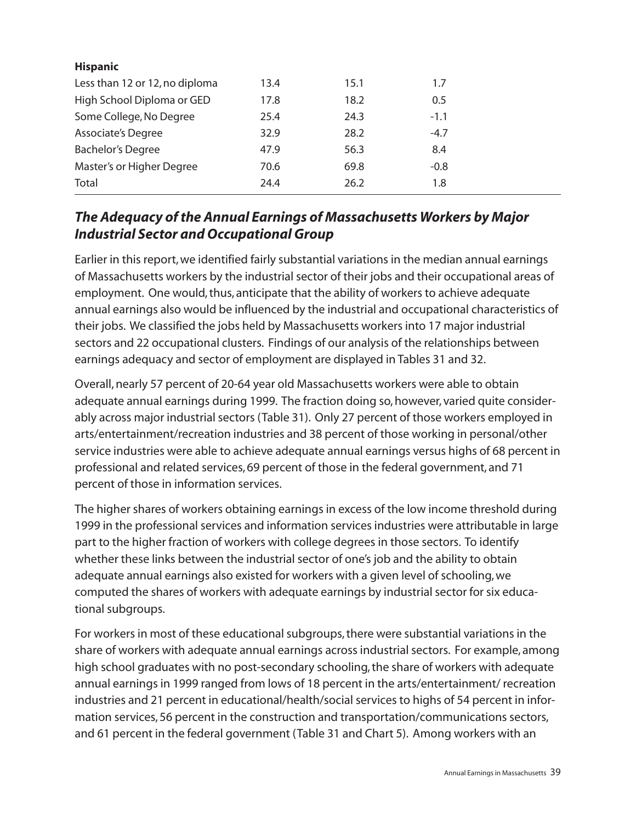| <b>Hispanic</b>                |      |      |        |
|--------------------------------|------|------|--------|
| Less than 12 or 12, no diploma | 13.4 | 15.1 | 1.7    |
| High School Diploma or GED     | 17.8 | 18.2 | 0.5    |
| Some College, No Degree        | 25.4 | 24.3 | $-1.1$ |
| <b>Associate's Degree</b>      | 32.9 | 28.2 | $-4.7$ |
| <b>Bachelor's Degree</b>       | 47.9 | 56.3 | 8.4    |
| Master's or Higher Degree      | 70.6 | 69.8 | $-0.8$ |
| Total                          | 24.4 | 26.2 | 1.8    |
|                                |      |      |        |

# *The Adequacy of the Annual Earnings of Massachusetts Workers by Major Industrial Sector and Occupational Group*

Earlier in this report, we identified fairly substantial variations in the median annual earnings of Massachusetts workers by the industrial sector of their jobs and their occupational areas of employment. One would, thus, anticipate that the ability of workers to achieve adequate annual earnings also would be influenced by the industrial and occupational characteristics of their jobs. We classified the jobs held by Massachusetts workers into 17 major industrial sectors and 22 occupational clusters. Findings of our analysis of the relationships between earnings adequacy and sector of employment are displayed in Tables 31 and 32.

Overall, nearly 57 percent of 20-64 year old Massachusetts workers were able to obtain adequate annual earnings during 1999. The fraction doing so, however, varied quite considerably across major industrial sectors (Table 31). Only 27 percent of those workers employed in arts/entertainment/recreation industries and 38 percent of those working in personal/other service industries were able to achieve adequate annual earnings versus highs of 68 percent in professional and related services, 69 percent of those in the federal government, and 71 percent of those in information services.

The higher shares of workers obtaining earnings in excess of the low income threshold during 1999 in the professional services and information services industries were attributable in large part to the higher fraction of workers with college degrees in those sectors. To identify whether these links between the industrial sector of one's job and the ability to obtain adequate annual earnings also existed for workers with a given level of schooling, we computed the shares of workers with adequate earnings by industrial sector for six educational subgroups.

For workers in most of these educational subgroups, there were substantial variations in the share of workers with adequate annual earnings across industrial sectors. For example, among high school graduates with no post-secondary schooling, the share of workers with adequate annual earnings in 1999 ranged from lows of 18 percent in the arts/entertainment/ recreation industries and 21 percent in educational/health/social services to highs of 54 percent in information services, 56 percent in the construction and transportation/communications sectors, and 61 percent in the federal government (Table 31 and Chart 5). Among workers with an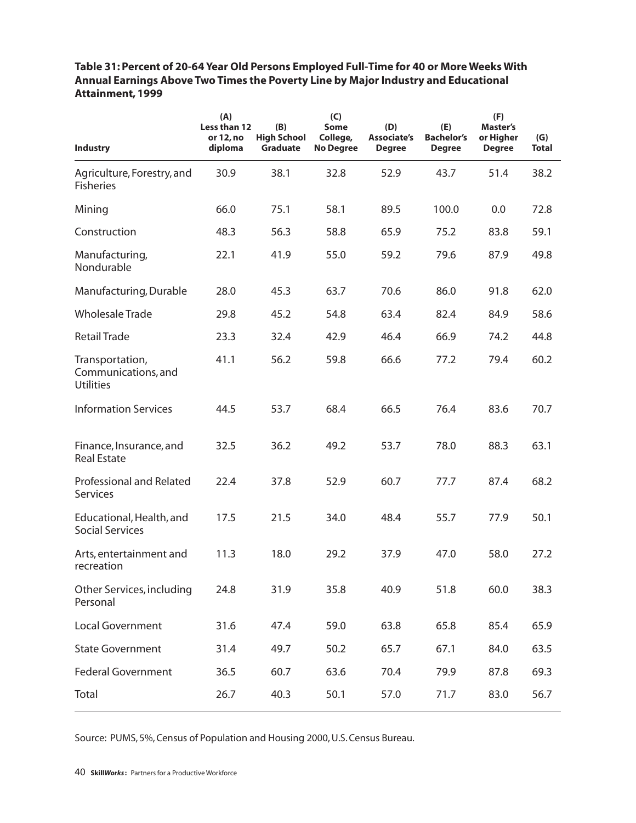**Table 31: Percent of 20-64 Year Old Persons Employed Full-Time for 40 or More Weeks With Annual Earnings Above Two Times the Poverty Line by Major Industry and Educational Attainment, 1999**

| <b>Industry</b>                                            | (A)<br>Less than 12<br>or 12, no<br>diploma | (B)<br><b>High School</b><br><b>Graduate</b> | (C)<br>Some<br>College,<br><b>No Degree</b> | (D)<br>Associate's<br><b>Degree</b> | (E)<br><b>Bachelor's</b><br><b>Degree</b> | (F)<br><b>Master's</b><br>or Higher<br><b>Degree</b> | (G)<br><b>Total</b> |
|------------------------------------------------------------|---------------------------------------------|----------------------------------------------|---------------------------------------------|-------------------------------------|-------------------------------------------|------------------------------------------------------|---------------------|
| Agriculture, Forestry, and<br><b>Fisheries</b>             | 30.9                                        | 38.1                                         | 32.8                                        | 52.9                                | 43.7                                      | 51.4                                                 | 38.2                |
| Mining                                                     | 66.0                                        | 75.1                                         | 58.1                                        | 89.5                                | 100.0                                     | 0.0                                                  | 72.8                |
| Construction                                               | 48.3                                        | 56.3                                         | 58.8                                        | 65.9                                | 75.2                                      | 83.8                                                 | 59.1                |
| Manufacturing,<br>Nondurable                               | 22.1                                        | 41.9                                         | 55.0                                        | 59.2                                | 79.6                                      | 87.9                                                 | 49.8                |
| Manufacturing, Durable                                     | 28.0                                        | 45.3                                         | 63.7                                        | 70.6                                | 86.0                                      | 91.8                                                 | 62.0                |
| <b>Wholesale Trade</b>                                     | 29.8                                        | 45.2                                         | 54.8                                        | 63.4                                | 82.4                                      | 84.9                                                 | 58.6                |
| <b>Retail Trade</b>                                        | 23.3                                        | 32.4                                         | 42.9                                        | 46.4                                | 66.9                                      | 74.2                                                 | 44.8                |
| Transportation,<br>Communications, and<br><b>Utilities</b> | 41.1                                        | 56.2                                         | 59.8                                        | 66.6                                | 77.2                                      | 79.4                                                 | 60.2                |
| <b>Information Services</b>                                | 44.5                                        | 53.7                                         | 68.4                                        | 66.5                                | 76.4                                      | 83.6                                                 | 70.7                |
| Finance, Insurance, and<br><b>Real Estate</b>              | 32.5                                        | 36.2                                         | 49.2                                        | 53.7                                | 78.0                                      | 88.3                                                 | 63.1                |
| Professional and Related<br><b>Services</b>                | 22.4                                        | 37.8                                         | 52.9                                        | 60.7                                | 77.7                                      | 87.4                                                 | 68.2                |
| Educational, Health, and<br><b>Social Services</b>         | 17.5                                        | 21.5                                         | 34.0                                        | 48.4                                | 55.7                                      | 77.9                                                 | 50.1                |
| Arts, entertainment and<br>recreation                      | 11.3                                        | 18.0                                         | 29.2                                        | 37.9                                | 47.0                                      | 58.0                                                 | 27.2                |
| Other Services, including<br>Personal                      | 24.8                                        | 31.9                                         | 35.8                                        | 40.9                                | 51.8                                      | 60.0                                                 | 38.3                |
| Local Government                                           | 31.6                                        | 47.4                                         | 59.0                                        | 63.8                                | 65.8                                      | 85.4                                                 | 65.9                |
| <b>State Government</b>                                    | 31.4                                        | 49.7                                         | 50.2                                        | 65.7                                | 67.1                                      | 84.0                                                 | 63.5                |
| <b>Federal Government</b>                                  | 36.5                                        | 60.7                                         | 63.6                                        | 70.4                                | 79.9                                      | 87.8                                                 | 69.3                |
| Total                                                      | 26.7                                        | 40.3                                         | 50.1                                        | 57.0                                | 71.7                                      | 83.0                                                 | 56.7                |

Source: PUMS, 5%, Census of Population and Housing 2000, U.S. Census Bureau.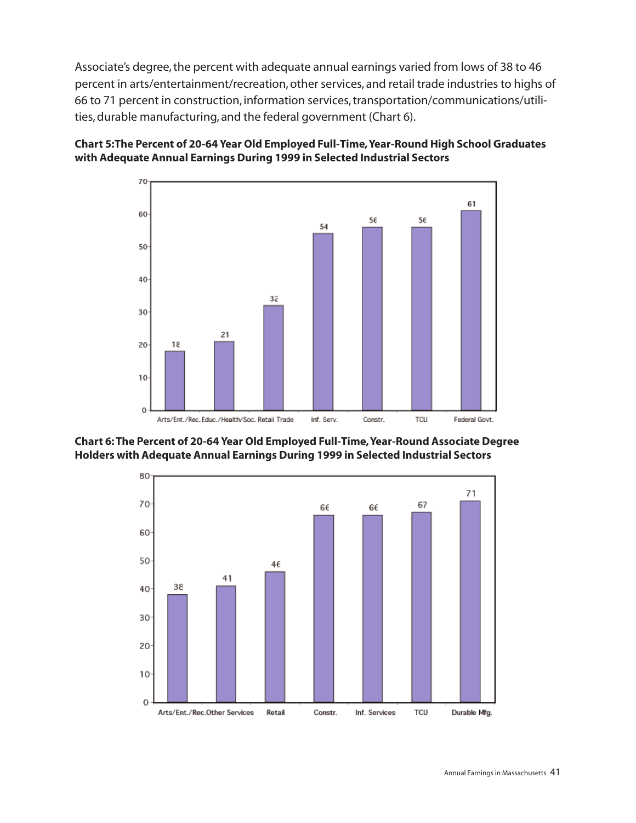Associate's degree, the percent with adequate annual earnings varied from lows of 38 to 46 percent in arts/entertainment/recreation, other services, and retail trade industries to highs of 66 to 71 percent in construction, information services, transportation/communications/utilities, durable manufacturing, and the federal government (Chart 6).



### **Chart 5:The Percent of 20-64 Year Old Employed Full-Time,Year-Round High School Graduates with Adequate Annual Earnings During 1999 in Selected Industrial Sectors**

**Chart 6:The Percent of 20-64 Year Old Employed Full-Time,Year-Round Associate Degree Holders with Adequate Annual Earnings During 1999 in Selected Industrial Sectors**

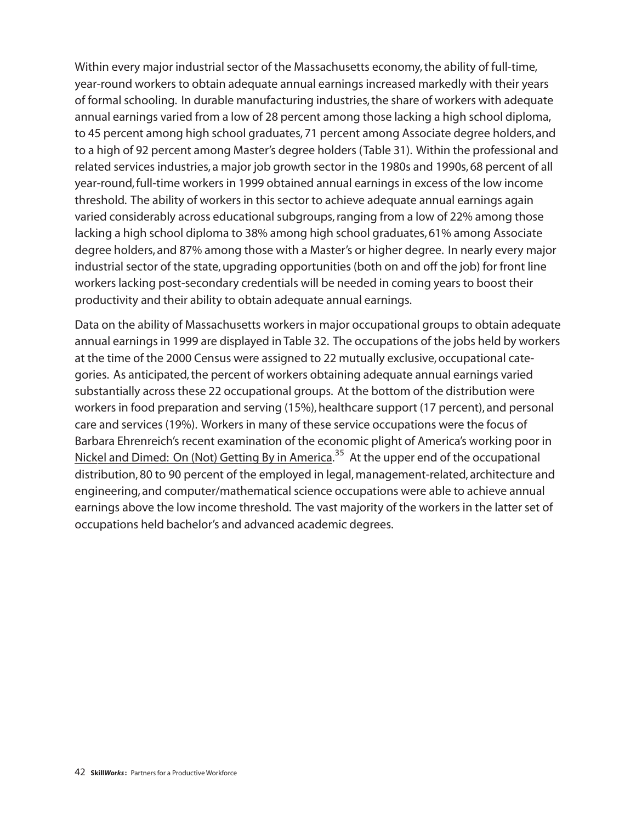Within every major industrial sector of the Massachusetts economy, the ability of full-time, year-round workers to obtain adequate annual earnings increased markedly with their years of formal schooling. In durable manufacturing industries, the share of workers with adequate annual earnings varied from a low of 28 percent among those lacking a high school diploma, to 45 percent among high school graduates, 71 percent among Associate degree holders, and to a high of 92 percent among Master's degree holders (Table 31). Within the professional and related services industries, a major job growth sector in the 1980s and 1990s, 68 percent of all year-round, full-time workers in 1999 obtained annual earnings in excess of the low income threshold. The ability of workers in this sector to achieve adequate annual earnings again varied considerably across educational subgroups, ranging from a low of 22% among those lacking a high school diploma to 38% among high school graduates, 61% among Associate degree holders, and 87% among those with a Master's or higher degree. In nearly every major industrial sector of the state, upgrading opportunities (both on and off the job) for front line workers lacking post-secondary credentials will be needed in coming years to boost their productivity and their ability to obtain adequate annual earnings.

Data on the ability of Massachusetts workers in major occupational groups to obtain adequate annual earnings in 1999 are displayed in Table 32. The occupations of the jobs held by workers at the time of the 2000 Census were assigned to 22 mutually exclusive, occupational categories. As anticipated, the percent of workers obtaining adequate annual earnings varied substantially across these 22 occupational groups. At the bottom of the distribution were workers in food preparation and serving (15%), healthcare support (17 percent), and personal care and services (19%). Workers in many of these service occupations were the focus of Barbara Ehrenreich's recent examination of the economic plight of America's working poor in Nickel and Dimed: On (Not) Getting By in America.<sup>35</sup> At the upper end of the occupational distribution, 80 to 90 percent of the employed in legal, management-related, architecture and engineering, and computer/mathematical science occupations were able to achieve annual earnings above the low income threshold. The vast majority of the workers in the latter set of occupations held bachelor's and advanced academic degrees.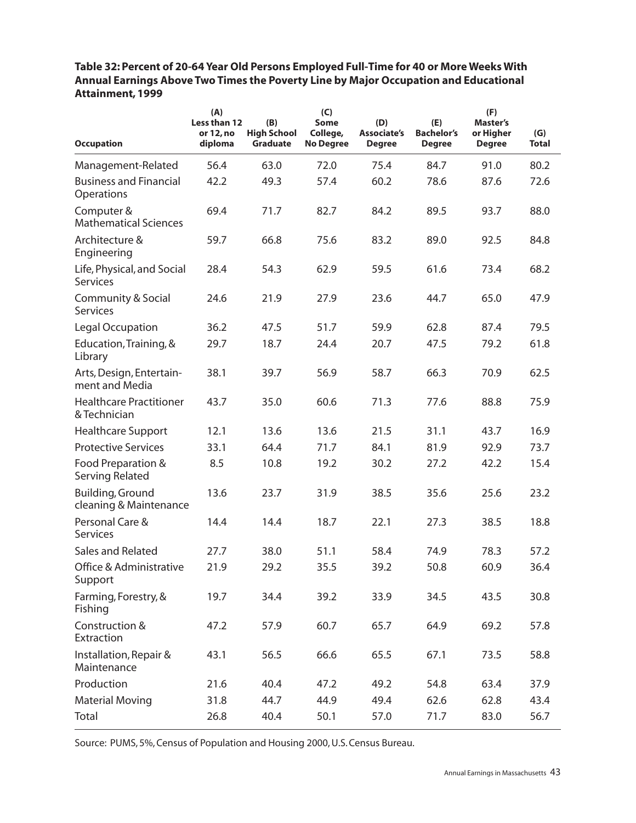**Table 32: Percent of 20-64 Year Old Persons Employed Full-Time for 40 or More Weeks With Annual Earnings Above Two Times the Poverty Line by Major Occupation and Educational Attainment, 1999**

| <b>Occupation</b>                              | (A)<br>Less than 12<br>or 12, no<br>diploma | (B)<br><b>High School</b><br><b>Graduate</b> | (C)<br><b>Some</b><br>College,<br><b>No Degree</b> | (D)<br><b>Associate's</b><br><b>Degree</b> | (E)<br><b>Bachelor's</b><br><b>Degree</b> | (F)<br><b>Master's</b><br>or Higher<br><b>Degree</b> | (G)<br><b>Total</b> |
|------------------------------------------------|---------------------------------------------|----------------------------------------------|----------------------------------------------------|--------------------------------------------|-------------------------------------------|------------------------------------------------------|---------------------|
| Management-Related                             | 56.4                                        | 63.0                                         | 72.0                                               | 75.4                                       | 84.7                                      | 91.0                                                 | 80.2                |
| <b>Business and Financial</b><br>Operations    | 42.2                                        | 49.3                                         | 57.4                                               | 60.2                                       | 78.6                                      | 87.6                                                 | 72.6                |
| Computer &<br><b>Mathematical Sciences</b>     | 69.4                                        | 71.7                                         | 82.7                                               | 84.2                                       | 89.5                                      | 93.7                                                 | 88.0                |
| Architecture &<br>Engineering                  | 59.7                                        | 66.8                                         | 75.6                                               | 83.2                                       | 89.0                                      | 92.5                                                 | 84.8                |
| Life, Physical, and Social<br><b>Services</b>  | 28.4                                        | 54.3                                         | 62.9                                               | 59.5                                       | 61.6                                      | 73.4                                                 | 68.2                |
| Community & Social<br><b>Services</b>          | 24.6                                        | 21.9                                         | 27.9                                               | 23.6                                       | 44.7                                      | 65.0                                                 | 47.9                |
| Legal Occupation                               | 36.2                                        | 47.5                                         | 51.7                                               | 59.9                                       | 62.8                                      | 87.4                                                 | 79.5                |
| Education, Training, &<br>Library              | 29.7                                        | 18.7                                         | 24.4                                               | 20.7                                       | 47.5                                      | 79.2                                                 | 61.8                |
| Arts, Design, Entertain-<br>ment and Media     | 38.1                                        | 39.7                                         | 56.9                                               | 58.7                                       | 66.3                                      | 70.9                                                 | 62.5                |
| <b>Healthcare Practitioner</b><br>& Technician | 43.7                                        | 35.0                                         | 60.6                                               | 71.3                                       | 77.6                                      | 88.8                                                 | 75.9                |
| <b>Healthcare Support</b>                      | 12.1                                        | 13.6                                         | 13.6                                               | 21.5                                       | 31.1                                      | 43.7                                                 | 16.9                |
| <b>Protective Services</b>                     | 33.1                                        | 64.4                                         | 71.7                                               | 84.1                                       | 81.9                                      | 92.9                                                 | 73.7                |
| Food Preparation &<br>Serving Related          | 8.5                                         | 10.8                                         | 19.2                                               | 30.2                                       | 27.2                                      | 42.2                                                 | 15.4                |
| Building, Ground<br>cleaning & Maintenance     | 13.6                                        | 23.7                                         | 31.9                                               | 38.5                                       | 35.6                                      | 25.6                                                 | 23.2                |
| Personal Care &<br><b>Services</b>             | 14.4                                        | 14.4                                         | 18.7                                               | 22.1                                       | 27.3                                      | 38.5                                                 | 18.8                |
| Sales and Related                              | 27.7                                        | 38.0                                         | 51.1                                               | 58.4                                       | 74.9                                      | 78.3                                                 | 57.2                |
| Office & Administrative<br>Support             | 21.9                                        | 29.2                                         | 35.5                                               | 39.2                                       | 50.8                                      | 60.9                                                 | 36.4                |
| Farming, Forestry, &<br>Fishing                | 19.7                                        | 34.4                                         | 39.2                                               | 33.9                                       | 34.5                                      | 43.5                                                 | 30.8                |
| Construction &<br>Extraction                   | 47.2                                        | 57.9                                         | 60.7                                               | 65.7                                       | 64.9                                      | 69.2                                                 | 57.8                |
| Installation, Repair &<br>Maintenance          | 43.1                                        | 56.5                                         | 66.6                                               | 65.5                                       | 67.1                                      | 73.5                                                 | 58.8                |
| Production                                     | 21.6                                        | 40.4                                         | 47.2                                               | 49.2                                       | 54.8                                      | 63.4                                                 | 37.9                |
| <b>Material Moving</b>                         | 31.8                                        | 44.7                                         | 44.9                                               | 49.4                                       | 62.6                                      | 62.8                                                 | 43.4                |
| Total                                          | 26.8                                        | 40.4                                         | 50.1                                               | 57.0                                       | 71.7                                      | 83.0                                                 | 56.7                |

Source: PUMS, 5%, Census of Population and Housing 2000, U.S. Census Bureau.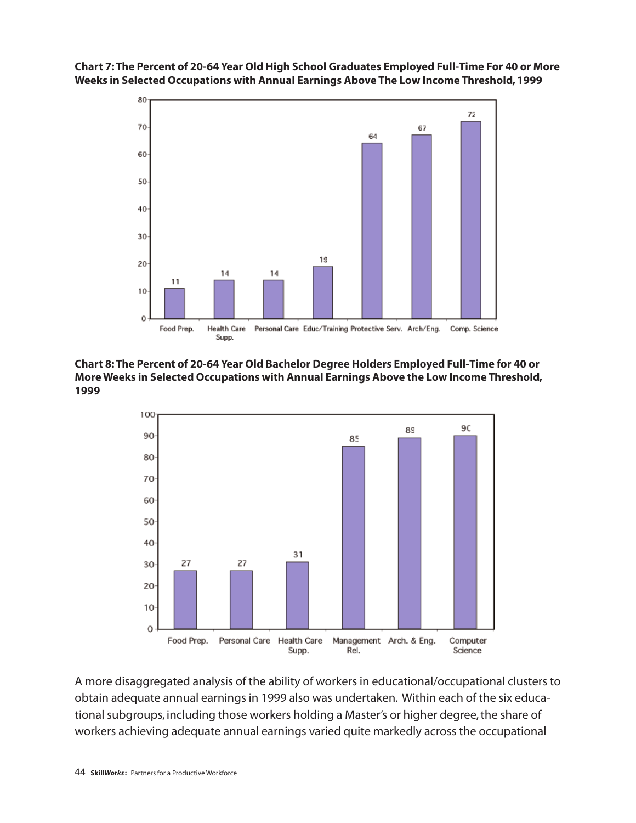**Chart 7: The Percent of 20-64 Year Old High School Graduates Employed Full-Time For 40 or More Weeks in Selected Occupations with Annual Earnings Above The Low Income Threshold, 1999**



**Chart 8: The Percent of 20-64 Year Old Bachelor Degree Holders Employed Full-Time for 40 or More Weeks in Selected Occupations with Annual Earnings Above the Low Income Threshold, 1999**



A more disaggregated analysis of the ability of workers in educational/occupational clusters to obtain adequate annual earnings in 1999 also was undertaken. Within each of the six educational subgroups, including those workers holding a Master's or higher degree, the share of workers achieving adequate annual earnings varied quite markedly across the occupational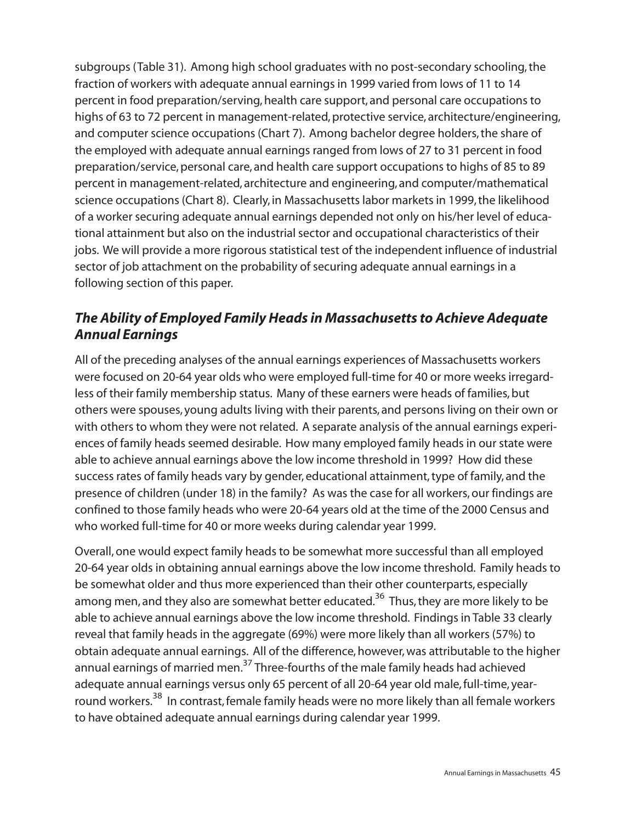subgroups (Table 31). Among high school graduates with no post-secondary schooling, the fraction of workers with adequate annual earnings in 1999 varied from lows of 11 to 14 percent in food preparation/serving, health care support, and personal care occupations to highs of 63 to 72 percent in management-related, protective service, architecture/engineering, and computer science occupations (Chart 7). Among bachelor degree holders, the share of the employed with adequate annual earnings ranged from lows of 27 to 31 percent in food preparation/service, personal care, and health care support occupations to highs of 85 to 89 percent in management-related, architecture and engineering, and computer/mathematical science occupations (Chart 8). Clearly, in Massachusetts labor markets in 1999, the likelihood of a worker securing adequate annual earnings depended not only on his/her level of educational attainment but also on the industrial sector and occupational characteristics of their jobs. We will provide a more rigorous statistical test of the independent influence of industrial sector of job attachment on the probability of securing adequate annual earnings in a following section of this paper.

## *The Ability of Employed Family Heads in Massachusetts to Achieve Adequate Annual Earnings*

All of the preceding analyses of the annual earnings experiences of Massachusetts workers were focused on 20-64 year olds who were employed full-time for 40 or more weeks irregardless of their family membership status. Many of these earners were heads of families, but others were spouses, young adults living with their parents, and persons living on their own or with others to whom they were not related. A separate analysis of the annual earnings experiences of family heads seemed desirable. How many employed family heads in our state were able to achieve annual earnings above the low income threshold in 1999? How did these success rates of family heads vary by gender, educational attainment, type of family, and the presence of children (under 18) in the family? As was the case for all workers, our findings are confined to those family heads who were 20-64 years old at the time of the 2000 Census and who worked full-time for 40 or more weeks during calendar year 1999.

Overall,one would expect family heads to be somewhat more successful than all employed 20-64 year olds in obtaining annual earnings above the low income threshold. Family heads to be somewhat older and thus more experienced than their other counterparts, especially among men, and they also are somewhat better educated.<sup>36</sup> Thus, they are more likely to be able to achieve annual earnings above the low income threshold. Findings in Table 33 clearly reveal that family heads in the aggregate (69%) were more likely than all workers (57%) to obtain adequate annual earnings. All of the difference, however, was attributable to the higher annual earnings of married men.<sup>37</sup> Three-fourths of the male family heads had achieved adequate annual earnings versus only 65 percent of all 20-64 year old male, full-time, yearround workers.<sup>38</sup> In contrast, female family heads were no more likely than all female workers to have obtained adequate annual earnings during calendar year 1999.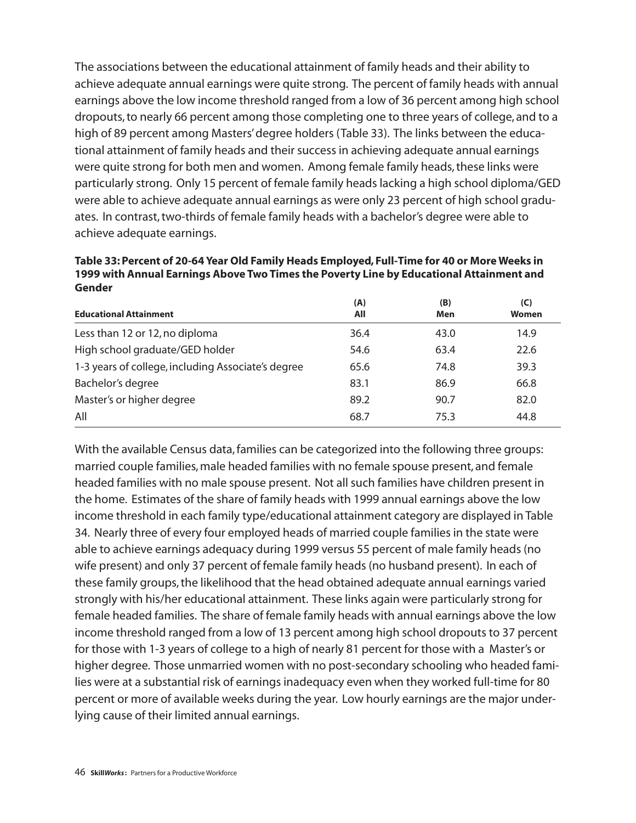The associations between the educational attainment of family heads and their ability to achieve adequate annual earnings were quite strong. The percent of family heads with annual earnings above the low income threshold ranged from a low of 36 percent among high school dropouts, to nearly 66 percent among those completing one to three years of college, and to a high of 89 percent among Masters' degree holders (Table 33). The links between the educational attainment of family heads and their success in achieving adequate annual earnings were quite strong for both men and women. Among female family heads, these links were particularly strong. Only 15 percent of female family heads lacking a high school diploma/GED were able to achieve adequate annual earnings as were only 23 percent of high school graduates. In contrast, two-thirds of female family heads with a bachelor's degree were able to achieve adequate earnings.

**Table 33: Percent of 20-64 Year Old Family Heads Employed, Full-Time for 40 or More Weeks in 1999 with Annual Earnings Above Two Times the Poverty Line by Educational Attainment and Gender**

| <b>Educational Attainment</b>                      | (A)<br>All | (B)<br>Men | (C)<br>Women |
|----------------------------------------------------|------------|------------|--------------|
| Less than 12 or 12, no diploma                     | 36.4       | 43.0       | 14.9         |
| High school graduate/GED holder                    | 54.6       | 63.4       | 22.6         |
| 1-3 years of college, including Associate's degree | 65.6       | 74.8       | 39.3         |
| Bachelor's degree                                  | 83.1       | 86.9       | 66.8         |
| Master's or higher degree                          | 89.2       | 90.7       | 82.0         |
| All                                                | 68.7       | 75.3       | 44.8         |

With the available Census data, families can be categorized into the following three groups: married couple families, male headed families with no female spouse present, and female headed families with no male spouse present. Not all such families have children present in the home. Estimates of the share of family heads with 1999 annual earnings above the low income threshold in each family type/educational attainment category are displayed in Table 34. Nearly three of every four employed heads of married couple families in the state were able to achieve earnings adequacy during 1999 versus 55 percent of male family heads (no wife present) and only 37 percent of female family heads (no husband present). In each of these family groups, the likelihood that the head obtained adequate annual earnings varied strongly with his/her educational attainment. These links again were particularly strong for female headed families. The share of female family heads with annual earnings above the low income threshold ranged from a low of 13 percent among high school dropouts to 37 percent for those with 1-3 years of college to a high of nearly 81 percent for those with a Master's or higher degree. Those unmarried women with no post-secondary schooling who headed families were at a substantial risk of earnings inadequacy even when they worked full-time for 80 percent or more of available weeks during the year. Low hourly earnings are the major underlying cause of their limited annual earnings.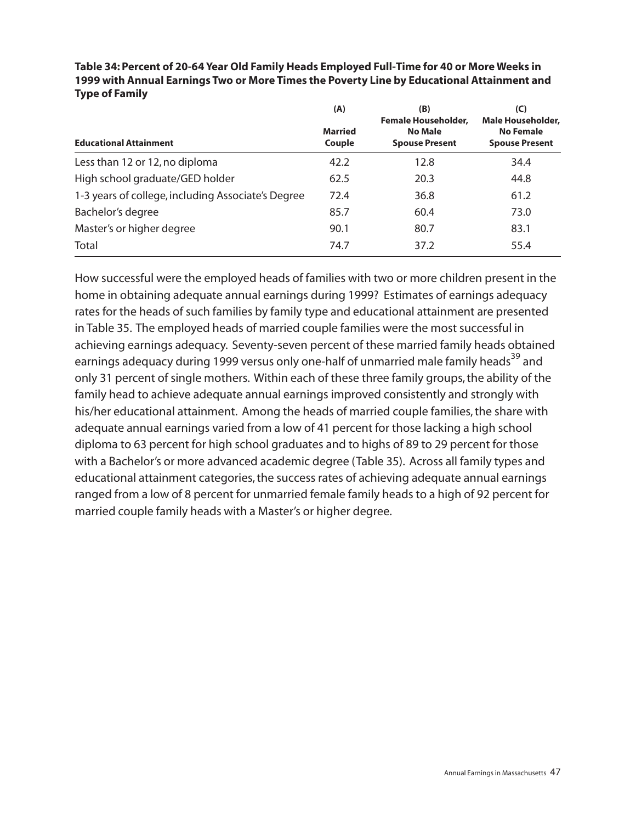| <b>Educational Attainment</b>                      | (A)<br><b>Married</b><br>Couple | (B)<br><b>Female Householder,</b><br><b>No Male</b><br><b>Spouse Present</b> | (C)<br>Male Householder,<br><b>No Female</b><br><b>Spouse Present</b> |
|----------------------------------------------------|---------------------------------|------------------------------------------------------------------------------|-----------------------------------------------------------------------|
| Less than 12 or 12, no diploma                     | 42.2                            | 12.8                                                                         | 34.4                                                                  |
| High school graduate/GED holder                    | 62.5                            | 20.3                                                                         | 44.8                                                                  |
| 1-3 years of college, including Associate's Degree | 72.4                            | 36.8                                                                         | 61.2                                                                  |
| Bachelor's degree                                  | 85.7                            | 60.4                                                                         | 73.0                                                                  |
| Master's or higher degree                          | 90.1                            | 80.7                                                                         | 83.1                                                                  |
| Total                                              | 74.7                            | 37.2                                                                         | 55.4                                                                  |

**Table 34: Percent of 20-64 Year Old Family Heads Employed Full-Time for 40 or More Weeks in 1999 with Annual Earnings Two or More Times the Poverty Line by Educational Attainment and Type of Family**

How successful were the employed heads of families with two or more children present in the home in obtaining adequate annual earnings during 1999? Estimates of earnings adequacy rates for the heads of such families by family type and educational attainment are presented in Table 35. The employed heads of married couple families were the most successful in achieving earnings adequacy. Seventy-seven percent of these married family heads obtained earnings adequacy during 1999 versus only one-half of unmarried male family heads<sup>39</sup> and only 31 percent of single mothers. Within each of these three family groups, the ability of the family head to achieve adequate annual earnings improved consistently and strongly with his/her educational attainment. Among the heads of married couple families, the share with adequate annual earnings varied from a low of 41 percent for those lacking a high school diploma to 63 percent for high school graduates and to highs of 89 to 29 percent for those with a Bachelor's or more advanced academic degree (Table 35). Across all family types and educational attainment categories, the success rates of achieving adequate annual earnings ranged from a low of 8 percent for unmarried female family heads to a high of 92 percent for married couple family heads with a Master's or higher degree.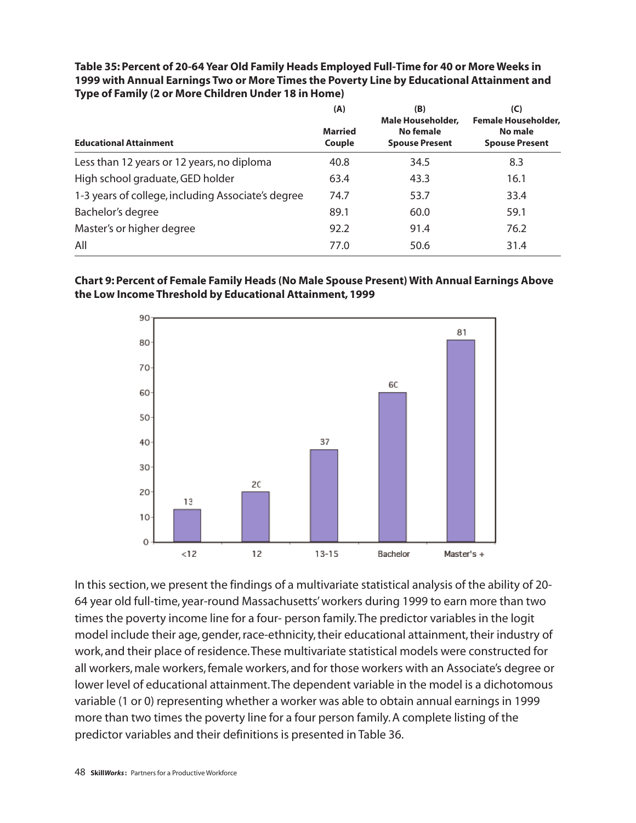| <b>Educational Attainment</b>                      | (A)<br><b>Married</b><br>Couple | (B)<br>Male Householder,<br>No female<br><b>Spouse Present</b> | (C)<br><b>Female Householder,</b><br>No male<br><b>Spouse Present</b> |
|----------------------------------------------------|---------------------------------|----------------------------------------------------------------|-----------------------------------------------------------------------|
| Less than 12 years or 12 years, no diploma         | 40.8                            | 34.5                                                           | 8.3                                                                   |
| High school graduate, GED holder                   | 63.4                            | 43.3                                                           | 16.1                                                                  |
| 1-3 years of college, including Associate's degree | 74.7                            | 53.7                                                           | 33.4                                                                  |
| Bachelor's degree                                  | 89.1                            | 60.0                                                           | 59.1                                                                  |
| Master's or higher degree                          | 92.2                            | 91.4                                                           | 76.2                                                                  |
| All                                                | 77.0                            | 50.6                                                           | 31.4                                                                  |

**Table 35: Percent of 20-64 Year Old Family Heads Employed Full-Time for 40 or More Weeks in 1999 with Annual Earnings Two or More Times the Poverty Line by Educational Attainment and Type of Family (2 or More Children Under 18 in Home)**

### **Chart 9: Percent of Female Family Heads (No Male Spouse Present) With Annual Earnings Above the Low Income Threshold by Educational Attainment, 1999**



In this section, we present the findings of a multivariate statistical analysis of the ability of 20- 64 year old full-time, year-round Massachusetts' workers during 1999 to earn more than two times the poverty income line for a four- person family.The predictor variables in the logit model include their age, gender, race-ethnicity, their educational attainment, their industry of work, and their place of residence.These multivariate statistical models were constructed for all workers, male workers, female workers, and for those workers with an Associate's degree or lower level of educational attainment.The dependent variable in the model is a dichotomous variable (1 or 0) representing whether a worker was able to obtain annual earnings in 1999 more than two times the poverty line for a four person family. A complete listing of the predictor variables and their definitions is presented in Table 36.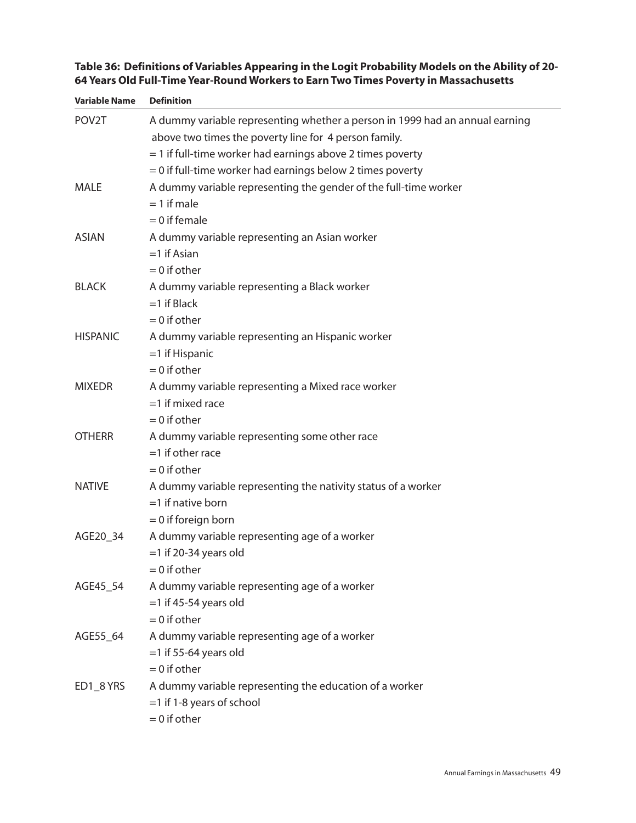| <b>Definition</b>                                                            |
|------------------------------------------------------------------------------|
| A dummy variable representing whether a person in 1999 had an annual earning |
| above two times the poverty line for 4 person family.                        |
| $=$ 1 if full-time worker had earnings above 2 times poverty                 |
| $= 0$ if full-time worker had earnings below 2 times poverty                 |
| A dummy variable representing the gender of the full-time worker             |
| $= 1$ if male                                                                |
| $= 0$ if female                                                              |
| A dummy variable representing an Asian worker                                |
| $=1$ if Asian                                                                |
| $= 0$ if other                                                               |
| A dummy variable representing a Black worker                                 |
| $=1$ if Black                                                                |
| $= 0$ if other                                                               |
| A dummy variable representing an Hispanic worker                             |
| $=1$ if Hispanic                                                             |
| $= 0$ if other                                                               |
| A dummy variable representing a Mixed race worker                            |
| $=$ 1 if mixed race                                                          |
| $= 0$ if other                                                               |
| A dummy variable representing some other race                                |
| $=1$ if other race                                                           |
| $= 0$ if other                                                               |
| A dummy variable representing the nativity status of a worker                |
| $=1$ if native born                                                          |
| $= 0$ if foreign born                                                        |
| A dummy variable representing age of a worker                                |
| $=1$ if 20-34 years old                                                      |
| $= 0$ if other                                                               |
| A dummy variable representing age of a worker                                |
| $=$ 1 if 45-54 years old                                                     |
| $= 0$ if other                                                               |
| A dummy variable representing age of a worker                                |
| $=1$ if 55-64 years old                                                      |
| $= 0$ if other                                                               |
| A dummy variable representing the education of a worker                      |
| $=$ 1 if 1-8 years of school                                                 |
| $= 0$ if other                                                               |
|                                                                              |

### **Table 36: Definitions of Variables Appearing in the Logit Probability Models on the Ability of 20- 64 Years Old Full-Time Year-Round Workers to Earn Two Times Poverty in Massachusetts**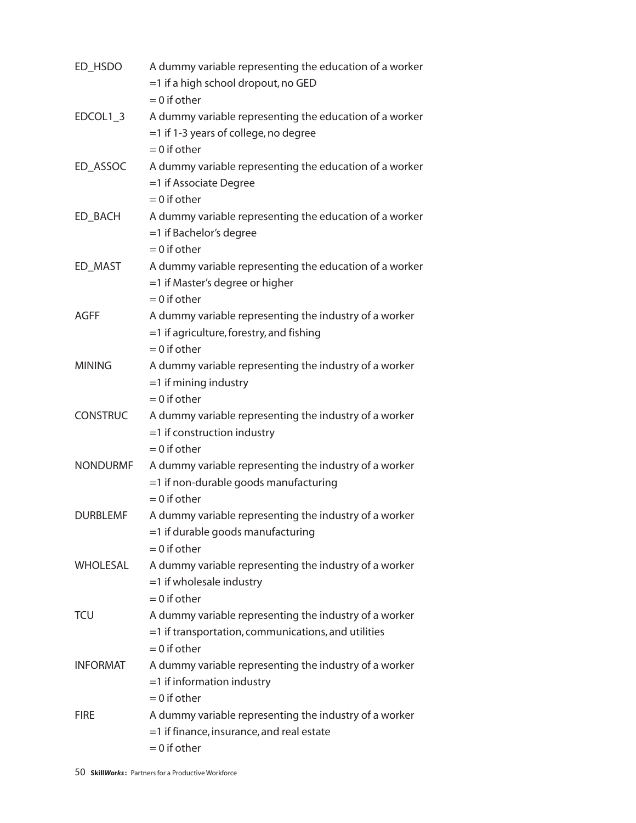| ED_HSDO         | A dummy variable representing the education of a worker<br>=1 if a high school dropout, no GED<br>$= 0$ if other                   |
|-----------------|------------------------------------------------------------------------------------------------------------------------------------|
| EDCOL1_3        | A dummy variable representing the education of a worker<br>=1 if 1-3 years of college, no degree<br>$= 0$ if other                 |
| ED ASSOC        | A dummy variable representing the education of a worker<br>$=1$ if Associate Degree<br>$= 0$ if other                              |
| ED_BACH         | A dummy variable representing the education of a worker<br>$=1$ if Bachelor's degree<br>$= 0$ if other                             |
| ED_MAST         | A dummy variable representing the education of a worker<br>=1 if Master's degree or higher<br>$= 0$ if other                       |
| <b>AGFF</b>     | A dummy variable representing the industry of a worker<br>$=$ 1 if agriculture, forestry, and fishing<br>$= 0$ if other            |
| <b>MINING</b>   | A dummy variable representing the industry of a worker<br>$=1$ if mining industry<br>$= 0$ if other                                |
| <b>CONSTRUC</b> | A dummy variable representing the industry of a worker<br>$=$ 1 if construction industry<br>$= 0$ if other                         |
| <b>NONDURMF</b> | A dummy variable representing the industry of a worker<br>=1 if non-durable goods manufacturing<br>$= 0$ if other                  |
| <b>DURBLEMF</b> | A dummy variable representing the industry of a worker<br>=1 if durable goods manufacturing<br>$= 0$ if other                      |
| <b>WHOLESAL</b> | A dummy variable representing the industry of a worker<br>$=$ 1 if wholesale industry<br>$= 0$ if other                            |
| <b>TCU</b>      | A dummy variable representing the industry of a worker<br>$=$ 1 if transportation, communications, and utilities<br>$= 0$ if other |
| <b>INFORMAT</b> | A dummy variable representing the industry of a worker<br>$=$ 1 if information industry<br>$= 0$ if other                          |
| <b>FIRE</b>     | A dummy variable representing the industry of a worker<br>$=$ 1 if finance, insurance, and real estate<br>$= 0$ if other           |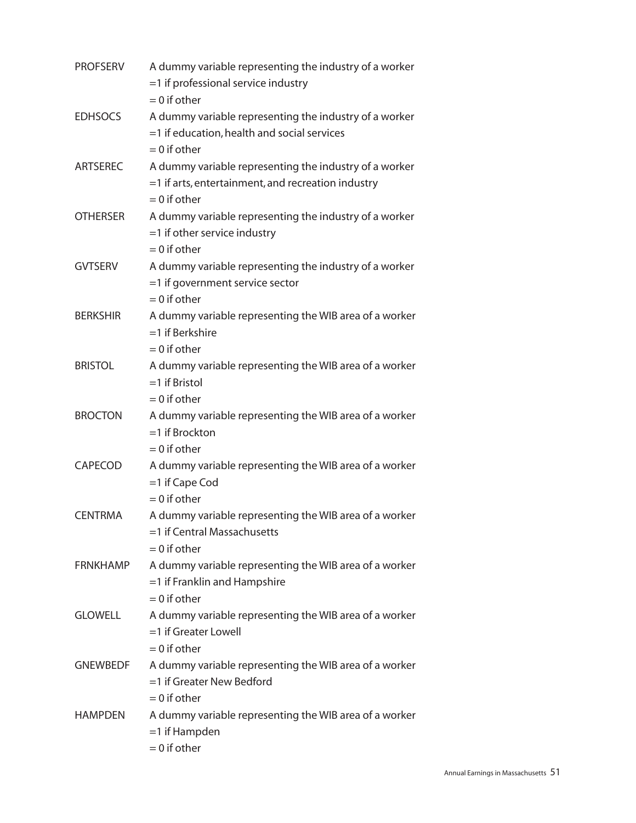| <b>PROFSERV</b> | A dummy variable representing the industry of a worker<br>$=$ 1 if professional service industry<br>$= 0$ if other             |
|-----------------|--------------------------------------------------------------------------------------------------------------------------------|
| <b>EDHSOCS</b>  | A dummy variable representing the industry of a worker<br>=1 if education, health and social services<br>$= 0$ if other        |
| <b>ARTSEREC</b> | A dummy variable representing the industry of a worker<br>=1 if arts, entertainment, and recreation industry<br>$= 0$ if other |
| <b>OTHERSER</b> | A dummy variable representing the industry of a worker<br>$=$ 1 if other service industry<br>$= 0$ if other                    |
| <b>GVTSERV</b>  | A dummy variable representing the industry of a worker<br>=1 if government service sector<br>$= 0$ if other                    |
| <b>BERKSHIR</b> | A dummy variable representing the WIB area of a worker<br>$=1$ if Berkshire<br>$= 0$ if other                                  |
| <b>BRISTOL</b>  | A dummy variable representing the WIB area of a worker<br>$=1$ if Bristol<br>$= 0$ if other                                    |
| <b>BROCTON</b>  | A dummy variable representing the WIB area of a worker<br>$=1$ if Brockton<br>$= 0$ if other                                   |
| CAPECOD         | A dummy variable representing the WIB area of a worker<br>$=1$ if Cape Cod<br>$= 0$ if other                                   |
| <b>CENTRMA</b>  | A dummy variable representing the WIB area of a worker<br>$=1$ if Central Massachusetts<br>$= 0$ if other                      |
| <b>FRNKHAMP</b> | A dummy variable representing the WIB area of a worker<br>$=$ 1 if Franklin and Hampshire<br>$= 0$ if other                    |
| <b>GLOWELL</b>  | A dummy variable representing the WIB area of a worker<br>$=1$ if Greater Lowell<br>$= 0$ if other                             |
| <b>GNEWBEDF</b> | A dummy variable representing the WIB area of a worker<br>$=$ 1 if Greater New Bedford<br>$= 0$ if other                       |
| <b>HAMPDEN</b>  | A dummy variable representing the WIB area of a worker<br>$=1$ if Hampden<br>$= 0$ if other                                    |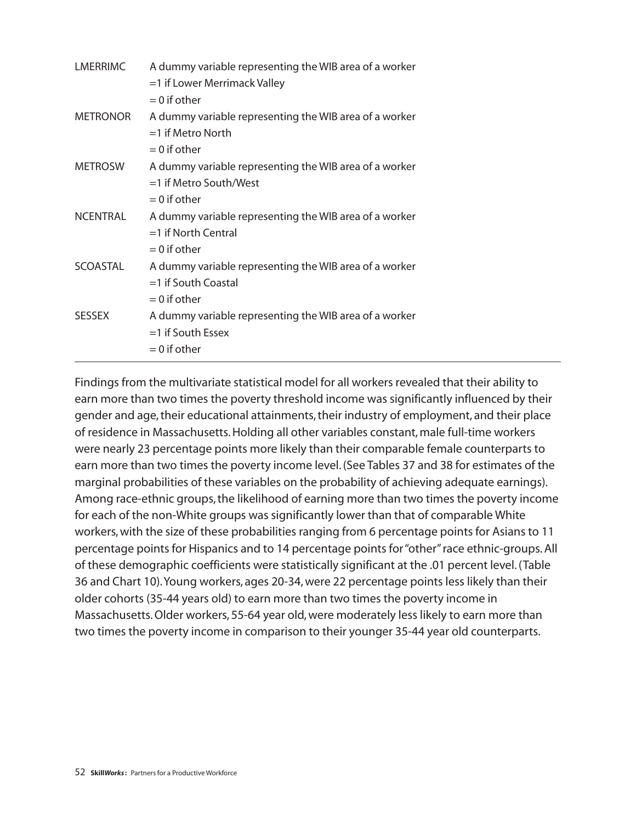| <b>LMERRIMC</b> | A dummy variable representing the WIB area of a worker<br>=1 if Lower Merrimack Valley<br>$= 0$ if other |
|-----------------|----------------------------------------------------------------------------------------------------------|
| <b>METRONOR</b> | A dummy variable representing the WIB area of a worker<br>$=$ 1 if Metro North<br>$= 0$ if other         |
| <b>METROSW</b>  | A dummy variable representing the WIB area of a worker<br>$=$ 1 if Metro South/West<br>$= 0$ if other    |
| <b>NCENTRAL</b> | A dummy variable representing the WIB area of a worker<br>$=$ 1 if North Central<br>$= 0$ if other       |
| <b>SCOASTAL</b> | A dummy variable representing the WIB area of a worker<br>$=$ 1 if South Coastal<br>$= 0$ if other       |
| <b>SESSEX</b>   | A dummy variable representing the WIB area of a worker<br>$=$ 1 if South Essex<br>$= 0$ if other         |

Findings from the multivariate statistical model for all workers revealed that their ability to earn more than two times the poverty threshold income was significantly influenced by their gender and age, their educational attainments, their industry of employment, and their place of residence in Massachusetts. Holding all other variables constant, male full-time workers were nearly 23 percentage points more likely than their comparable female counterparts to earn more than two times the poverty income level. (See Tables 37 and 38 for estimates of the marginal probabilities of these variables on the probability of achieving adequate earnings). Among race-ethnic groups, the likelihood of earning more than two times the poverty income for each of the non-White groups was significantly lower than that of comparable White workers, with the size of these probabilities ranging from 6 percentage points for Asians to 11 percentage points for Hispanics and to 14 percentage points for "other"race ethnic-groups. All of these demographic coefficients were statistically significant at the .01 percent level. (Table 36 and Chart 10).Young workers, ages 20-34, were 22 percentage points less likely than their older cohorts (35-44 years old) to earn more than two times the poverty income in Massachusetts. Older workers, 55-64 year old, were moderately less likely to earn more than two times the poverty income in comparison to their younger 35-44 year old counterparts.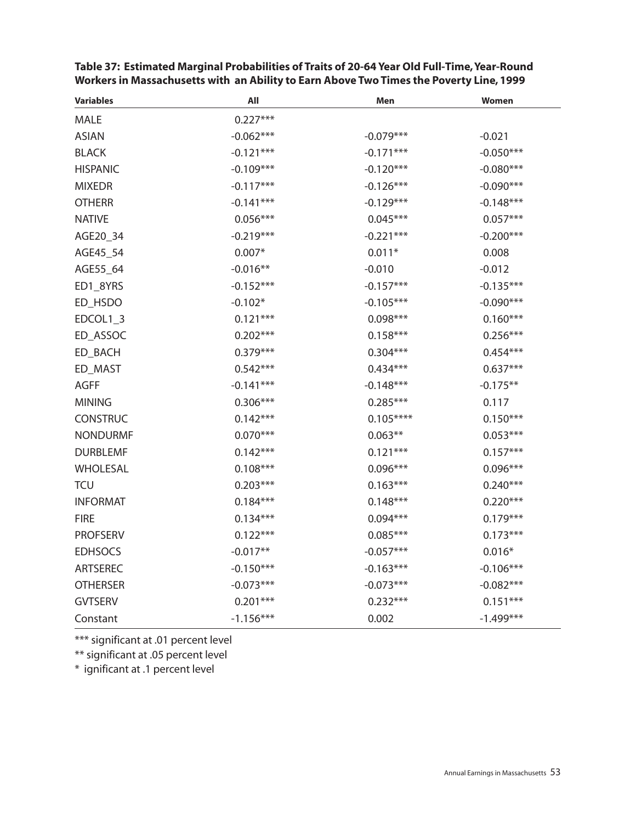| <b>Variables</b> | All         | Men         | Women       |
|------------------|-------------|-------------|-------------|
| <b>MALE</b>      | $0.227***$  |             |             |
| <b>ASIAN</b>     | $-0.062***$ | $-0.079***$ | $-0.021$    |
| <b>BLACK</b>     | $-0.121***$ | $-0.171***$ | $-0.050***$ |
| <b>HISPANIC</b>  | $-0.109***$ | $-0.120***$ | $-0.080***$ |
| <b>MIXEDR</b>    | $-0.117***$ | $-0.126***$ | $-0.090***$ |
| <b>OTHERR</b>    | $-0.141***$ | $-0.129***$ | $-0.148***$ |
| <b>NATIVE</b>    | $0.056***$  | $0.045***$  | $0.057***$  |
| AGE20_34         | $-0.219***$ | $-0.221***$ | $-0.200***$ |
| AGE45 54         | $0.007*$    | $0.011*$    | 0.008       |
| AGE55 64         | $-0.016**$  | $-0.010$    | $-0.012$    |
| ED1_8YRS         | $-0.152***$ | $-0.157***$ | $-0.135***$ |
| ED_HSDO          | $-0.102*$   | $-0.105***$ | $-0.090***$ |
| EDCOL1 3         | $0.121***$  | $0.098***$  | $0.160***$  |
| ED ASSOC         | $0.202***$  | $0.158***$  | $0.256***$  |
| ED_BACH          | $0.379***$  | $0.304***$  | $0.454***$  |
| ED_MAST          | $0.542***$  | $0.434***$  | $0.637***$  |
| <b>AGFF</b>      | $-0.141***$ | $-0.148***$ | $-0.175**$  |
| <b>MINING</b>    | $0.306***$  | $0.285***$  | 0.117       |
| <b>CONSTRUC</b>  | $0.142***$  | $0.105***$  | $0.150***$  |
| <b>NONDURMF</b>  | $0.070***$  | $0.063**$   | $0.053***$  |
| <b>DURBLEMF</b>  | $0.142***$  | $0.121***$  | $0.157***$  |
| <b>WHOLESAL</b>  | $0.108***$  | $0.096***$  | $0.096***$  |
| <b>TCU</b>       | $0.203***$  | $0.163***$  | $0.240***$  |
| <b>INFORMAT</b>  | $0.184***$  | $0.148***$  | $0.220***$  |
| <b>FIRE</b>      | $0.134***$  | $0.094***$  | $0.179***$  |
| <b>PROFSERV</b>  | $0.122***$  | $0.085***$  | $0.173***$  |
| <b>EDHSOCS</b>   | $-0.017**$  | $-0.057***$ | $0.016*$    |
| <b>ARTSEREC</b>  | $-0.150***$ | $-0.163***$ | $-0.106***$ |
| <b>OTHERSER</b>  | $-0.073***$ | $-0.073***$ | $-0.082***$ |
| <b>GVTSERV</b>   | $0.201***$  | $0.232***$  | $0.151***$  |
| Constant         | $-1.156***$ | 0.002       | $-1.499***$ |

**Table 37: Estimated Marginal Probabilities of Traits of 20-64 Year Old Full-Time,Year-Round Workers in Massachusetts with an Ability to Earn Above Two Times the Poverty Line, 1999**

\*\*\* significant at .01 percent level

\*\* significant at .05 percent level

\* ignificant at .1 percent level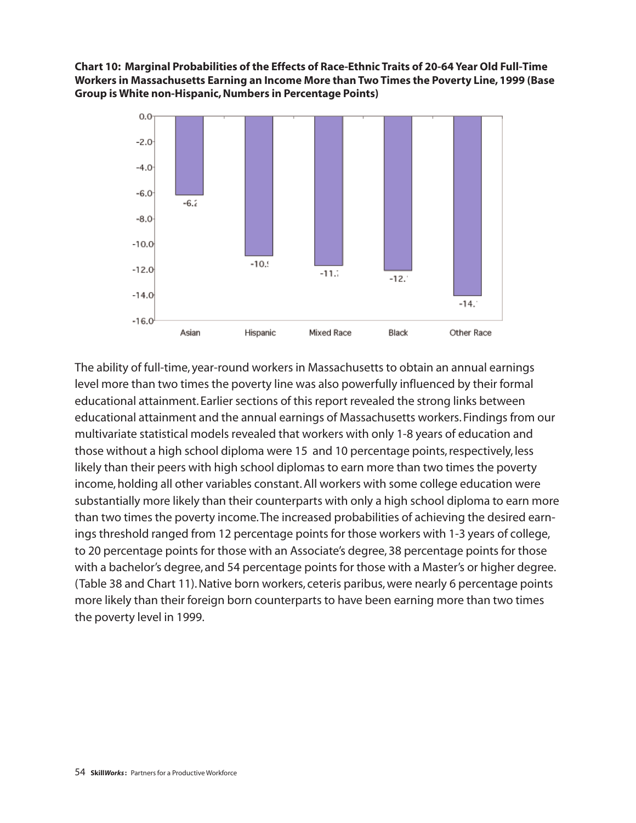**Chart 10: Marginal Probabilities of the Effects of Race-Ethnic Traits of 20-64 Year Old Full-Time Workers in Massachusetts Earning an Income More than Two Times the Poverty Line, 1999 (Base Group is White non-Hispanic, Numbers in Percentage Points)**



The ability of full-time, year-round workers in Massachusetts to obtain an annual earnings level more than two times the poverty line was also powerfully influenced by their formal educational attainment. Earlier sections of this report revealed the strong links between educational attainment and the annual earnings of Massachusetts workers. Findings from our multivariate statistical models revealed that workers with only 1-8 years of education and those without a high school diploma were 15 and 10 percentage points, respectively, less likely than their peers with high school diplomas to earn more than two times the poverty income, holding all other variables constant. All workers with some college education were substantially more likely than their counterparts with only a high school diploma to earn more than two times the poverty income.The increased probabilities of achieving the desired earnings threshold ranged from 12 percentage points for those workers with 1-3 years of college, to 20 percentage points for those with an Associate's degree, 38 percentage points for those with a bachelor's degree, and 54 percentage points for those with a Master's or higher degree. (Table 38 and Chart 11). Native born workers, ceteris paribus, were nearly 6 percentage points more likely than their foreign born counterparts to have been earning more than two times the poverty level in 1999.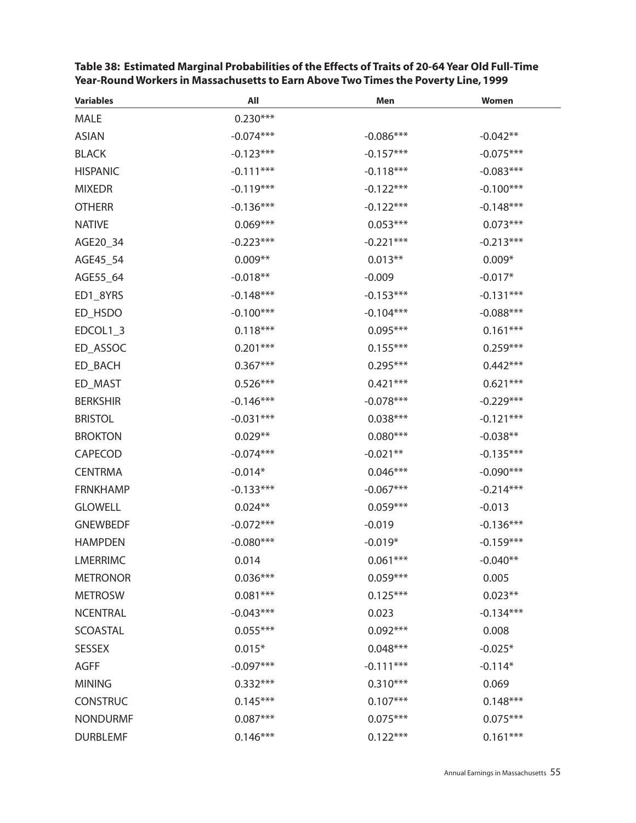| <b>Variables</b> | All         | Men         | Women       |
|------------------|-------------|-------------|-------------|
| <b>MALE</b>      | $0.230***$  |             |             |
| <b>ASIAN</b>     | $-0.074***$ | $-0.086***$ | $-0.042**$  |
| <b>BLACK</b>     | $-0.123***$ | $-0.157***$ | $-0.075***$ |
| <b>HISPANIC</b>  | $-0.111***$ | $-0.118***$ | $-0.083***$ |
| <b>MIXEDR</b>    | $-0.119***$ | $-0.122***$ | $-0.100***$ |
| <b>OTHERR</b>    | $-0.136***$ | $-0.122***$ | $-0.148***$ |
| <b>NATIVE</b>    | $0.069***$  | $0.053***$  | $0.073***$  |
| AGE20_34         | $-0.223***$ | $-0.221***$ | $-0.213***$ |
| AGE45_54         | $0.009**$   | $0.013**$   | $0.009*$    |
| AGE55_64         | $-0.018**$  | $-0.009$    | $-0.017*$   |
| ED1_8YRS         | $-0.148***$ | $-0.153***$ | $-0.131***$ |
| ED_HSDO          | $-0.100***$ | $-0.104***$ | $-0.088***$ |
| EDCOL1_3         | $0.118***$  | $0.095***$  | $0.161***$  |
| ED_ASSOC         | $0.201***$  | $0.155***$  | $0.259***$  |
| ED BACH          | $0.367***$  | $0.295***$  | $0.442***$  |
| ED_MAST          | $0.526***$  | $0.421***$  | $0.621***$  |
| <b>BERKSHIR</b>  | $-0.146***$ | $-0.078***$ | $-0.229***$ |
| <b>BRISTOL</b>   | $-0.031***$ | $0.038***$  | $-0.121***$ |
| <b>BROKTON</b>   | $0.029**$   | $0.080***$  | $-0.038**$  |
| <b>CAPECOD</b>   | $-0.074***$ | $-0.021**$  | $-0.135***$ |
| <b>CENTRMA</b>   | $-0.014*$   | $0.046***$  | $-0.090***$ |
| <b>FRNKHAMP</b>  | $-0.133***$ | $-0.067***$ | $-0.214***$ |
| <b>GLOWELL</b>   | $0.024**$   | $0.059***$  | $-0.013$    |
| <b>GNEWBEDF</b>  | $-0.072***$ | $-0.019$    | $-0.136***$ |
| <b>HAMPDEN</b>   | $-0.080***$ | $-0.019*$   | $-0.159***$ |
| <b>LMERRIMC</b>  | 0.014       | $0.061***$  | $-0.040**$  |
| <b>METRONOR</b>  | $0.036***$  | $0.059***$  | 0.005       |
| <b>METROSW</b>   | $0.081***$  | $0.125***$  | $0.023**$   |
| <b>NCENTRAL</b>  | $-0.043***$ | 0.023       | $-0.134***$ |
| <b>SCOASTAL</b>  | $0.055***$  | $0.092***$  | 0.008       |
| <b>SESSEX</b>    | $0.015*$    | $0.048***$  | $-0.025*$   |
| <b>AGFF</b>      | $-0.097***$ | $-0.111***$ | $-0.114*$   |
| <b>MINING</b>    | $0.332***$  | $0.310***$  | 0.069       |
| <b>CONSTRUC</b>  | $0.145***$  | $0.107***$  | $0.148***$  |
| <b>NONDURMF</b>  | $0.087***$  | $0.075***$  | $0.075***$  |
| <b>DURBLEMF</b>  | $0.146***$  | $0.122***$  | $0.161***$  |

**Table 38: Estimated Marginal Probabilities of the Effects of Traits of 20-64 Year Old Full-Time Year-Round Workers in Massachusetts to Earn Above Two Times the Poverty Line, 1999**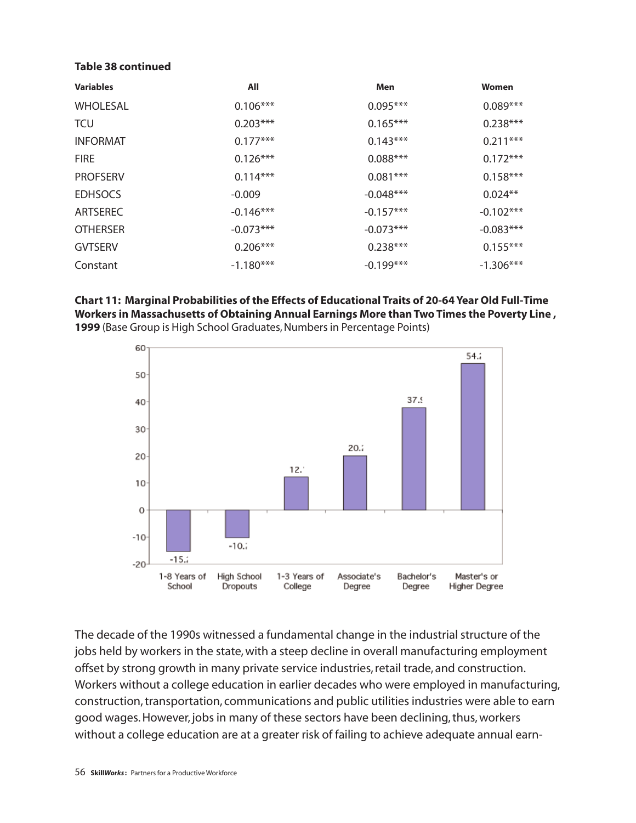#### **Table 38 continued**

| <b>Variables</b> | All         | Men         | Women       |
|------------------|-------------|-------------|-------------|
| <b>WHOLESAL</b>  | $0.106***$  | $0.095***$  | $0.089***$  |
| <b>TCU</b>       | $0.203***$  | $0.165***$  | $0.238***$  |
| <b>INFORMAT</b>  | $0.177***$  | $0.143***$  | $0.211***$  |
| <b>FIRE</b>      | $0.126***$  | $0.088***$  | $0.172***$  |
| <b>PROFSERV</b>  | $0.114***$  | $0.081***$  | $0.158***$  |
| <b>EDHSOCS</b>   | $-0.009$    | $-0.048***$ | $0.024**$   |
| ARTSEREC         | $-0.146***$ | $-0.157***$ | $-0.102***$ |
| <b>OTHERSER</b>  | $-0.073***$ | $-0.073***$ | $-0.083***$ |
| <b>GVTSERV</b>   | $0.206***$  | $0.238***$  | $0.155***$  |
| Constant         | $-1.180***$ | $-0.199***$ | $-1.306***$ |

### **Chart 11: Marginal Probabilities of the Effects of Educational Traits of 20-64 Year Old Full-Time Workers in Massachusetts of Obtaining Annual Earnings More than Two Times the Poverty Line , 1999** (Base Group is High School Graduates, Numbers in Percentage Points)



The decade of the 1990s witnessed a fundamental change in the industrial structure of the jobs held by workers in the state, with a steep decline in overall manufacturing employment offset by strong growth in many private service industries, retail trade, and construction. Workers without a college education in earlier decades who were employed in manufacturing, construction, transportation, communications and public utilities industries were able to earn good wages. However, jobs in many of these sectors have been declining, thus, workers without a college education are at a greater risk of failing to achieve adequate annual earn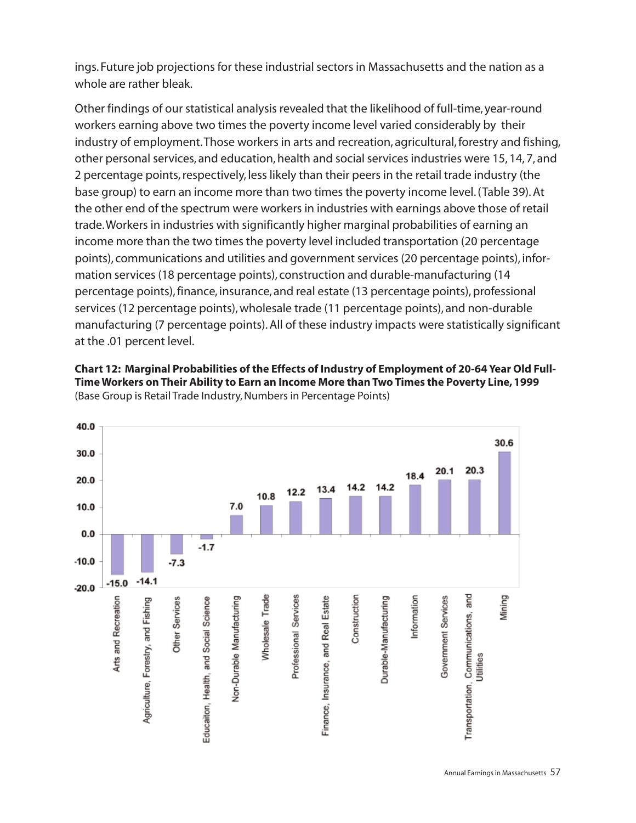ings. Future job projections for these industrial sectors in Massachusetts and the nation as a whole are rather bleak.

Other findings of our statistical analysis revealed that the likelihood of full-time, year-round workers earning above two times the poverty income level varied considerably by their industry of employment.Those workers in arts and recreation, agricultural, forestry and fishing, other personal services, and education, health and social services industries were 15, 14, 7, and 2 percentage points, respectively, less likely than their peers in the retail trade industry (the base group) to earn an income more than two times the poverty income level. (Table 39). At the other end of the spectrum were workers in industries with earnings above those of retail trade.Workers in industries with significantly higher marginal probabilities of earning an income more than the two times the poverty level included transportation (20 percentage points), communications and utilities and government services (20 percentage points), information services (18 percentage points), construction and durable-manufacturing (14 percentage points), finance, insurance, and real estate (13 percentage points), professional services (12 percentage points), wholesale trade (11 percentage points), and non-durable manufacturing (7 percentage points). All of these industry impacts were statistically significant at the .01 percent level.



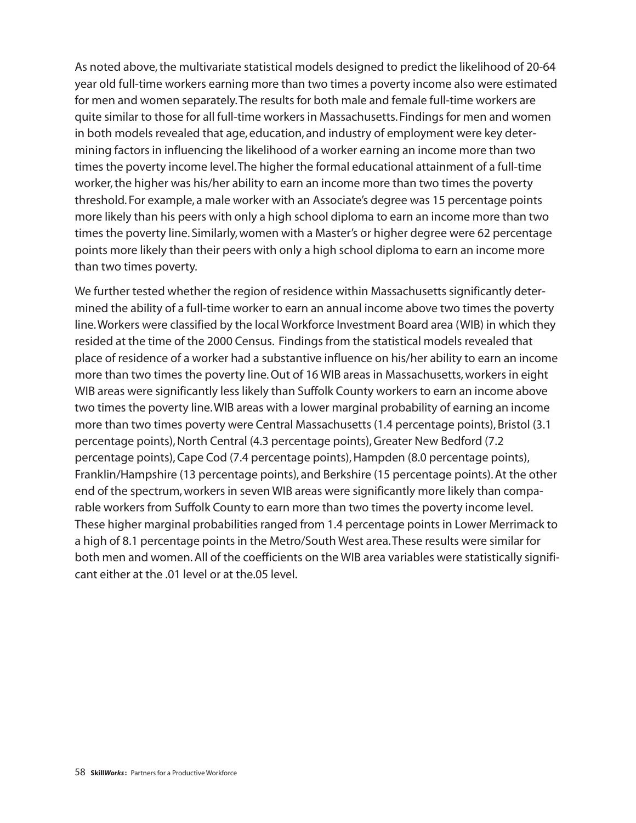As noted above, the multivariate statistical models designed to predict the likelihood of 20-64 year old full-time workers earning more than two times a poverty income also were estimated for men and women separately.The results for both male and female full-time workers are quite similar to those for all full-time workers in Massachusetts. Findings for men and women in both models revealed that age, education, and industry of employment were key determining factors in influencing the likelihood of a worker earning an income more than two times the poverty income level.The higher the formal educational attainment of a full-time worker, the higher was his/her ability to earn an income more than two times the poverty threshold. For example, a male worker with an Associate's degree was 15 percentage points more likely than his peers with only a high school diploma to earn an income more than two times the poverty line. Similarly, women with a Master's or higher degree were 62 percentage points more likely than their peers with only a high school diploma to earn an income more than two times poverty.

We further tested whether the region of residence within Massachusetts significantly determined the ability of a full-time worker to earn an annual income above two times the poverty line.Workers were classified by the local Workforce Investment Board area (WIB) in which they resided at the time of the 2000 Census. Findings from the statistical models revealed that place of residence of a worker had a substantive influence on his/her ability to earn an income more than two times the poverty line. Out of 16 WIB areas in Massachusetts, workers in eight WIB areas were significantly less likely than Suffolk County workers to earn an income above two times the poverty line.WIB areas with a lower marginal probability of earning an income more than two times poverty were Central Massachusetts (1.4 percentage points), Bristol (3.1 percentage points), North Central (4.3 percentage points), Greater New Bedford (7.2 percentage points), Cape Cod (7.4 percentage points), Hampden (8.0 percentage points), Franklin/Hampshire (13 percentage points), and Berkshire (15 percentage points). At the other end of the spectrum, workers in seven WIB areas were significantly more likely than comparable workers from Suffolk County to earn more than two times the poverty income level. These higher marginal probabilities ranged from 1.4 percentage points in Lower Merrimack to a high of 8.1 percentage points in the Metro/South West area.These results were similar for both men and women. All of the coefficients on the WIB area variables were statistically significant either at the .01 level or at the.05 level.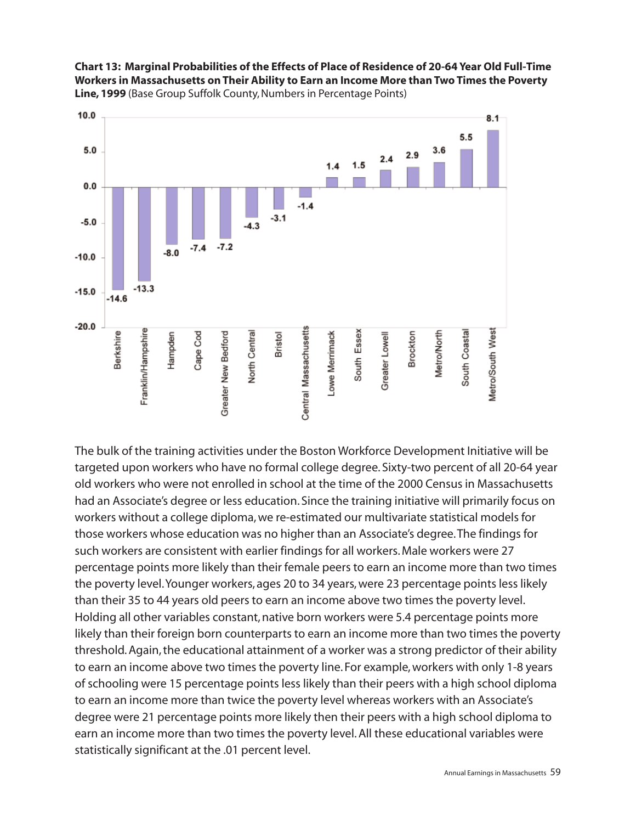



The bulk of the training activities under the Boston Workforce Development Initiative will be targeted upon workers who have no formal college degree. Sixty-two percent of all 20-64 year old workers who were not enrolled in school at the time of the 2000 Census in Massachusetts had an Associate's degree or less education. Since the training initiative will primarily focus on workers without a college diploma, we re-estimated our multivariate statistical models for those workers whose education was no higher than an Associate's degree.The findings for such workers are consistent with earlier findings for all workers. Male workers were 27 percentage points more likely than their female peers to earn an income more than two times the poverty level.Younger workers, ages 20 to 34 years, were 23 percentage points less likely than their 35 to 44 years old peers to earn an income above two times the poverty level. Holding all other variables constant, native born workers were 5.4 percentage points more likely than their foreign born counterparts to earn an income more than two times the poverty threshold. Again, the educational attainment of a worker was a strong predictor of their ability to earn an income above two times the poverty line. For example, workers with only 1-8 years of schooling were 15 percentage points less likely than their peers with a high school diploma to earn an income more than twice the poverty level whereas workers with an Associate's degree were 21 percentage points more likely then their peers with a high school diploma to earn an income more than two times the poverty level. All these educational variables were statistically significant at the .01 percent level.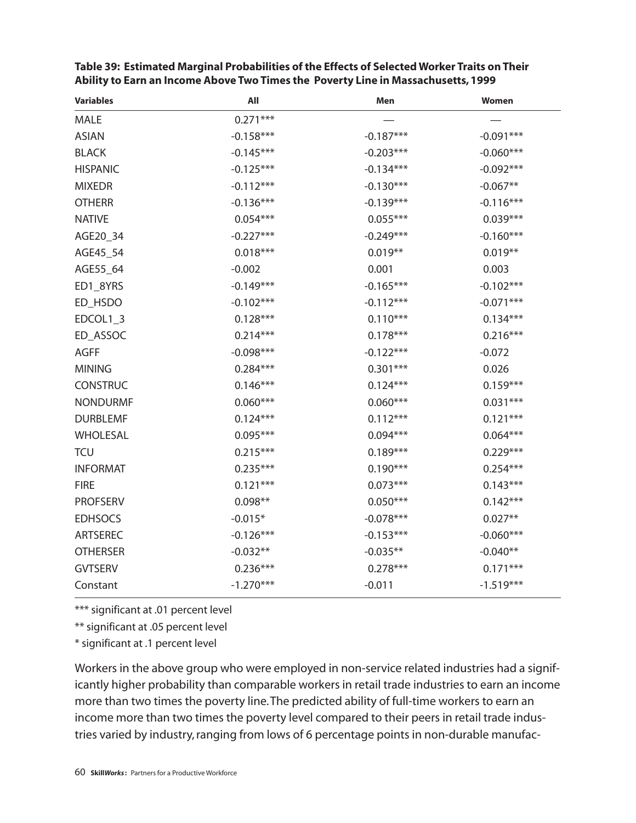| <b>Variables</b> | All         | Men         | Women       |
|------------------|-------------|-------------|-------------|
| <b>MALE</b>      | $0.271***$  |             |             |
| <b>ASIAN</b>     | $-0.158***$ | $-0.187***$ | $-0.091***$ |
| <b>BLACK</b>     | $-0.145***$ | $-0.203***$ | $-0.060***$ |
| <b>HISPANIC</b>  | $-0.125***$ | $-0.134***$ | $-0.092***$ |
| <b>MIXEDR</b>    | $-0.112***$ | $-0.130***$ | $-0.067**$  |
| <b>OTHERR</b>    | $-0.136***$ | $-0.139***$ | $-0.116***$ |
| <b>NATIVE</b>    | $0.054***$  | $0.055***$  | $0.039***$  |
| AGE20 34         | $-0.227***$ | $-0.249***$ | $-0.160***$ |
| AGE45_54         | $0.018***$  | $0.019**$   | $0.019**$   |
| AGE55_64         | $-0.002$    | 0.001       | 0.003       |
| ED1 8YRS         | $-0.149***$ | $-0.165***$ | $-0.102***$ |
| ED_HSDO          | $-0.102***$ | $-0.112***$ | $-0.071***$ |
| EDCOL1 3         | $0.128***$  | $0.110***$  | $0.134***$  |
| ED ASSOC         | $0.214***$  | $0.178***$  | $0.216***$  |
| <b>AGFF</b>      | $-0.098***$ | $-0.122***$ | $-0.072$    |
| <b>MINING</b>    | $0.284***$  | $0.301***$  | 0.026       |
| <b>CONSTRUC</b>  | $0.146***$  | $0.124***$  | $0.159***$  |
| <b>NONDURMF</b>  | $0.060***$  | $0.060***$  | $0.031***$  |
| <b>DURBLEMF</b>  | $0.124***$  | $0.112***$  | $0.121***$  |
| <b>WHOLESAL</b>  | $0.095***$  | $0.094***$  | $0.064***$  |
| <b>TCU</b>       | $0.215***$  | $0.189***$  | $0.229***$  |
| <b>INFORMAT</b>  | $0.235***$  | $0.190***$  | $0.254***$  |
| <b>FIRE</b>      | $0.121***$  | $0.073***$  | $0.143***$  |
| <b>PROFSERV</b>  | $0.098**$   | $0.050***$  | $0.142***$  |
| <b>EDHSOCS</b>   | $-0.015*$   | $-0.078***$ | $0.027**$   |
| <b>ARTSEREC</b>  | $-0.126***$ | $-0.153***$ | $-0.060***$ |
| <b>OTHERSER</b>  | $-0.032**$  | $-0.035**$  | $-0.040**$  |
| <b>GVTSERV</b>   | $0.236***$  | $0.278***$  | $0.171***$  |
| Constant         | $-1.270***$ | $-0.011$    | $-1.519***$ |

**Table 39: Estimated Marginal Probabilities of the Effects of Selected Worker Traits on Their Ability to Earn an Income Above Two Times the Poverty Line in Massachusetts, 1999**

\*\*\* significant at .01 percent level

\*\* significant at .05 percent level

\* significant at .1 percent level

Workers in the above group who were employed in non-service related industries had a significantly higher probability than comparable workers in retail trade industries to earn an income more than two times the poverty line.The predicted ability of full-time workers to earn an income more than two times the poverty level compared to their peers in retail trade industries varied by industry, ranging from lows of 6 percentage points in non-durable manufac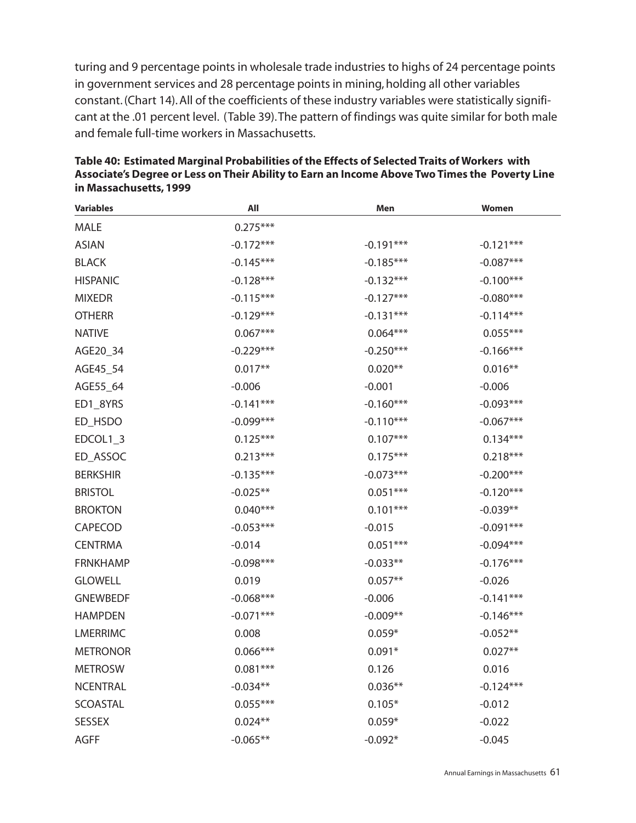turing and 9 percentage points in wholesale trade industries to highs of 24 percentage points in government services and 28 percentage points in mining, holding all other variables constant. (Chart 14). All of the coefficients of these industry variables were statistically significant at the .01 percent level. (Table 39).The pattern of findings was quite similar for both male and female full-time workers in Massachusetts.

| <b>Variables</b> | All         | Men         | Women       |
|------------------|-------------|-------------|-------------|
| <b>MALE</b>      | $0.275***$  |             |             |
| <b>ASIAN</b>     | $-0.172***$ | $-0.191***$ | $-0.121***$ |
| <b>BLACK</b>     | $-0.145***$ | $-0.185***$ | $-0.087***$ |
| <b>HISPANIC</b>  | $-0.128***$ | $-0.132***$ | $-0.100***$ |
| <b>MIXEDR</b>    | $-0.115***$ | $-0.127***$ | $-0.080***$ |
| <b>OTHERR</b>    | $-0.129***$ | $-0.131***$ | $-0.114***$ |
| <b>NATIVE</b>    | $0.067***$  | $0.064***$  | $0.055***$  |
| AGE20 34         | $-0.229***$ | $-0.250***$ | $-0.166***$ |
| AGE45_54         | $0.017**$   | $0.020**$   | $0.016**$   |
| AGE55_64         | $-0.006$    | $-0.001$    | $-0.006$    |
| ED1_8YRS         | $-0.141***$ | $-0.160***$ | $-0.093***$ |
| ED_HSDO          | $-0.099***$ | $-0.110***$ | $-0.067***$ |
| EDCOL1 3         | $0.125***$  | $0.107***$  | $0.134***$  |
| ED_ASSOC         | $0.213***$  | $0.175***$  | $0.218***$  |
| <b>BERKSHIR</b>  | $-0.135***$ | $-0.073***$ | $-0.200***$ |
| <b>BRISTOL</b>   | $-0.025**$  | $0.051***$  | $-0.120***$ |
| <b>BROKTON</b>   | $0.040***$  | $0.101***$  | $-0.039**$  |
| CAPECOD          | $-0.053***$ | $-0.015$    | $-0.091***$ |
| <b>CENTRMA</b>   | $-0.014$    | $0.051***$  | $-0.094***$ |
| <b>FRNKHAMP</b>  | $-0.098***$ | $-0.033**$  | $-0.176***$ |
| <b>GLOWELL</b>   | 0.019       | $0.057**$   | $-0.026$    |
| <b>GNEWBEDF</b>  | $-0.068***$ | $-0.006$    | $-0.141***$ |
| <b>HAMPDEN</b>   | $-0.071***$ | $-0.009**$  | $-0.146***$ |
| <b>LMERRIMC</b>  | 0.008       | $0.059*$    | $-0.052**$  |
| <b>METRONOR</b>  | $0.066***$  | $0.091*$    | $0.027**$   |
| <b>METROSW</b>   | $0.081***$  | 0.126       | 0.016       |
| <b>NCENTRAL</b>  | $-0.034**$  | $0.036**$   | $-0.124***$ |
| <b>SCOASTAL</b>  | $0.055***$  | $0.105*$    | $-0.012$    |
| <b>SESSEX</b>    | $0.024**$   | $0.059*$    | $-0.022$    |
| <b>AGFF</b>      | $-0.065**$  | $-0.092*$   | $-0.045$    |

**Table 40: Estimated Marginal Probabilities of the Effects of Selected Traits of Workers with Associate's Degree or Less on Their Ability to Earn an Income Above Two Times the Poverty Line in Massachusetts, 1999**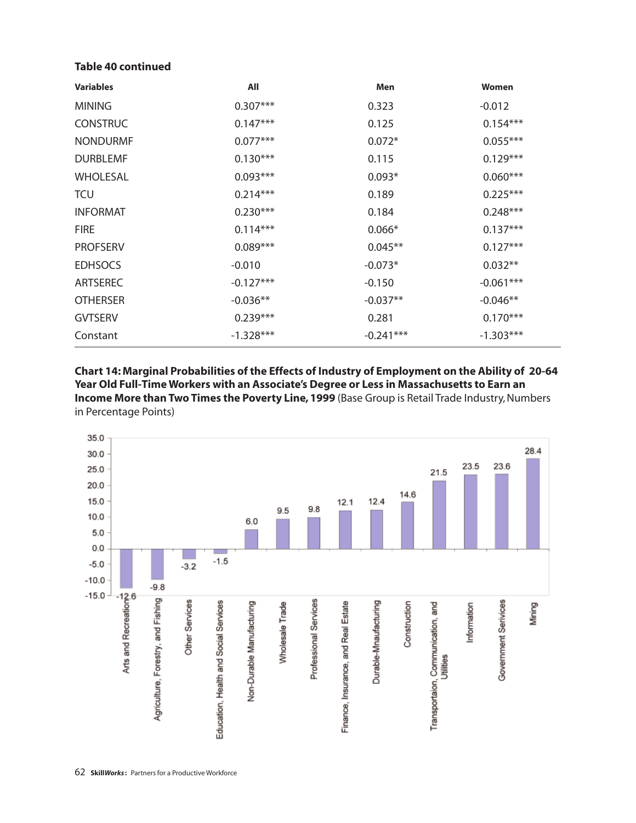#### **Table 40 continued**

| <b>Variables</b> | All         | Men         | Women       |
|------------------|-------------|-------------|-------------|
| <b>MINING</b>    | $0.307***$  | 0.323       | $-0.012$    |
| <b>CONSTRUC</b>  | $0.147***$  | 0.125       | $0.154***$  |
| <b>NONDURMF</b>  | $0.077***$  | $0.072*$    | $0.055***$  |
| <b>DURBLEMF</b>  | $0.130***$  | 0.115       | $0.129***$  |
| <b>WHOLESAL</b>  | $0.093***$  | $0.093*$    | $0.060***$  |
| <b>TCU</b>       | $0.214***$  | 0.189       | $0.225***$  |
| <b>INFORMAT</b>  | $0.230***$  | 0.184       | $0.248***$  |
| <b>FIRE</b>      | $0.114***$  | $0.066*$    | $0.137***$  |
| <b>PROFSERV</b>  | $0.089***$  | $0.045**$   | $0.127***$  |
| <b>EDHSOCS</b>   | $-0.010$    | $-0.073*$   | $0.032**$   |
| <b>ARTSEREC</b>  | $-0.127***$ | $-0.150$    | $-0.061***$ |
| <b>OTHERSER</b>  | $-0.036**$  | $-0.037**$  | $-0.046**$  |
| <b>GVTSERV</b>   | $0.239***$  | 0.281       | $0.170***$  |
| Constant         | $-1.328***$ | $-0.241***$ | $-1.303***$ |

**Chart 14: Marginal Probabilities of the Effects of Industry of Employment on the Ability of 20-64 Year Old Full-Time Workers with an Associate's Degree or Less in Massachusetts to Earn an Income More than Two Times the Poverty Line, 1999** (Base Group is Retail Trade Industry, Numbers in Percentage Points)

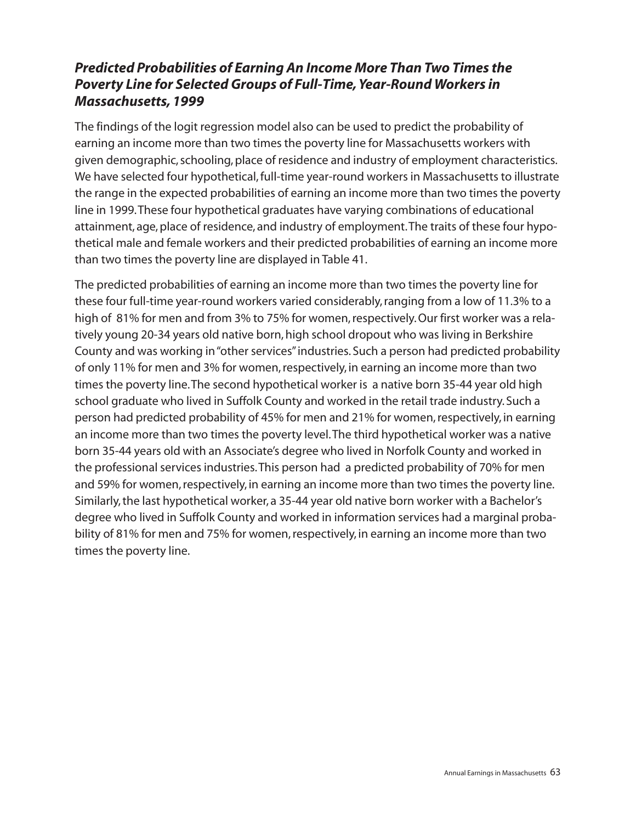## *Predicted Probabilities of Earning An Income More Than Two Times the Poverty Line for Selected Groups of Full-Time, Year-Round Workers in Massachusetts, 1999*

The findings of the logit regression model also can be used to predict the probability of earning an income more than two times the poverty line for Massachusetts workers with given demographic, schooling, place of residence and industry of employment characteristics. We have selected four hypothetical, full-time year-round workers in Massachusetts to illustrate the range in the expected probabilities of earning an income more than two times the poverty line in 1999.These four hypothetical graduates have varying combinations of educational attainment, age, place of residence, and industry of employment.The traits of these four hypothetical male and female workers and their predicted probabilities of earning an income more than two times the poverty line are displayed in Table 41.

The predicted probabilities of earning an income more than two times the poverty line for these four full-time year-round workers varied considerably, ranging from a low of 11.3% to a high of 81% for men and from 3% to 75% for women, respectively. Our first worker was a relatively young 20-34 years old native born, high school dropout who was living in Berkshire County and was working in "other services"industries. Such a person had predicted probability of only 11% for men and 3% for women, respectively, in earning an income more than two times the poverty line.The second hypothetical worker is a native born 35-44 year old high school graduate who lived in Suffolk County and worked in the retail trade industry. Such a person had predicted probability of 45% for men and 21% for women, respectively, in earning an income more than two times the poverty level.The third hypothetical worker was a native born 35-44 years old with an Associate's degree who lived in Norfolk County and worked in the professional services industries.This person had a predicted probability of 70% for men and 59% for women, respectively, in earning an income more than two times the poverty line. Similarly, the last hypothetical worker, a 35-44 year old native born worker with a Bachelor's degree who lived in Suffolk County and worked in information services had a marginal probability of 81% for men and 75% for women, respectively, in earning an income more than two times the poverty line.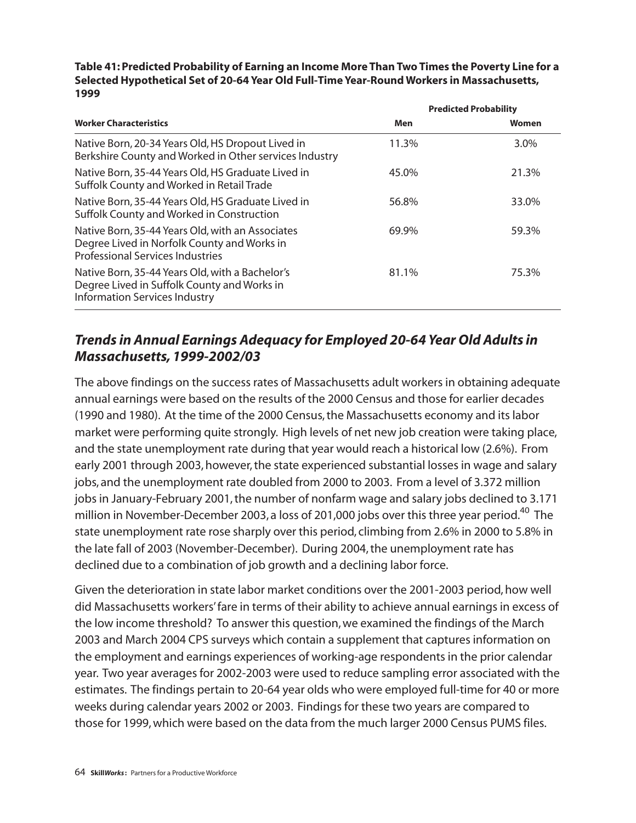**Table 41: Predicted Probability of Earning an Income More Than Two Times the Poverty Line for a Selected Hypothetical Set of 20-64 Year Old Full-Time Year-Round Workers in Massachusetts, 1999**

|                                                                                                                                            | <b>Predicted Probability</b> |         |
|--------------------------------------------------------------------------------------------------------------------------------------------|------------------------------|---------|
| <b>Worker Characteristics</b>                                                                                                              | Men                          | Women   |
| Native Born, 20-34 Years Old, HS Dropout Lived in<br>Berkshire County and Worked in Other services Industry                                | 11.3%                        | $3.0\%$ |
| Native Born, 35-44 Years Old, HS Graduate Lived in<br>Suffolk County and Worked in Retail Trade                                            | 45.0%                        | 21.3%   |
| Native Born, 35-44 Years Old, HS Graduate Lived in<br>Suffolk County and Worked in Construction                                            | 56.8%                        | 33.0%   |
| Native Born, 35-44 Years Old, with an Associates<br>Degree Lived in Norfolk County and Works in<br><b>Professional Services Industries</b> | 69.9%                        | 59.3%   |
| Native Born, 35-44 Years Old, with a Bachelor's<br>Degree Lived in Suffolk County and Works in<br><b>Information Services Industry</b>     | 81.1%                        | 75.3%   |

## *Trends in Annual Earnings Adequacy for Employed 20-64 Year Old Adults in Massachusetts, 1999-2002/03*

The above findings on the success rates of Massachusetts adult workers in obtaining adequate annual earnings were based on the results of the 2000 Census and those for earlier decades (1990 and 1980). At the time of the 2000 Census,the Massachusetts economy and its labor market were performing quite strongly. High levels of net new job creation were taking place, and the state unemployment rate during that year would reach a historical low (2.6%). From early 2001 through 2003, however, the state experienced substantial losses in wage and salary jobs, and the unemployment rate doubled from 2000 to 2003. From a level of 3.372 million jobs in January-February 2001, the number of nonfarm wage and salary jobs declined to 3.171 million in November-December 2003, a loss of 201,000 jobs over this three year period.<sup>40</sup> The state unemployment rate rose sharply over this period, climbing from 2.6% in 2000 to 5.8% in the late fall of 2003 (November-December). During 2004, the unemployment rate has declined due to a combination of job growth and a declining labor force.

Given the deterioration in state labor market conditions over the 2001-2003 period, how well did Massachusetts workers' fare in terms of their ability to achieve annual earnings in excess of the low income threshold? To answer this question, we examined the findings of the March 2003 and March 2004 CPS surveys which contain a supplement that captures information on the employment and earnings experiences of working-age respondents in the prior calendar year. Two year averages for 2002-2003 were used to reduce sampling error associated with the estimates. The findings pertain to 20-64 year olds who were employed full-time for 40 or more weeks during calendar years 2002 or 2003. Findings for these two years are compared to those for 1999, which were based on the data from the much larger 2000 Census PUMS files.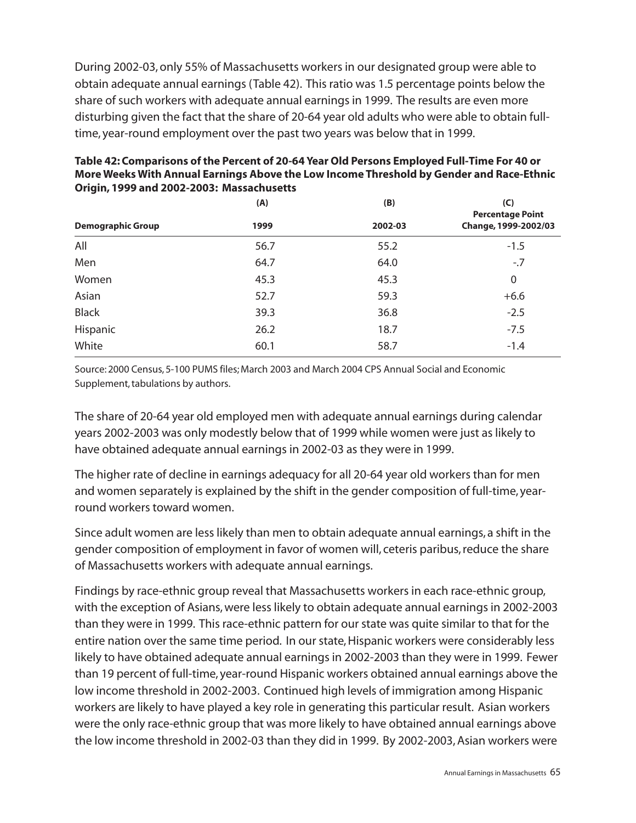During 2002-03, only 55% of Massachusetts workers in our designated group were able to obtain adequate annual earnings (Table 42). This ratio was 1.5 percentage points below the share of such workers with adequate annual earnings in 1999. The results are even more disturbing given the fact that the share of 20-64 year old adults who were able to obtain fulltime, year-round employment over the past two years was below that in 1999.

|                          | (A)  | (B)     | (C)<br><b>Percentage Point</b> |
|--------------------------|------|---------|--------------------------------|
| <b>Demographic Group</b> | 1999 | 2002-03 | Change, 1999-2002/03           |
| All                      | 56.7 | 55.2    | $-1.5$                         |
| Men                      | 64.7 | 64.0    | $-.7$                          |
| Women                    | 45.3 | 45.3    | $\mathbf 0$                    |
| Asian                    | 52.7 | 59.3    | $+6.6$                         |
| <b>Black</b>             | 39.3 | 36.8    | $-2.5$                         |
| Hispanic                 | 26.2 | 18.7    | $-7.5$                         |
| White                    | 60.1 | 58.7    | $-1.4$                         |

### **Table 42: Comparisons of the Percent of 20-64 Year Old Persons Employed Full-Time For 40 or More Weeks With Annual Earnings Above the Low Income Threshold by Gender and Race-Ethnic Origin, 1999 and 2002-2003: Massachusetts**

Source: 2000 Census, 5-100 PUMS files; March 2003 and March 2004 CPS Annual Social and Economic Supplement, tabulations by authors.

The share of 20-64 year old employed men with adequate annual earnings during calendar years 2002-2003 was only modestly below that of 1999 while women were just as likely to have obtained adequate annual earnings in 2002-03 as they were in 1999.

The higher rate of decline in earnings adequacy for all 20-64 year old workers than for men and women separately is explained by the shift in the gender composition of full-time, yearround workers toward women.

Since adult women are less likely than men to obtain adequate annual earnings, a shift in the gender composition of employment in favor of women will, ceteris paribus, reduce the share of Massachusetts workers with adequate annual earnings.

Findings by race-ethnic group reveal that Massachusetts workers in each race-ethnic group, with the exception of Asians, were less likely to obtain adequate annual earnings in 2002-2003 than they were in 1999. This race-ethnic pattern for our state was quite similar to that for the entire nation over the same time period. In our state, Hispanic workers were considerably less likely to have obtained adequate annual earnings in 2002-2003 than they were in 1999. Fewer than 19 percent of full-time, year-round Hispanic workers obtained annual earnings above the low income threshold in 2002-2003. Continued high levels of immigration among Hispanic workers are likely to have played a key role in generating this particular result. Asian workers were the only race-ethnic group that was more likely to have obtained annual earnings above the low income threshold in 2002-03 than they did in 1999. By 2002-2003, Asian workers were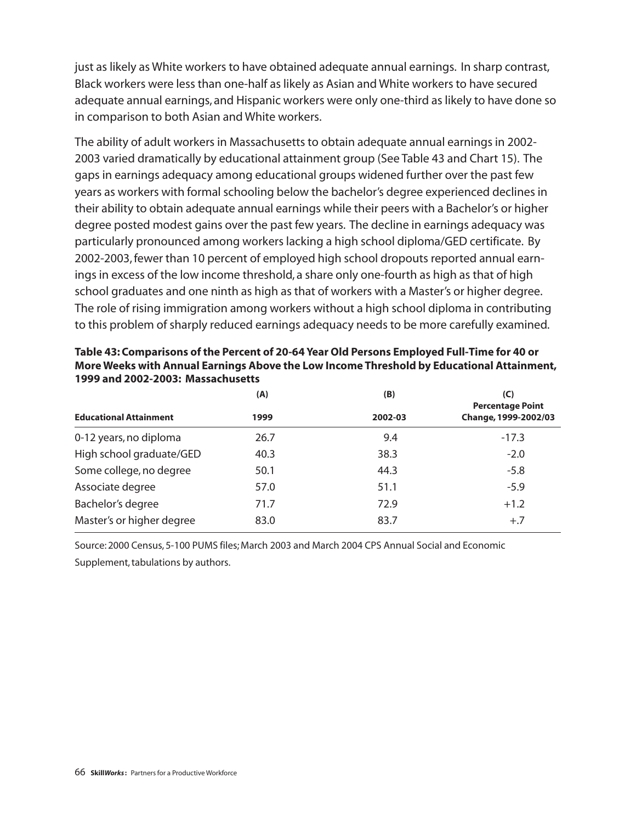just as likely as White workers to have obtained adequate annual earnings. In sharp contrast, Black workers were less than one-half as likely as Asian and White workers to have secured adequate annual earnings, and Hispanic workers were only one-third as likely to have done so in comparison to both Asian and White workers.

The ability of adult workers in Massachusetts to obtain adequate annual earnings in 2002- 2003 varied dramatically by educational attainment group (See Table 43 and Chart 15). The gaps in earnings adequacy among educational groups widened further over the past few years as workers with formal schooling below the bachelor's degree experienced declines in their ability to obtain adequate annual earnings while their peers with a Bachelor's or higher degree posted modest gains over the past few years. The decline in earnings adequacy was particularly pronounced among workers lacking a high school diploma/GED certificate. By 2002-2003,fewer than 10 percent of employed high school dropouts reported annual earnings in excess of the low income threshold, a share only one-fourth as high as that of high school graduates and one ninth as high as that of workers with a Master's or higher degree. The role of rising immigration among workers without a high school diploma in contributing to this problem of sharply reduced earnings adequacy needs to be more carefully examined.

|                               | (A)  | (B)     | (C)<br><b>Percentage Point</b> |
|-------------------------------|------|---------|--------------------------------|
| <b>Educational Attainment</b> | 1999 | 2002-03 | Change, 1999-2002/03           |
| 0-12 years, no diploma        | 26.7 | 9.4     | $-17.3$                        |
| High school graduate/GED      | 40.3 | 38.3    | $-2.0$                         |
| Some college, no degree       | 50.1 | 44.3    | $-5.8$                         |
| Associate degree              | 57.0 | 51.1    | $-5.9$                         |
| Bachelor's degree             | 71.7 | 72.9    | $+1.2$                         |
| Master's or higher degree     | 83.0 | 83.7    | $+.7$                          |

**Table 43: Comparisons of the Percent of 20-64 Year Old Persons Employed Full-Time for 40 or More Weeks with Annual Earnings Above the Low Income Threshold by Educational Attainment, 1999 and 2002-2003: Massachusetts**

Source: 2000 Census, 5-100 PUMS files; March 2003 and March 2004 CPS Annual Social and Economic Supplement, tabulations by authors.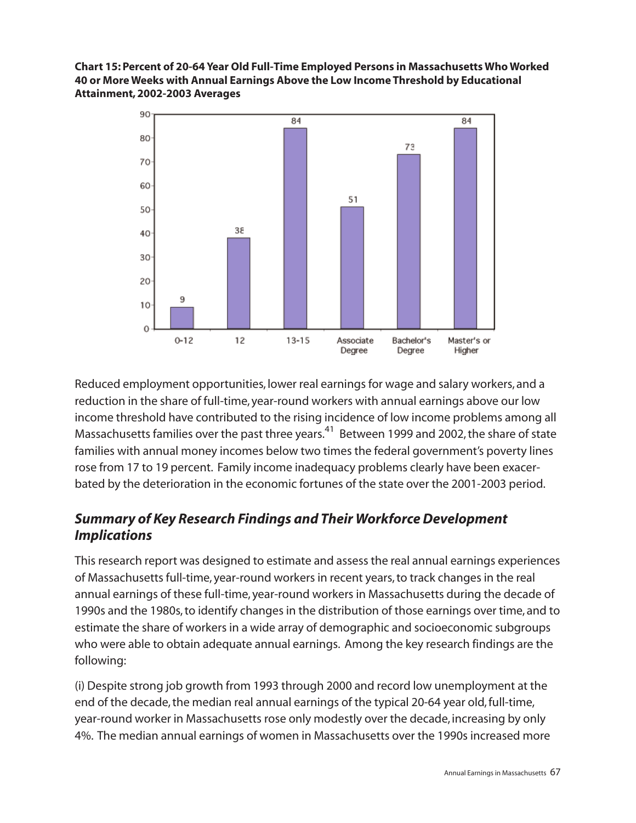**Chart 15: Percent of 20-64 Year Old Full-Time Employed Persons in Massachusetts Who Worked 40 or More Weeks with Annual Earnings Above the Low Income Threshold by Educational Attainment, 2002-2003 Averages**



Reduced employment opportunities, lower real earnings for wage and salary workers, and a reduction in the share of full-time, year-round workers with annual earnings above our low income threshold have contributed to the rising incidence of low income problems among all Massachusetts families over the past three years.<sup>41</sup> Between 1999 and 2002, the share of state families with annual money incomes below two times the federal government's poverty lines rose from 17 to 19 percent. Family income inadequacy problems clearly have been exacerbated by the deterioration in the economic fortunes of the state over the 2001-2003 period.

# *Summary of Key Research Findings and Their Workforce Development Implications*

This research report was designed to estimate and assess the real annual earnings experiences of Massachusetts full-time, year-round workers in recent years, to track changes in the real annual earnings of these full-time, year-round workers in Massachusetts during the decade of 1990s and the 1980s, to identify changes in the distribution of those earnings over time, and to estimate the share of workers in a wide array of demographic and socioeconomic subgroups who were able to obtain adequate annual earnings. Among the key research findings are the following:

(i) Despite strong job growth from 1993 through 2000 and record low unemployment at the end of the decade, the median real annual earnings of the typical 20-64 year old, full-time, year-round worker in Massachusetts rose only modestly over the decade, increasing by only 4%. The median annual earnings of women in Massachusetts over the 1990s increased more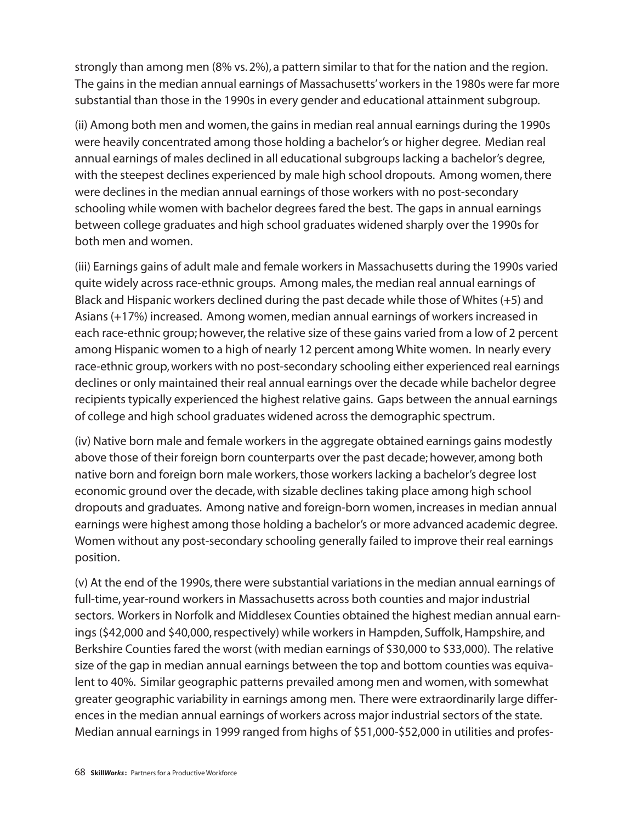strongly than among men (8% vs. 2%), a pattern similar to that for the nation and the region. The gains in the median annual earnings of Massachusetts' workers in the 1980s were far more substantial than those in the 1990s in every gender and educational attainment subgroup.

(ii) Among both men and women, the gains in median real annual earnings during the 1990s were heavily concentrated among those holding a bachelor's or higher degree. Median real annual earnings of males declined in all educational subgroups lacking a bachelor's degree, with the steepest declines experienced by male high school dropouts. Among women, there were declines in the median annual earnings of those workers with no post-secondary schooling while women with bachelor degrees fared the best. The gaps in annual earnings between college graduates and high school graduates widened sharply over the 1990s for both men and women.

(iii) Earnings gains of adult male and female workers in Massachusetts during the 1990s varied quite widely across race-ethnic groups. Among males, the median real annual earnings of Black and Hispanic workers declined during the past decade while those of Whites (+5) and Asians (+17%) increased. Among women, median annual earnings of workers increased in each race-ethnic group; however, the relative size of these gains varied from a low of 2 percent among Hispanic women to a high of nearly 12 percent among White women. In nearly every race-ethnic group,workers with no post-secondary schooling either experienced real earnings declines or only maintained their real annual earnings over the decade while bachelor degree recipients typically experienced the highest relative gains. Gaps between the annual earnings of college and high school graduates widened across the demographic spectrum.

(iv) Native born male and female workers in the aggregate obtained earnings gains modestly above those of their foreign born counterparts over the past decade; however, among both native born and foreign born male workers, those workers lacking a bachelor's degree lost economic ground over the decade, with sizable declines taking place among high school dropouts and graduates. Among native and foreign-born women, increases in median annual earnings were highest among those holding a bachelor's or more advanced academic degree. Women without any post-secondary schooling generally failed to improve their real earnings position.

(v) At the end of the 1990s, there were substantial variations in the median annual earnings of full-time, year-round workers in Massachusetts across both counties and major industrial sectors. Workers in Norfolk and Middlesex Counties obtained the highest median annual earnings (\$42,000 and \$40,000, respectively) while workers in Hampden, Suffolk, Hampshire, and Berkshire Counties fared the worst (with median earnings of \$30,000 to \$33,000). The relative size of the gap in median annual earnings between the top and bottom counties was equivalent to 40%. Similar geographic patterns prevailed among men and women, with somewhat greater geographic variability in earnings among men. There were extraordinarily large differences in the median annual earnings of workers across major industrial sectors of the state. Median annual earnings in 1999 ranged from highs of \$51,000-\$52,000 in utilities and profes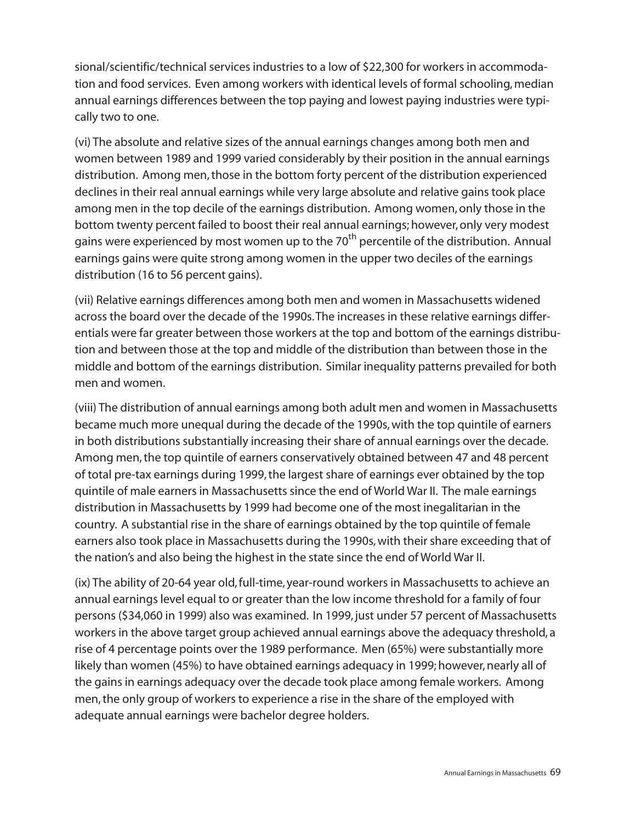sional/scientific/technical services industries to a low of \$22,300 for workers in accommodation and food services. Even among workers with identical levels of formal schooling, median annual earnings differences between the top paying and lowest paying industries were typically two to one.

(vi) The absolute and relative sizes of the annual earnings changes among both men and women between 1989 and 1999 varied considerably by their position in the annual earnings distribution. Among men, those in the bottom forty percent of the distribution experienced declines in their real annual earnings while very large absolute and relative gains took place among men in the top decile of the earnings distribution. Among women, only those in the bottom twenty percent failed to boost their real annual earnings; however, only very modest gains were experienced by most women up to the  $70<sup>th</sup>$  percentile of the distribution. Annual earnings gains were quite strong among women in the upper two deciles of the earnings distribution (16 to 56 percent gains).

(vii) Relative earnings differences among both men and women in Massachusetts widened across the board over the decade of the 1990s.The increases in these relative earnings differentials were far greater between those workers at the top and bottom of the earnings distribution and between those at the top and middle of the distribution than between those in the middle and bottom of the earnings distribution. Similar inequality patterns prevailed for both men and women.

(viii) The distribution of annual earnings among both adult men and women in Massachusetts became much more unequal during the decade of the 1990s, with the top quintile of earners in both distributions substantially increasing their share of annual earnings over the decade. Among men, the top quintile of earners conservatively obtained between 47 and 48 percent of total pre-tax earnings during 1999,the largest share of earnings ever obtained by the top quintile of male earners in Massachusetts since the end of World War II. The male earnings distribution in Massachusetts by 1999 had become one of the most inegalitarian in the country. A substantial rise in the share of earnings obtained by the top quintile of female earners also took place in Massachusetts during the 1990s, with their share exceeding that of the nation's and also being the highest in the state since the end of World War II.

(ix) The ability of 20-64 year old, full-time, year-round workers in Massachusetts to achieve an annual earnings level equal to or greater than the low income threshold for a family of four persons (\$34,060 in 1999) also was examined. In 1999, just under 57 percent of Massachusetts workers in the above target group achieved annual earnings above the adequacy threshold, a rise of 4 percentage points over the 1989 performance. Men (65%) were substantially more likely than women (45%) to have obtained earnings adequacy in 1999; however, nearly all of the gains in earnings adequacy over the decade took place among female workers. Among men, the only group of workers to experience a rise in the share of the employed with adequate annual earnings were bachelor degree holders.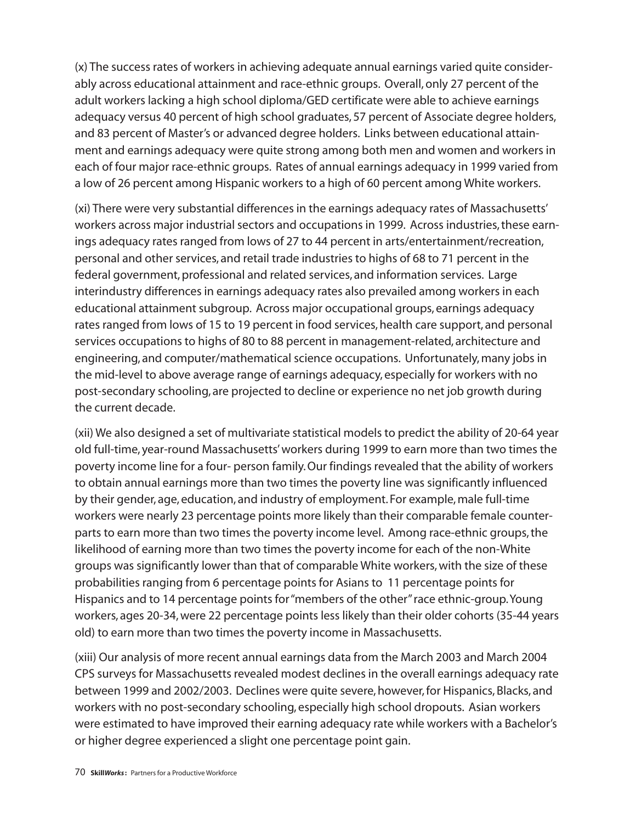(x) The success rates of workers in achieving adequate annual earnings varied quite considerably across educational attainment and race-ethnic groups. Overall, only 27 percent of the adult workers lacking a high school diploma/GED certificate were able to achieve earnings adequacy versus 40 percent of high school graduates, 57 percent of Associate degree holders, and 83 percent of Master's or advanced degree holders. Links between educational attainment and earnings adequacy were quite strong among both men and women and workers in each of four major race-ethnic groups. Rates of annual earnings adequacy in 1999 varied from a low of 26 percent among Hispanic workers to a high of 60 percent among White workers.

(xi) There were very substantial differences in the earnings adequacy rates of Massachusetts' workers across major industrial sectors and occupations in 1999. Across industries, these earnings adequacy rates ranged from lows of 27 to 44 percent in arts/entertainment/recreation, personal and other services, and retail trade industries to highs of 68 to 71 percent in the federal government, professional and related services, and information services. Large interindustry differences in earnings adequacy rates also prevailed among workers in each educational attainment subgroup. Across major occupational groups, earnings adequacy rates ranged from lows of 15 to 19 percent in food services, health care support, and personal services occupations to highs of 80 to 88 percent in management-related, architecture and engineering, and computer/mathematical science occupations. Unfortunately, many jobs in the mid-level to above average range of earnings adequacy, especially for workers with no post-secondary schooling, are projected to decline or experience no net job growth during the current decade.

(xii) We also designed a set of multivariate statistical models to predict the ability of 20-64 year old full-time, year-round Massachusetts' workers during 1999 to earn more than two times the poverty income line for a four- person family. Our findings revealed that the ability of workers to obtain annual earnings more than two times the poverty line was significantly influenced by their gender, age, education, and industry of employment. For example, male full-time workers were nearly 23 percentage points more likely than their comparable female counterparts to earn more than two times the poverty income level. Among race-ethnic groups, the likelihood of earning more than two times the poverty income for each of the non-White groups was significantly lower than that of comparable White workers, with the size of these probabilities ranging from 6 percentage points for Asians to 11 percentage points for Hispanics and to 14 percentage points for "members of the other" race ethnic-group. Young workers, ages 20-34, were 22 percentage points less likely than their older cohorts (35-44 years old) to earn more than two times the poverty income in Massachusetts.

(xiii) Our analysis of more recent annual earnings data from the March 2003 and March 2004 CPS surveys for Massachusetts revealed modest declines in the overall earnings adequacy rate between 1999 and 2002/2003. Declines were quite severe, however, for Hispanics, Blacks, and workers with no post-secondary schooling, especially high school dropouts. Asian workers were estimated to have improved their earning adequacy rate while workers with a Bachelor's or higher degree experienced a slight one percentage point gain.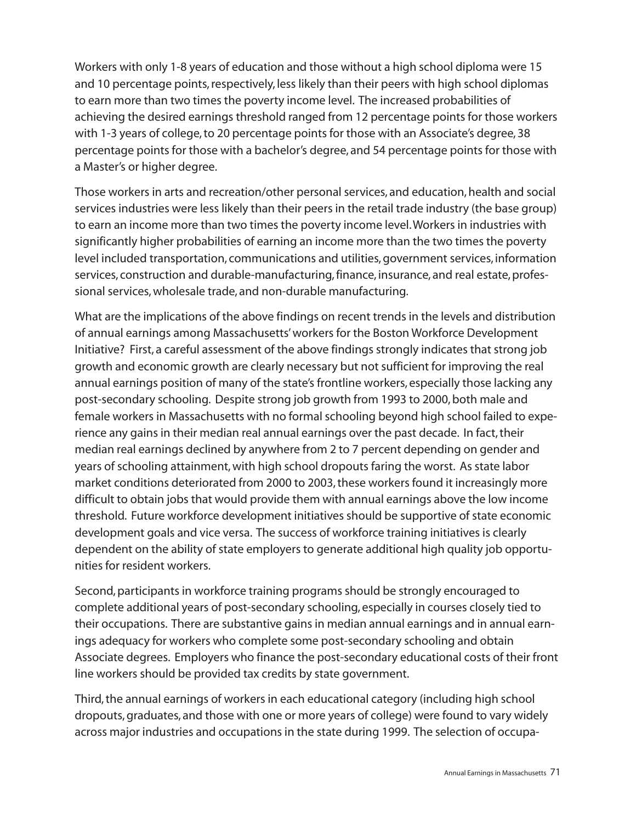Workers with only 1-8 years of education and those without a high school diploma were 15 and 10 percentage points, respectively, less likely than their peers with high school diplomas to earn more than two times the poverty income level. The increased probabilities of achieving the desired earnings threshold ranged from 12 percentage points for those workers with 1-3 years of college, to 20 percentage points for those with an Associate's degree, 38 percentage points for those with a bachelor's degree, and 54 percentage points for those with a Master's or higher degree.

Those workers in arts and recreation/other personal services, and education, health and social services industries were less likely than their peers in the retail trade industry (the base group) to earn an income more than two times the poverty income level.Workers in industries with significantly higher probabilities of earning an income more than the two times the poverty level included transportation, communications and utilities, government services, information services, construction and durable-manufacturing, finance, insurance, and real estate, professional services, wholesale trade, and non-durable manufacturing.

What are the implications of the above findings on recent trends in the levels and distribution of annual earnings among Massachusetts' workers for the Boston Workforce Development Initiative? First, a careful assessment of the above findings strongly indicates that strong job growth and economic growth are clearly necessary but not sufficient for improving the real annual earnings position of many of the state's frontline workers, especially those lacking any post-secondary schooling. Despite strong job growth from 1993 to 2000, both male and female workers in Massachusetts with no formal schooling beyond high school failed to experience any gains in their median real annual earnings over the past decade. In fact, their median real earnings declined by anywhere from 2 to 7 percent depending on gender and years of schooling attainment, with high school dropouts faring the worst. As state labor market conditions deteriorated from 2000 to 2003, these workers found it increasingly more difficult to obtain jobs that would provide them with annual earnings above the low income threshold. Future workforce development initiatives should be supportive of state economic development goals and vice versa. The success of workforce training initiatives is clearly dependent on the ability of state employers to generate additional high quality job opportunities for resident workers.

Second, participants in workforce training programs should be strongly encouraged to complete additional years of post-secondary schooling, especially in courses closely tied to their occupations. There are substantive gains in median annual earnings and in annual earnings adequacy for workers who complete some post-secondary schooling and obtain Associate degrees. Employers who finance the post-secondary educational costs of their front line workers should be provided tax credits by state government.

Third, the annual earnings of workers in each educational category (including high school dropouts, graduates, and those with one or more years of college) were found to vary widely across major industries and occupations in the state during 1999. The selection of occupa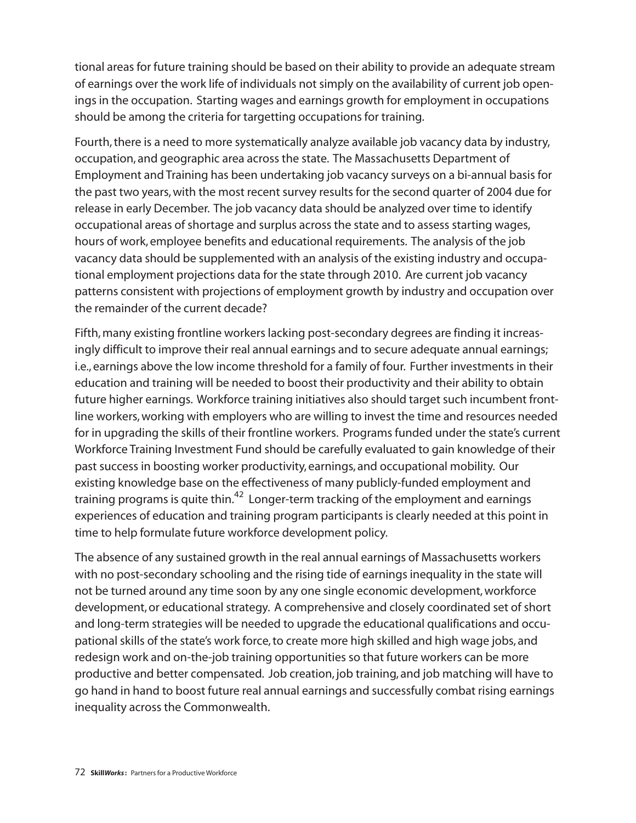tional areas for future training should be based on their ability to provide an adequate stream of earnings over the work life of individuals not simply on the availability of current job openings in the occupation. Starting wages and earnings growth for employment in occupations should be among the criteria for targetting occupations for training.

Fourth, there is a need to more systematically analyze available job vacancy data by industry, occupation, and geographic area across the state. The Massachusetts Department of Employment and Training has been undertaking job vacancy surveys on a bi-annual basis for the past two years, with the most recent survey results for the second quarter of 2004 due for release in early December. The job vacancy data should be analyzed over time to identify occupational areas of shortage and surplus across the state and to assess starting wages, hours of work, employee benefits and educational requirements. The analysis of the job vacancy data should be supplemented with an analysis of the existing industry and occupational employment projections data for the state through 2010. Are current job vacancy patterns consistent with projections of employment growth by industry and occupation over the remainder of the current decade?

Fifth, many existing frontline workers lacking post-secondary degrees are finding it increasingly difficult to improve their real annual earnings and to secure adequate annual earnings; i.e., earnings above the low income threshold for a family of four. Further investments in their education and training will be needed to boost their productivity and their ability to obtain future higher earnings. Workforce training initiatives also should target such incumbent frontline workers, working with employers who are willing to invest the time and resources needed for in upgrading the skills of their frontline workers. Programs funded under the state's current Workforce Training Investment Fund should be carefully evaluated to gain knowledge of their past success in boosting worker productivity, earnings, and occupational mobility. Our existing knowledge base on the effectiveness of many publicly-funded employment and training programs is quite thin.<sup>42</sup> Longer-term tracking of the employment and earnings experiences of education and training program participants is clearly needed at this point in time to help formulate future workforce development policy.

The absence of any sustained growth in the real annual earnings of Massachusetts workers with no post-secondary schooling and the rising tide of earnings inequality in the state will not be turned around any time soon by any one single economic development, workforce development, or educational strategy. A comprehensive and closely coordinated set of short and long-term strategies will be needed to upgrade the educational qualifications and occupational skills of the state's work force, to create more high skilled and high wage jobs, and redesign work and on-the-job training opportunities so that future workers can be more productive and better compensated. Job creation, job training, and job matching will have to go hand in hand to boost future real annual earnings and successfully combat rising earnings inequality across the Commonwealth.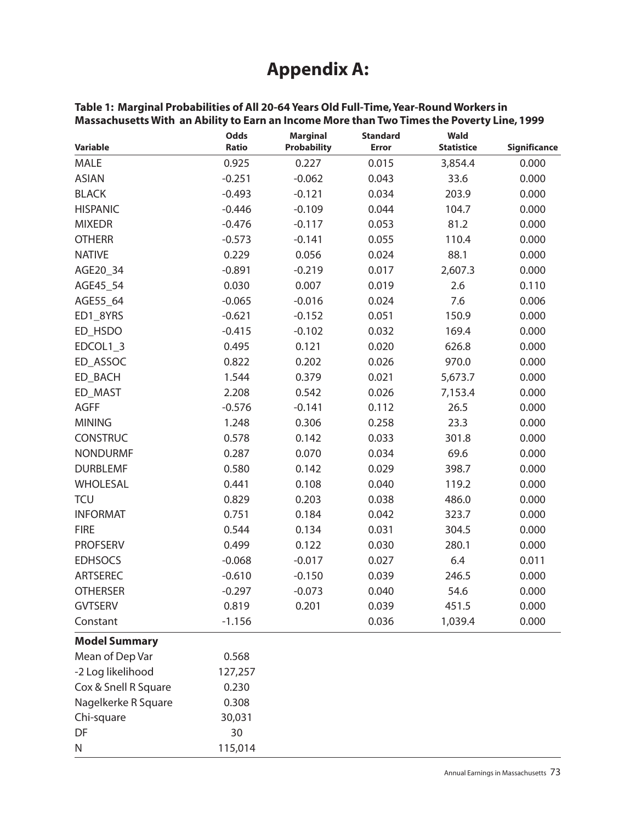# **Appendix A:**

| <b>Variable</b>      | Odds<br>Ratio | <b>Marginal</b><br><b>Probability</b> | <b>Standard</b><br><b>Error</b> | Wald<br><b>Statistice</b> | Significance |
|----------------------|---------------|---------------------------------------|---------------------------------|---------------------------|--------------|
| <b>MALE</b>          | 0.925         | 0.227                                 | 0.015                           | 3,854.4                   | 0.000        |
| <b>ASIAN</b>         | $-0.251$      | $-0.062$                              | 0.043                           | 33.6                      | 0.000        |
| <b>BLACK</b>         | $-0.493$      | $-0.121$                              | 0.034                           | 203.9                     | 0.000        |
| <b>HISPANIC</b>      | $-0.446$      | $-0.109$                              | 0.044                           | 104.7                     | 0.000        |
| <b>MIXEDR</b>        | $-0.476$      | $-0.117$                              | 0.053                           | 81.2                      | 0.000        |
| <b>OTHERR</b>        | $-0.573$      | $-0.141$                              | 0.055                           | 110.4                     | 0.000        |
| <b>NATIVE</b>        | 0.229         | 0.056                                 | 0.024                           | 88.1                      | 0.000        |
| AGE20_34             | $-0.891$      | $-0.219$                              | 0.017                           | 2,607.3                   | 0.000        |
| AGE45_54             | 0.030         | 0.007                                 | 0.019                           | 2.6                       | 0.110        |
| AGE55_64             | $-0.065$      | $-0.016$                              | 0.024                           | 7.6                       | 0.006        |
| ED1_8YRS             | $-0.621$      | $-0.152$                              | 0.051                           | 150.9                     | 0.000        |
| ED_HSDO              | $-0.415$      | $-0.102$                              | 0.032                           | 169.4                     | 0.000        |
| EDCOL1_3             | 0.495         | 0.121                                 | 0.020                           | 626.8                     | 0.000        |
| ED_ASSOC             | 0.822         | 0.202                                 | 0.026                           | 970.0                     | 0.000        |
| ED_BACH              | 1.544         | 0.379                                 | 0.021                           | 5,673.7                   | 0.000        |
| ED_MAST              | 2.208         | 0.542                                 | 0.026                           | 7,153.4                   | 0.000        |
| <b>AGFF</b>          | $-0.576$      | $-0.141$                              | 0.112                           | 26.5                      | 0.000        |
| <b>MINING</b>        | 1.248         | 0.306                                 | 0.258                           | 23.3                      | 0.000        |
| <b>CONSTRUC</b>      | 0.578         | 0.142                                 | 0.033                           | 301.8                     | 0.000        |
| <b>NONDURMF</b>      | 0.287         | 0.070                                 | 0.034                           | 69.6                      | 0.000        |
| <b>DURBLEMF</b>      | 0.580         | 0.142                                 | 0.029                           | 398.7                     | 0.000        |
| <b>WHOLESAL</b>      | 0.441         | 0.108                                 | 0.040                           | 119.2                     | 0.000        |
| <b>TCU</b>           | 0.829         | 0.203                                 | 0.038                           | 486.0                     | 0.000        |
| <b>INFORMAT</b>      | 0.751         | 0.184                                 | 0.042                           | 323.7                     | 0.000        |
| <b>FIRE</b>          | 0.544         | 0.134                                 | 0.031                           | 304.5                     | 0.000        |
| <b>PROFSERV</b>      | 0.499         | 0.122                                 | 0.030                           | 280.1                     | 0.000        |
| <b>EDHSOCS</b>       | $-0.068$      | $-0.017$                              | 0.027                           | 6.4                       | 0.011        |
| <b>ARTSEREC</b>      | $-0.610$      | $-0.150$                              | 0.039                           | 246.5                     | 0.000        |
| <b>OTHERSER</b>      | $-0.297$      | $-0.073$                              | 0.040                           | 54.6                      | 0.000        |
| <b>GVTSERV</b>       | 0.819         | 0.201                                 | 0.039                           | 451.5                     | 0.000        |
| Constant             | $-1.156$      |                                       | 0.036                           | 1,039.4                   | 0.000        |
| <b>Model Summary</b> |               |                                       |                                 |                           |              |
| Mean of Dep Var      | 0.568         |                                       |                                 |                           |              |
| -2 Log likelihood    | 127,257       |                                       |                                 |                           |              |
| Cox & Snell R Square | 0.230         |                                       |                                 |                           |              |
| Nagelkerke R Square  | 0.308         |                                       |                                 |                           |              |
| Chi-square           | 30,031        |                                       |                                 |                           |              |
| DF                   | 30            |                                       |                                 |                           |              |
| N                    | 115,014       |                                       |                                 |                           |              |

**Table 1: Marginal Probabilities of All 20-64 Years Old Full-Time,Year-Round Workers in Massachusetts With an Ability to Earn an Income More than Two Times the Poverty Line, 1999**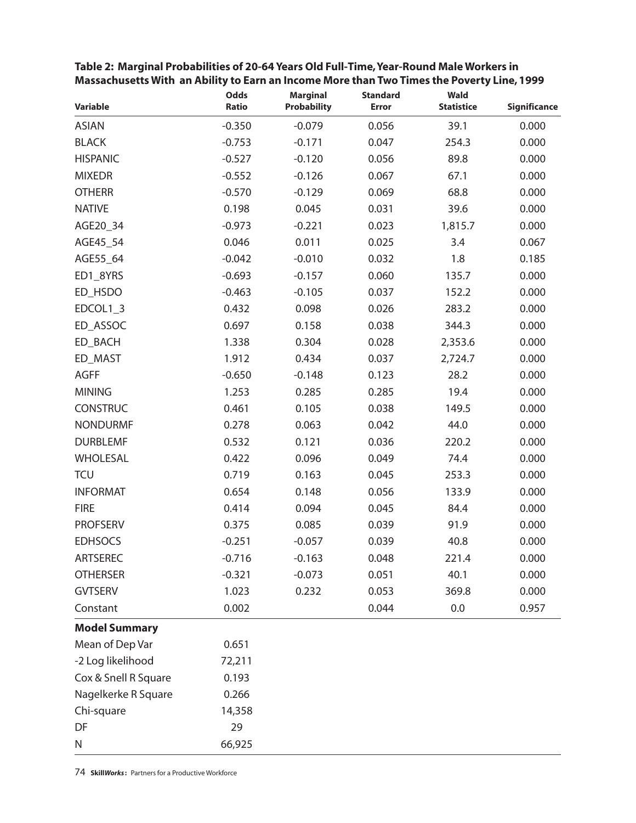| <b>Variable</b>      | Odds<br>Ratio | <b>Marginal</b><br><b>Probability</b> | <b>Standard</b><br><b>Error</b> | Wald<br><b>Statistice</b> | Significance |
|----------------------|---------------|---------------------------------------|---------------------------------|---------------------------|--------------|
| <b>ASIAN</b>         | $-0.350$      | $-0.079$                              | 0.056                           | 39.1                      | 0.000        |
| <b>BLACK</b>         | $-0.753$      | $-0.171$                              | 0.047                           | 254.3                     | 0.000        |
| <b>HISPANIC</b>      | $-0.527$      | $-0.120$                              | 0.056                           | 89.8                      | 0.000        |
| <b>MIXEDR</b>        | $-0.552$      | $-0.126$                              | 0.067                           | 67.1                      | 0.000        |
| <b>OTHERR</b>        | $-0.570$      | $-0.129$                              | 0.069                           | 68.8                      | 0.000        |
| <b>NATIVE</b>        | 0.198         | 0.045                                 | 0.031                           | 39.6                      | 0.000        |
| AGE20_34             | $-0.973$      | $-0.221$                              | 0.023                           | 1,815.7                   | 0.000        |
| AGE45_54             | 0.046         | 0.011                                 | 0.025                           | 3.4                       | 0.067        |
| AGE55_64             | $-0.042$      | $-0.010$                              | 0.032                           | 1.8                       | 0.185        |
| ED1_8YRS             | $-0.693$      | $-0.157$                              | 0.060                           | 135.7                     | 0.000        |
| ED_HSDO              | $-0.463$      | $-0.105$                              | 0.037                           | 152.2                     | 0.000        |
| EDCOL1_3             | 0.432         | 0.098                                 | 0.026                           | 283.2                     | 0.000        |
| ED_ASSOC             | 0.697         | 0.158                                 | 0.038                           | 344.3                     | 0.000        |
| ED_BACH              | 1.338         | 0.304                                 | 0.028                           | 2,353.6                   | 0.000        |
| ED_MAST              | 1.912         | 0.434                                 | 0.037                           | 2,724.7                   | 0.000        |
| <b>AGFF</b>          | $-0.650$      | $-0.148$                              | 0.123                           | 28.2                      | 0.000        |
| <b>MINING</b>        | 1.253         | 0.285                                 | 0.285                           | 19.4                      | 0.000        |
| <b>CONSTRUC</b>      | 0.461         | 0.105                                 | 0.038                           | 149.5                     | 0.000        |
| <b>NONDURMF</b>      | 0.278         | 0.063                                 | 0.042                           | 44.0                      | 0.000        |
| <b>DURBLEMF</b>      | 0.532         | 0.121                                 | 0.036                           | 220.2                     | 0.000        |
| <b>WHOLESAL</b>      | 0.422         | 0.096                                 | 0.049                           | 74.4                      | 0.000        |
| <b>TCU</b>           | 0.719         | 0.163                                 | 0.045                           | 253.3                     | 0.000        |
| <b>INFORMAT</b>      | 0.654         | 0.148                                 | 0.056                           | 133.9                     | 0.000        |
| <b>FIRE</b>          | 0.414         | 0.094                                 | 0.045                           | 84.4                      | 0.000        |
| <b>PROFSERV</b>      | 0.375         | 0.085                                 | 0.039                           | 91.9                      | 0.000        |
| <b>EDHSOCS</b>       | $-0.251$      | $-0.057$                              | 0.039                           | 40.8                      | 0.000        |
| <b>ARTSEREC</b>      | $-0.716$      | $-0.163$                              | 0.048                           | 221.4                     | 0.000        |
| <b>OTHERSER</b>      | $-0.321$      | $-0.073$                              | 0.051                           | 40.1                      | 0.000        |
| <b>GVTSERV</b>       | 1.023         | 0.232                                 | 0.053                           | 369.8                     | 0.000        |
| Constant             | 0.002         |                                       | 0.044                           | 0.0                       | 0.957        |
| <b>Model Summary</b> |               |                                       |                                 |                           |              |
| Mean of Dep Var      | 0.651         |                                       |                                 |                           |              |
| -2 Log likelihood    | 72,211        |                                       |                                 |                           |              |
| Cox & Snell R Square | 0.193         |                                       |                                 |                           |              |
| Nagelkerke R Square  | 0.266         |                                       |                                 |                           |              |
| Chi-square           | 14,358        |                                       |                                 |                           |              |
| DF                   | 29            |                                       |                                 |                           |              |
| N                    | 66,925        |                                       |                                 |                           |              |

**Table 2: Marginal Probabilities of 20-64 Years Old Full-Time,Year-Round Male Workers in Massachusetts With an Ability to Earn an Income More than Two Times the Poverty Line, 1999**

74 **Skill***Works* **:** Partners for a Productive Workforce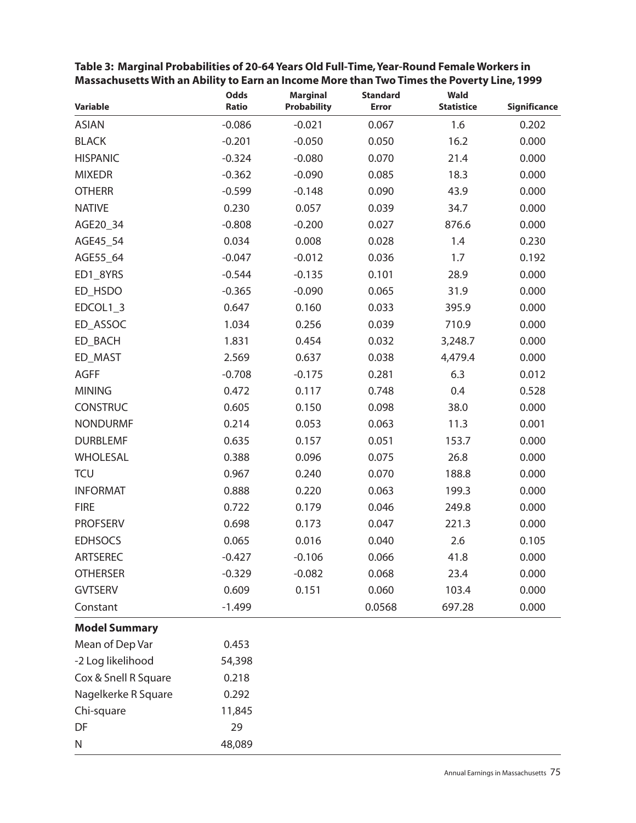| <b>Variable</b>      | Odds<br><b>Ratio</b> | <b>Marginal</b><br><b>Probability</b> | <b>Standard</b><br><b>Error</b> | Wald<br><b>Statistice</b> | Significance |
|----------------------|----------------------|---------------------------------------|---------------------------------|---------------------------|--------------|
| <b>ASIAN</b>         | $-0.086$             | $-0.021$                              | 0.067                           | 1.6                       | 0.202        |
| <b>BLACK</b>         | $-0.201$             | $-0.050$                              | 0.050                           | 16.2                      | 0.000        |
| <b>HISPANIC</b>      | $-0.324$             | $-0.080$                              | 0.070                           | 21.4                      | 0.000        |
| <b>MIXEDR</b>        | $-0.362$             | $-0.090$                              | 0.085                           | 18.3                      | 0.000        |
| <b>OTHERR</b>        | $-0.599$             | $-0.148$                              | 0.090                           | 43.9                      | 0.000        |
| <b>NATIVE</b>        | 0.230                | 0.057                                 | 0.039                           | 34.7                      | 0.000        |
| AGE20_34             | $-0.808$             | $-0.200$                              | 0.027                           | 876.6                     | 0.000        |
| AGE45_54             | 0.034                | 0.008                                 | 0.028                           | 1.4                       | 0.230        |
| AGE55_64             | $-0.047$             | $-0.012$                              | 0.036                           | 1.7                       | 0.192        |
| ED1_8YRS             | $-0.544$             | $-0.135$                              | 0.101                           | 28.9                      | 0.000        |
| ED_HSDO              | $-0.365$             | $-0.090$                              | 0.065                           | 31.9                      | 0.000        |
| EDCOL1_3             | 0.647                | 0.160                                 | 0.033                           | 395.9                     | 0.000        |
| ED_ASSOC             | 1.034                | 0.256                                 | 0.039                           | 710.9                     | 0.000        |
| ED_BACH              | 1.831                | 0.454                                 | 0.032                           | 3,248.7                   | 0.000        |
| ED_MAST              | 2.569                | 0.637                                 | 0.038                           | 4,479.4                   | 0.000        |
| <b>AGFF</b>          | $-0.708$             | $-0.175$                              | 0.281                           | 6.3                       | 0.012        |
| <b>MINING</b>        | 0.472                | 0.117                                 | 0.748                           | 0.4                       | 0.528        |
| <b>CONSTRUC</b>      | 0.605                | 0.150                                 | 0.098                           | 38.0                      | 0.000        |
| <b>NONDURMF</b>      | 0.214                | 0.053                                 | 0.063                           | 11.3                      | 0.001        |
| <b>DURBLEMF</b>      | 0.635                | 0.157                                 | 0.051                           | 153.7                     | 0.000        |
| <b>WHOLESAL</b>      | 0.388                | 0.096                                 | 0.075                           | 26.8                      | 0.000        |
| <b>TCU</b>           | 0.967                | 0.240                                 | 0.070                           | 188.8                     | 0.000        |
| <b>INFORMAT</b>      | 0.888                | 0.220                                 | 0.063                           | 199.3                     | 0.000        |
| <b>FIRE</b>          | 0.722                | 0.179                                 | 0.046                           | 249.8                     | 0.000        |
| <b>PROFSERV</b>      | 0.698                | 0.173                                 | 0.047                           | 221.3                     | 0.000        |
| <b>EDHSOCS</b>       | 0.065                | 0.016                                 | 0.040                           | 2.6                       | 0.105        |
| ARTSEREC             | $-0.427$             | $-0.106$                              | 0.066                           | 41.8                      | 0.000        |
| <b>OTHERSER</b>      | $-0.329$             | $-0.082$                              | 0.068                           | 23.4                      | 0.000        |
| <b>GVTSERV</b>       | 0.609                | 0.151                                 | 0.060                           | 103.4                     | 0.000        |
| Constant             | $-1.499$             |                                       | 0.0568                          | 697.28                    | 0.000        |
| <b>Model Summary</b> |                      |                                       |                                 |                           |              |
| Mean of Dep Var      | 0.453                |                                       |                                 |                           |              |
| -2 Log likelihood    | 54,398               |                                       |                                 |                           |              |
| Cox & Snell R Square | 0.218                |                                       |                                 |                           |              |
| Nagelkerke R Square  | 0.292                |                                       |                                 |                           |              |
| Chi-square           | 11,845               |                                       |                                 |                           |              |
| DF                   | 29                   |                                       |                                 |                           |              |
| N                    | 48,089               |                                       |                                 |                           |              |

**Table 3: Marginal Probabilities of 20-64 Years Old Full-Time,Year-Round Female Workers in Massachusetts With an Ability to Earn an Income More than Two Times the Poverty Line, 1999**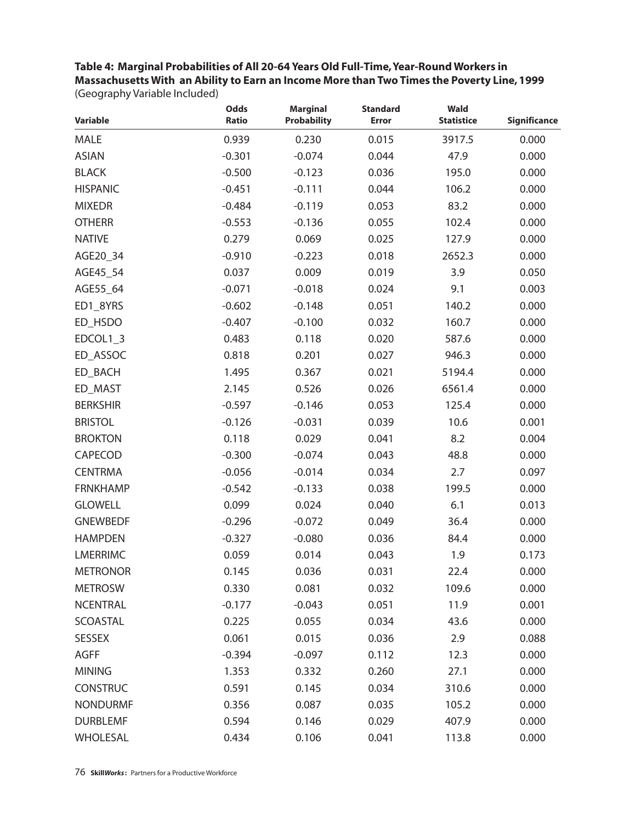**Table 4: Marginal Probabilities of All 20-64 Years Old Full-Time,Year-Round Workers in Massachusetts With an Ability to Earn an Income More than Two Times the Poverty Line, 1999** (Geography Variable Included)

| Variable        | Odds<br><b>Ratio</b> | <b>Marginal</b><br><b>Probability</b> | <b>Standard</b><br><b>Error</b> | <b>Wald</b><br><b>Statistice</b> | <b>Significance</b> |
|-----------------|----------------------|---------------------------------------|---------------------------------|----------------------------------|---------------------|
| <b>MALE</b>     | 0.939                | 0.230                                 | 0.015                           | 3917.5                           | 0.000               |
| <b>ASIAN</b>    | $-0.301$             | $-0.074$                              | 0.044                           | 47.9                             | 0.000               |
| <b>BLACK</b>    | $-0.500$             | $-0.123$                              | 0.036                           | 195.0                            | 0.000               |
| <b>HISPANIC</b> | $-0.451$             | $-0.111$                              | 0.044                           | 106.2                            | 0.000               |
| <b>MIXEDR</b>   | $-0.484$             | $-0.119$                              | 0.053                           | 83.2                             | 0.000               |
| <b>OTHERR</b>   | $-0.553$             | $-0.136$                              | 0.055                           | 102.4                            | 0.000               |
| <b>NATIVE</b>   | 0.279                | 0.069                                 | 0.025                           | 127.9                            | 0.000               |
| AGE20_34        | $-0.910$             | $-0.223$                              | 0.018                           | 2652.3                           | 0.000               |
| AGE45_54        | 0.037                | 0.009                                 | 0.019                           | 3.9                              | 0.050               |
| AGE55_64        | $-0.071$             | $-0.018$                              | 0.024                           | 9.1                              | 0.003               |
| ED1_8YRS        | $-0.602$             | $-0.148$                              | 0.051                           | 140.2                            | 0.000               |
| ED_HSDO         | $-0.407$             | $-0.100$                              | 0.032                           | 160.7                            | 0.000               |
| EDCOL1_3        | 0.483                | 0.118                                 | 0.020                           | 587.6                            | 0.000               |
| ED_ASSOC        | 0.818                | 0.201                                 | 0.027                           | 946.3                            | 0.000               |
| ED_BACH         | 1.495                | 0.367                                 | 0.021                           | 5194.4                           | 0.000               |
| ED_MAST         | 2.145                | 0.526                                 | 0.026                           | 6561.4                           | 0.000               |
| <b>BERKSHIR</b> | $-0.597$             | $-0.146$                              | 0.053                           | 125.4                            | 0.000               |
| <b>BRISTOL</b>  | $-0.126$             | $-0.031$                              | 0.039                           | 10.6                             | 0.001               |
| <b>BROKTON</b>  | 0.118                | 0.029                                 | 0.041                           | 8.2                              | 0.004               |
| CAPECOD         | $-0.300$             | $-0.074$                              | 0.043                           | 48.8                             | 0.000               |
| <b>CENTRMA</b>  | $-0.056$             | $-0.014$                              | 0.034                           | 2.7                              | 0.097               |
| <b>FRNKHAMP</b> | $-0.542$             | $-0.133$                              | 0.038                           | 199.5                            | 0.000               |
| <b>GLOWELL</b>  | 0.099                | 0.024                                 | 0.040                           | 6.1                              | 0.013               |
| <b>GNEWBEDF</b> | $-0.296$             | $-0.072$                              | 0.049                           | 36.4                             | 0.000               |
| <b>HAMPDEN</b>  | $-0.327$             | $-0.080$                              | 0.036                           | 84.4                             | 0.000               |
| <b>LMERRIMC</b> | 0.059                | 0.014                                 | 0.043                           | 1.9                              | 0.173               |
| <b>METRONOR</b> | 0.145                | 0.036                                 | 0.031                           | 22.4                             | 0.000               |
| <b>METROSW</b>  | 0.330                | 0.081                                 | 0.032                           | 109.6                            | 0.000               |
| <b>NCENTRAL</b> | $-0.177$             | $-0.043$                              | 0.051                           | 11.9                             | 0.001               |
| <b>SCOASTAL</b> | 0.225                | 0.055                                 | 0.034                           | 43.6                             | 0.000               |
| <b>SESSEX</b>   | 0.061                | 0.015                                 | 0.036                           | 2.9                              | 0.088               |
| <b>AGFF</b>     | $-0.394$             | $-0.097$                              | 0.112                           | 12.3                             | 0.000               |
| <b>MINING</b>   | 1.353                | 0.332                                 | 0.260                           | 27.1                             | 0.000               |
| <b>CONSTRUC</b> | 0.591                | 0.145                                 | 0.034                           | 310.6                            | 0.000               |
| <b>NONDURMF</b> | 0.356                | 0.087                                 | 0.035                           | 105.2                            | 0.000               |
| <b>DURBLEMF</b> | 0.594                | 0.146                                 | 0.029                           | 407.9                            | 0.000               |
| <b>WHOLESAL</b> | 0.434                | 0.106                                 | 0.041                           | 113.8                            | 0.000               |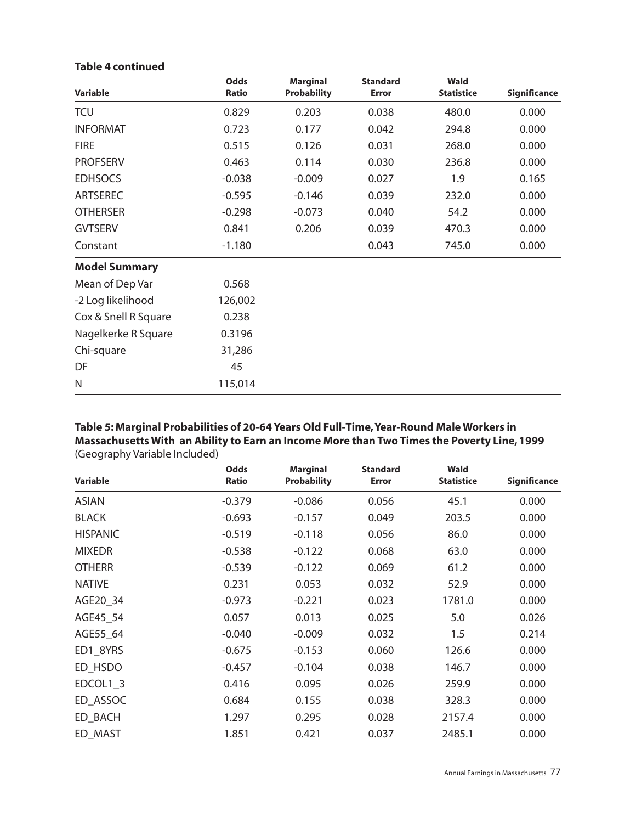#### **Table 4 continued**

| <b>Variable</b>      | Odds<br>Ratio | <b>Marginal</b><br><b>Probability</b> | <b>Standard</b><br><b>Error</b> | <b>Wald</b><br><b>Statistice</b> | <b>Significance</b> |
|----------------------|---------------|---------------------------------------|---------------------------------|----------------------------------|---------------------|
| TCU                  | 0.829         | 0.203                                 | 0.038                           | 480.0                            | 0.000               |
| <b>INFORMAT</b>      | 0.723         | 0.177                                 | 0.042                           | 294.8                            | 0.000               |
| <b>FIRE</b>          | 0.515         | 0.126                                 | 0.031                           | 268.0                            | 0.000               |
| <b>PROFSERV</b>      | 0.463         | 0.114                                 | 0.030                           | 236.8                            | 0.000               |
| <b>EDHSOCS</b>       | $-0.038$      | $-0.009$                              | 0.027                           | 1.9                              | 0.165               |
| <b>ARTSEREC</b>      | $-0.595$      | $-0.146$                              | 0.039                           | 232.0                            | 0.000               |
| <b>OTHERSER</b>      | $-0.298$      | $-0.073$                              | 0.040                           | 54.2                             | 0.000               |
| <b>GVTSERV</b>       | 0.841         | 0.206                                 | 0.039                           | 470.3                            | 0.000               |
| Constant             | $-1.180$      |                                       | 0.043                           | 745.0                            | 0.000               |
| <b>Model Summary</b> |               |                                       |                                 |                                  |                     |
| Mean of Dep Var      | 0.568         |                                       |                                 |                                  |                     |
| -2 Log likelihood    | 126,002       |                                       |                                 |                                  |                     |
| Cox & Snell R Square | 0.238         |                                       |                                 |                                  |                     |
| Nagelkerke R Square  | 0.3196        |                                       |                                 |                                  |                     |
| Chi-square           | 31,286        |                                       |                                 |                                  |                     |
| DF                   | 45            |                                       |                                 |                                  |                     |
| N                    | 115,014       |                                       |                                 |                                  |                     |

#### **Table 5: Marginal Probabilities of 20-64 Years Old Full-Time,Year-Round Male Workers in Massachusetts With an Ability to Earn an Income More than Two Times the Poverty Line, 1999** (Geography Variable Included)

| <b>Variable</b> | <b>Odds</b><br>Ratio | <b>Marginal</b><br><b>Probability</b> | <b>Standard</b><br><b>Error</b> | <b>Wald</b><br><b>Statistice</b> | <b>Significance</b> |
|-----------------|----------------------|---------------------------------------|---------------------------------|----------------------------------|---------------------|
| <b>ASIAN</b>    | $-0.379$             | $-0.086$                              | 0.056                           | 45.1                             | 0.000               |
| <b>BLACK</b>    | $-0.693$             | $-0.157$                              | 0.049                           | 203.5                            | 0.000               |
| <b>HISPANIC</b> | $-0.519$             | $-0.118$                              | 0.056                           | 86.0                             | 0.000               |
| <b>MIXEDR</b>   | $-0.538$             | $-0.122$                              | 0.068                           | 63.0                             | 0.000               |
| <b>OTHERR</b>   | $-0.539$             | $-0.122$                              | 0.069                           | 61.2                             | 0.000               |
| <b>NATIVE</b>   | 0.231                | 0.053                                 | 0.032                           | 52.9                             | 0.000               |
| AGE20 34        | $-0.973$             | $-0.221$                              | 0.023                           | 1781.0                           | 0.000               |
| AGE45 54        | 0.057                | 0.013                                 | 0.025                           | 5.0                              | 0.026               |
| AGE55 64        | $-0.040$             | $-0.009$                              | 0.032                           | 1.5                              | 0.214               |
| ED1_8YRS        | $-0.675$             | $-0.153$                              | 0.060                           | 126.6                            | 0.000               |
| ED HSDO         | $-0.457$             | $-0.104$                              | 0.038                           | 146.7                            | 0.000               |
| EDCOL1 3        | 0.416                | 0.095                                 | 0.026                           | 259.9                            | 0.000               |
| ED ASSOC        | 0.684                | 0.155                                 | 0.038                           | 328.3                            | 0.000               |
| ED BACH         | 1.297                | 0.295                                 | 0.028                           | 2157.4                           | 0.000               |
| ED MAST         | 1.851                | 0.421                                 | 0.037                           | 2485.1                           | 0.000               |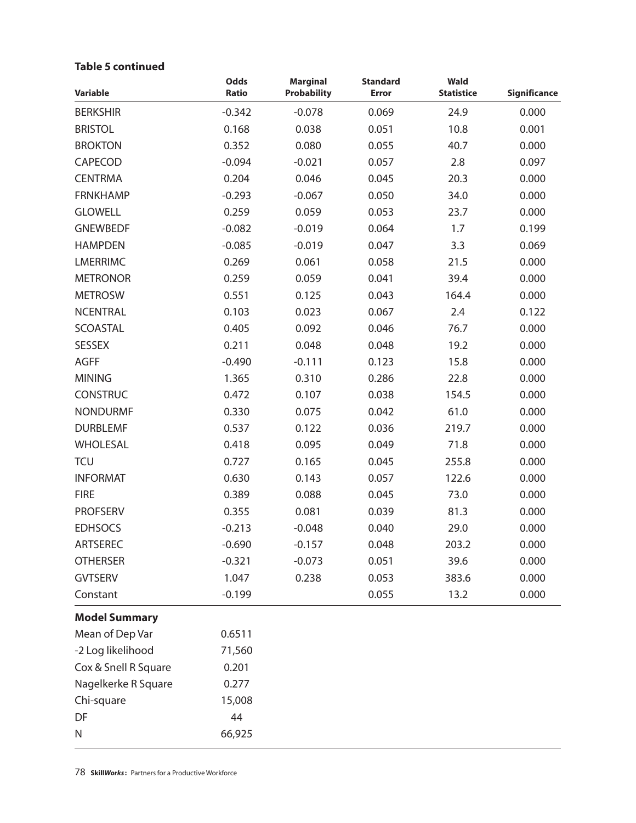## **Table 5 continued**

| Variable             | <b>Odds</b><br>Ratio | <b>Marginal</b><br><b>Probability</b> | <b>Standard</b><br><b>Error</b> | <b>Wald</b><br><b>Statistice</b> | Significance |
|----------------------|----------------------|---------------------------------------|---------------------------------|----------------------------------|--------------|
| <b>BERKSHIR</b>      | $-0.342$             | $-0.078$                              | 0.069                           | 24.9                             | 0.000        |
| <b>BRISTOL</b>       | 0.168                | 0.038                                 | 0.051                           | 10.8                             | 0.001        |
| <b>BROKTON</b>       | 0.352                | 0.080                                 | 0.055                           | 40.7                             | 0.000        |
| CAPECOD              | $-0.094$             | $-0.021$                              | 0.057                           | 2.8                              | 0.097        |
| <b>CENTRMA</b>       | 0.204                | 0.046                                 | 0.045                           | 20.3                             | 0.000        |
| <b>FRNKHAMP</b>      | $-0.293$             | $-0.067$                              | 0.050                           | 34.0                             | 0.000        |
| <b>GLOWELL</b>       | 0.259                | 0.059                                 | 0.053                           | 23.7                             | 0.000        |
| <b>GNEWBEDF</b>      | $-0.082$             | $-0.019$                              | 0.064                           | 1.7                              | 0.199        |
| <b>HAMPDEN</b>       | $-0.085$             | $-0.019$                              | 0.047                           | 3.3                              | 0.069        |
| <b>LMERRIMC</b>      | 0.269                | 0.061                                 | 0.058                           | 21.5                             | 0.000        |
| <b>METRONOR</b>      | 0.259                | 0.059                                 | 0.041                           | 39.4                             | 0.000        |
| <b>METROSW</b>       | 0.551                | 0.125                                 | 0.043                           | 164.4                            | 0.000        |
| <b>NCENTRAL</b>      | 0.103                | 0.023                                 | 0.067                           | 2.4                              | 0.122        |
| <b>SCOASTAL</b>      | 0.405                | 0.092                                 | 0.046                           | 76.7                             | 0.000        |
| <b>SESSEX</b>        | 0.211                | 0.048                                 | 0.048                           | 19.2                             | 0.000        |
| <b>AGFF</b>          | $-0.490$             | $-0.111$                              | 0.123                           | 15.8                             | 0.000        |
| <b>MINING</b>        | 1.365                | 0.310                                 | 0.286                           | 22.8                             | 0.000        |
| <b>CONSTRUC</b>      | 0.472                | 0.107                                 | 0.038                           | 154.5                            | 0.000        |
| <b>NONDURMF</b>      | 0.330                | 0.075                                 | 0.042                           | 61.0                             | 0.000        |
| <b>DURBLEMF</b>      | 0.537                | 0.122                                 | 0.036                           | 219.7                            | 0.000        |
| <b>WHOLESAL</b>      | 0.418                | 0.095                                 | 0.049                           | 71.8                             | 0.000        |
| <b>TCU</b>           | 0.727                | 0.165                                 | 0.045                           | 255.8                            | 0.000        |
| <b>INFORMAT</b>      | 0.630                | 0.143                                 | 0.057                           | 122.6                            | 0.000        |
| <b>FIRE</b>          | 0.389                | 0.088                                 | 0.045                           | 73.0                             | 0.000        |
| <b>PROFSERV</b>      | 0.355                | 0.081                                 | 0.039                           | 81.3                             | 0.000        |
| <b>EDHSOCS</b>       | $-0.213$             | $-0.048$                              | 0.040                           | 29.0                             | 0.000        |
| ARTSEREC             | $-0.690$             | $-0.157$                              | 0.048                           | 203.2                            | 0.000        |
| <b>OTHERSER</b>      | $-0.321$             | $-0.073$                              | 0.051                           | 39.6                             | 0.000        |
| <b>GVTSERV</b>       | 1.047                | 0.238                                 | 0.053                           | 383.6                            | 0.000        |
| Constant             | $-0.199$             |                                       | 0.055                           | 13.2                             | 0.000        |
| <b>Model Summary</b> |                      |                                       |                                 |                                  |              |
| Mean of Dep Var      | 0.6511               |                                       |                                 |                                  |              |
| -2 Log likelihood    | 71,560               |                                       |                                 |                                  |              |
| Cox & Snell R Square | 0.201                |                                       |                                 |                                  |              |
| Nagelkerke R Square  | 0.277                |                                       |                                 |                                  |              |
| Chi-square           | 15,008               |                                       |                                 |                                  |              |
| DF                   | 44                   |                                       |                                 |                                  |              |
| N                    | 66,925               |                                       |                                 |                                  |              |

78 **Skill***Works* **:** Partners for a Productive Workforce

 $\overline{\phantom{a}}$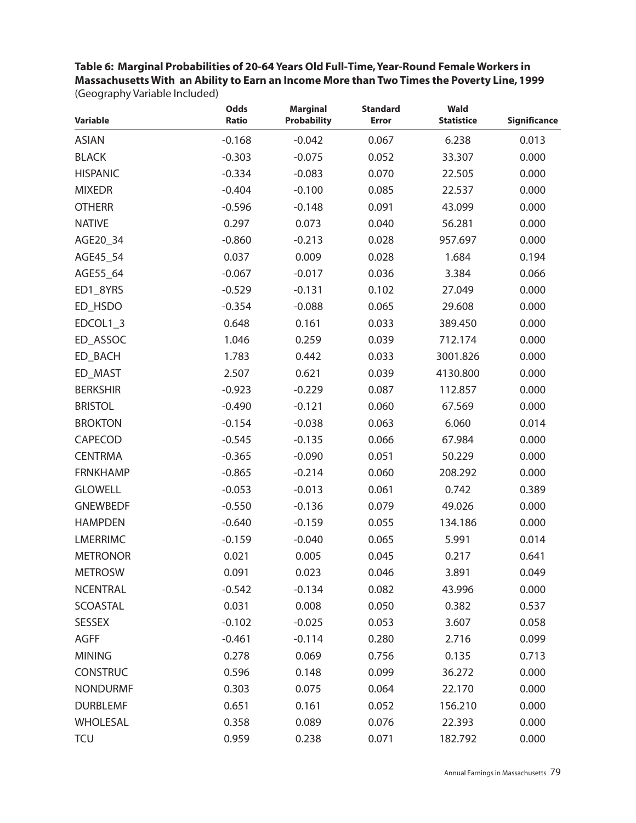**Table 6: Marginal Probabilities of 20-64 Years Old Full-Time,Year-Round Female Workers in Massachusetts With an Ability to Earn an Income More than Two Times the Poverty Line, 1999** (Geography Variable Included) **Odds Marginal Standard Wald**

| Variable        | Odds<br>Ratio | Marginal<br><b>Probability</b> | <b>Standard</b><br><b>Error</b> | Wald<br><b>Statistice</b> | <b>Significance</b> |
|-----------------|---------------|--------------------------------|---------------------------------|---------------------------|---------------------|
| <b>ASIAN</b>    | $-0.168$      | $-0.042$                       | 0.067                           | 6.238                     | 0.013               |
| <b>BLACK</b>    | $-0.303$      | $-0.075$                       | 0.052                           | 33.307                    | 0.000               |
| <b>HISPANIC</b> | $-0.334$      | $-0.083$                       | 0.070                           | 22.505                    | 0.000               |
| <b>MIXEDR</b>   | $-0.404$      | $-0.100$                       | 0.085                           | 22.537                    | 0.000               |
| <b>OTHERR</b>   | $-0.596$      | $-0.148$                       | 0.091                           | 43.099                    | 0.000               |
| <b>NATIVE</b>   | 0.297         | 0.073                          | 0.040                           | 56.281                    | 0.000               |
| AGE20_34        | $-0.860$      | $-0.213$                       | 0.028                           | 957.697                   | 0.000               |
| AGE45_54        | 0.037         | 0.009                          | 0.028                           | 1.684                     | 0.194               |
| AGE55_64        | $-0.067$      | $-0.017$                       | 0.036                           | 3.384                     | 0.066               |
| ED1_8YRS        | $-0.529$      | $-0.131$                       | 0.102                           | 27.049                    | 0.000               |
| ED_HSDO         | $-0.354$      | $-0.088$                       | 0.065                           | 29.608                    | 0.000               |
| EDCOL1_3        | 0.648         | 0.161                          | 0.033                           | 389.450                   | 0.000               |
| ED_ASSOC        | 1.046         | 0.259                          | 0.039                           | 712.174                   | 0.000               |
| ED_BACH         | 1.783         | 0.442                          | 0.033                           | 3001.826                  | 0.000               |
| ED_MAST         | 2.507         | 0.621                          | 0.039                           | 4130.800                  | 0.000               |
| <b>BERKSHIR</b> | $-0.923$      | $-0.229$                       | 0.087                           | 112.857                   | 0.000               |
| <b>BRISTOL</b>  | $-0.490$      | $-0.121$                       | 0.060                           | 67.569                    | 0.000               |
| <b>BROKTON</b>  | $-0.154$      | $-0.038$                       | 0.063                           | 6.060                     | 0.014               |
| CAPECOD         | $-0.545$      | $-0.135$                       | 0.066                           | 67.984                    | 0.000               |
| <b>CENTRMA</b>  | $-0.365$      | $-0.090$                       | 0.051                           | 50.229                    | 0.000               |
| <b>FRNKHAMP</b> | $-0.865$      | $-0.214$                       | 0.060                           | 208.292                   | 0.000               |
| <b>GLOWELL</b>  | $-0.053$      | $-0.013$                       | 0.061                           | 0.742                     | 0.389               |
| <b>GNEWBEDF</b> | $-0.550$      | $-0.136$                       | 0.079                           | 49.026                    | 0.000               |
| <b>HAMPDEN</b>  | $-0.640$      | $-0.159$                       | 0.055                           | 134.186                   | 0.000               |
| <b>LMERRIMC</b> | $-0.159$      | $-0.040$                       | 0.065                           | 5.991                     | 0.014               |
| <b>METRONOR</b> | 0.021         | 0.005                          | 0.045                           | 0.217                     | 0.641               |
| <b>METROSW</b>  | 0.091         | 0.023                          | 0.046                           | 3.891                     | 0.049               |
| <b>NCENTRAL</b> | $-0.542$      | $-0.134$                       | 0.082                           | 43.996                    | 0.000               |
| <b>SCOASTAL</b> | 0.031         | 0.008                          | 0.050                           | 0.382                     | 0.537               |
| <b>SESSEX</b>   | $-0.102$      | $-0.025$                       | 0.053                           | 3.607                     | 0.058               |
| <b>AGFF</b>     | $-0.461$      | $-0.114$                       | 0.280                           | 2.716                     | 0.099               |
| <b>MINING</b>   | 0.278         | 0.069                          | 0.756                           | 0.135                     | 0.713               |
| <b>CONSTRUC</b> | 0.596         | 0.148                          | 0.099                           | 36.272                    | 0.000               |
| <b>NONDURMF</b> | 0.303         | 0.075                          | 0.064                           | 22.170                    | 0.000               |
| <b>DURBLEMF</b> | 0.651         | 0.161                          | 0.052                           | 156.210                   | 0.000               |
| <b>WHOLESAL</b> | 0.358         | 0.089                          | 0.076                           | 22.393                    | 0.000               |
| <b>TCU</b>      | 0.959         | 0.238                          | 0.071                           | 182.792                   | 0.000               |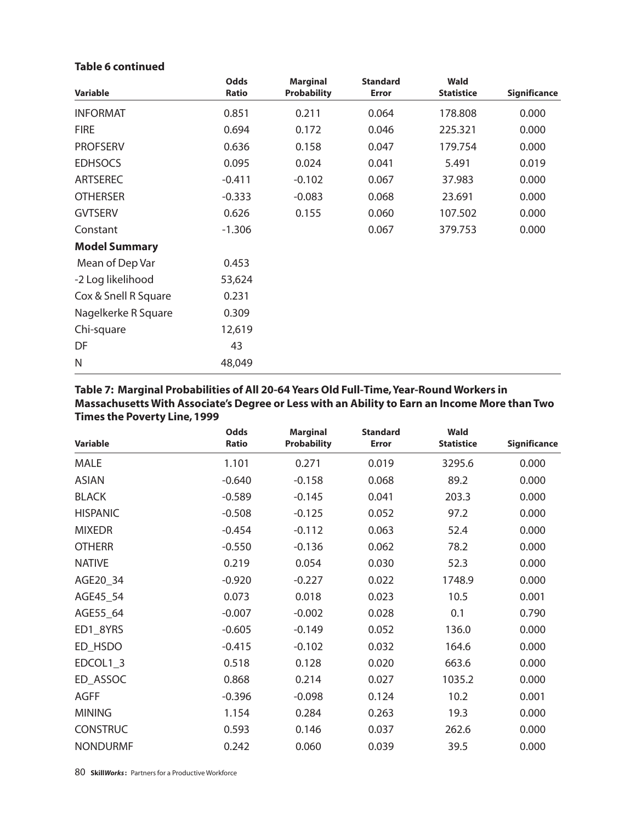#### **Table 6 continued**

| <b>Variable</b>      | <b>Odds</b><br>Ratio | <b>Marginal</b><br><b>Probability</b> | <b>Standard</b><br><b>Error</b> | <b>Wald</b><br><b>Statistice</b> | <b>Significance</b> |
|----------------------|----------------------|---------------------------------------|---------------------------------|----------------------------------|---------------------|
| <b>INFORMAT</b>      | 0.851                | 0.211                                 | 0.064                           | 178.808                          | 0.000               |
| <b>FIRE</b>          | 0.694                | 0.172                                 | 0.046                           | 225.321                          | 0.000               |
| <b>PROFSERV</b>      | 0.636                | 0.158                                 | 0.047                           | 179.754                          | 0.000               |
| <b>EDHSOCS</b>       | 0.095                | 0.024                                 | 0.041                           | 5.491                            | 0.019               |
| ARTSEREC             | $-0.411$             | $-0.102$                              | 0.067                           | 37.983                           | 0.000               |
| <b>OTHERSER</b>      | $-0.333$             | $-0.083$                              | 0.068                           | 23.691                           | 0.000               |
| <b>GVTSERV</b>       | 0.626                | 0.155                                 | 0.060                           | 107.502                          | 0.000               |
| Constant             | $-1.306$             |                                       | 0.067                           | 379.753                          | 0.000               |
| <b>Model Summary</b> |                      |                                       |                                 |                                  |                     |
| Mean of Dep Var      | 0.453                |                                       |                                 |                                  |                     |
| -2 Log likelihood    | 53,624               |                                       |                                 |                                  |                     |
| Cox & Snell R Square | 0.231                |                                       |                                 |                                  |                     |
| Nagelkerke R Square  | 0.309                |                                       |                                 |                                  |                     |
| Chi-square           | 12,619               |                                       |                                 |                                  |                     |
| DF                   | 43                   |                                       |                                 |                                  |                     |
| N                    | 48,049               |                                       |                                 |                                  |                     |

#### **Table 7: Marginal Probabilities of All 20-64 Years Old Full-Time,Year-Round Workers in Massachusetts With Associate's Degree or Less with an Ability to Earn an Income More than Two Times the Poverty Line, 1999**

| <b>Variable</b> | Odds<br><b>Ratio</b> | <b>Marginal</b><br><b>Probability</b> | <b>Standard</b><br><b>Error</b> | Wald<br><b>Statistice</b> | <b>Significance</b> |
|-----------------|----------------------|---------------------------------------|---------------------------------|---------------------------|---------------------|
| <b>MALE</b>     | 1.101                | 0.271                                 | 0.019                           | 3295.6                    | 0.000               |
| <b>ASIAN</b>    | $-0.640$             | $-0.158$                              | 0.068                           | 89.2                      | 0.000               |
| <b>BLACK</b>    | $-0.589$             | $-0.145$                              | 0.041                           | 203.3                     | 0.000               |
| <b>HISPANIC</b> | $-0.508$             | $-0.125$                              | 0.052                           | 97.2                      | 0.000               |
| <b>MIXEDR</b>   | $-0.454$             | $-0.112$                              | 0.063                           | 52.4                      | 0.000               |
| <b>OTHERR</b>   | $-0.550$             | $-0.136$                              | 0.062                           | 78.2                      | 0.000               |
| <b>NATIVE</b>   | 0.219                | 0.054                                 | 0.030                           | 52.3                      | 0.000               |
| AGE20_34        | $-0.920$             | $-0.227$                              | 0.022                           | 1748.9                    | 0.000               |
| AGE45_54        | 0.073                | 0.018                                 | 0.023                           | 10.5                      | 0.001               |
| AGE55_64        | $-0.007$             | $-0.002$                              | 0.028                           | 0.1                       | 0.790               |
| ED1_8YRS        | $-0.605$             | $-0.149$                              | 0.052                           | 136.0                     | 0.000               |
| ED_HSDO         | $-0.415$             | $-0.102$                              | 0.032                           | 164.6                     | 0.000               |
| EDCOL1_3        | 0.518                | 0.128                                 | 0.020                           | 663.6                     | 0.000               |
| ED_ASSOC        | 0.868                | 0.214                                 | 0.027                           | 1035.2                    | 0.000               |
| <b>AGFF</b>     | $-0.396$             | $-0.098$                              | 0.124                           | 10.2                      | 0.001               |
| <b>MINING</b>   | 1.154                | 0.284                                 | 0.263                           | 19.3                      | 0.000               |
| <b>CONSTRUC</b> | 0.593                | 0.146                                 | 0.037                           | 262.6                     | 0.000               |
| <b>NONDURMF</b> | 0.242                | 0.060                                 | 0.039                           | 39.5                      | 0.000               |

80 **Skill***Works* **:** Partners for a Productive Workforce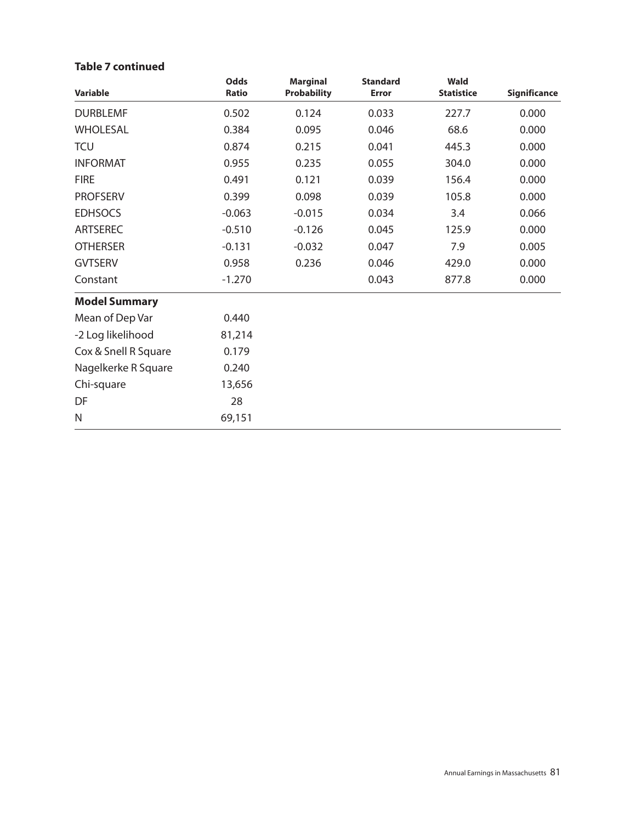## **Table 7 continued**

| Variable             | Odds<br>Ratio | <b>Marginal</b><br><b>Probability</b> | <b>Standard</b><br>Error | Wald<br><b>Statistice</b> | <b>Significance</b> |
|----------------------|---------------|---------------------------------------|--------------------------|---------------------------|---------------------|
| <b>DURBLEMF</b>      | 0.502         | 0.124                                 | 0.033                    | 227.7                     | 0.000               |
| <b>WHOLESAL</b>      | 0.384         | 0.095                                 | 0.046                    | 68.6                      | 0.000               |
| TCU                  | 0.874         | 0.215                                 | 0.041                    | 445.3                     | 0.000               |
| <b>INFORMAT</b>      | 0.955         | 0.235                                 | 0.055                    | 304.0                     | 0.000               |
| <b>FIRE</b>          | 0.491         | 0.121                                 | 0.039                    | 156.4                     | 0.000               |
| <b>PROFSERV</b>      | 0.399         | 0.098                                 | 0.039                    | 105.8                     | 0.000               |
| <b>EDHSOCS</b>       | $-0.063$      | $-0.015$                              | 0.034                    | 3.4                       | 0.066               |
| <b>ARTSEREC</b>      | $-0.510$      | $-0.126$                              | 0.045                    | 125.9                     | 0.000               |
| <b>OTHERSER</b>      | $-0.131$      | $-0.032$                              | 0.047                    | 7.9                       | 0.005               |
| <b>GVTSERV</b>       | 0.958         | 0.236                                 | 0.046                    | 429.0                     | 0.000               |
| Constant             | $-1.270$      |                                       | 0.043                    | 877.8                     | 0.000               |
| <b>Model Summary</b> |               |                                       |                          |                           |                     |
| Mean of Dep Var      | 0.440         |                                       |                          |                           |                     |
| -2 Log likelihood    | 81,214        |                                       |                          |                           |                     |
| Cox & Snell R Square | 0.179         |                                       |                          |                           |                     |
| Nagelkerke R Square  | 0.240         |                                       |                          |                           |                     |
| Chi-square           | 13,656        |                                       |                          |                           |                     |
| DF                   | 28            |                                       |                          |                           |                     |
| N                    | 69,151        |                                       |                          |                           |                     |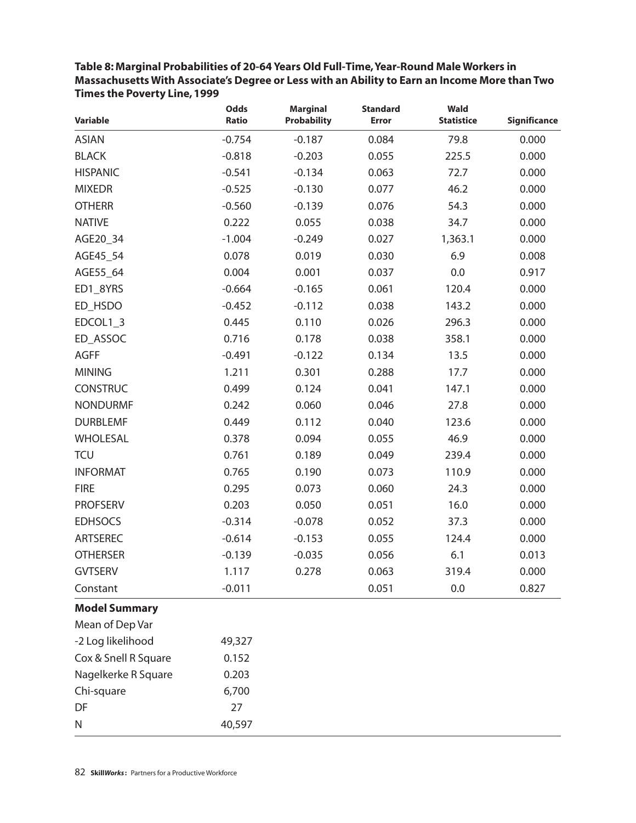**Table 8: Marginal Probabilities of 20-64 Years Old Full-Time,Year-Round Male Workers in Massachusetts With Associate's Degree or Less with an Ability to Earn an Income More than Two Times the Poverty Line, 1999**

| <b>Variable</b>      | Odds<br>Ratio | <b>Marginal</b><br><b>Probability</b> | <b>Standard</b><br><b>Error</b> | Wald<br><b>Statistice</b> | <b>Significance</b> |
|----------------------|---------------|---------------------------------------|---------------------------------|---------------------------|---------------------|
| <b>ASIAN</b>         | $-0.754$      | $-0.187$                              | 0.084                           | 79.8                      | 0.000               |
| <b>BLACK</b>         | $-0.818$      | $-0.203$                              | 0.055                           | 225.5                     | 0.000               |
| <b>HISPANIC</b>      | $-0.541$      | $-0.134$                              | 0.063                           | 72.7                      | 0.000               |
| <b>MIXEDR</b>        | $-0.525$      | $-0.130$                              | 0.077                           | 46.2                      | 0.000               |
| <b>OTHERR</b>        | $-0.560$      | $-0.139$                              | 0.076                           | 54.3                      | 0.000               |
| <b>NATIVE</b>        | 0.222         | 0.055                                 | 0.038                           | 34.7                      | 0.000               |
| AGE20_34             | $-1.004$      | $-0.249$                              | 0.027                           | 1,363.1                   | 0.000               |
| AGE45_54             | 0.078         | 0.019                                 | 0.030                           | 6.9                       | 0.008               |
| AGE55_64             | 0.004         | 0.001                                 | 0.037                           | 0.0                       | 0.917               |
| ED1_8YRS             | $-0.664$      | $-0.165$                              | 0.061                           | 120.4                     | 0.000               |
| ED_HSDO              | $-0.452$      | $-0.112$                              | 0.038                           | 143.2                     | 0.000               |
| EDCOL1_3             | 0.445         | 0.110                                 | 0.026                           | 296.3                     | 0.000               |
| ED ASSOC             | 0.716         | 0.178                                 | 0.038                           | 358.1                     | 0.000               |
| <b>AGFF</b>          | $-0.491$      | $-0.122$                              | 0.134                           | 13.5                      | 0.000               |
| <b>MINING</b>        | 1.211         | 0.301                                 | 0.288                           | 17.7                      | 0.000               |
| <b>CONSTRUC</b>      | 0.499         | 0.124                                 | 0.041                           | 147.1                     | 0.000               |
| <b>NONDURMF</b>      | 0.242         | 0.060                                 | 0.046                           | 27.8                      | 0.000               |
| <b>DURBLEMF</b>      | 0.449         | 0.112                                 | 0.040                           | 123.6                     | 0.000               |
| <b>WHOLESAL</b>      | 0.378         | 0.094                                 | 0.055                           | 46.9                      | 0.000               |
| <b>TCU</b>           | 0.761         | 0.189                                 | 0.049                           | 239.4                     | 0.000               |
| <b>INFORMAT</b>      | 0.765         | 0.190                                 | 0.073                           | 110.9                     | 0.000               |
| <b>FIRE</b>          | 0.295         | 0.073                                 | 0.060                           | 24.3                      | 0.000               |
| <b>PROFSERV</b>      | 0.203         | 0.050                                 | 0.051                           | 16.0                      | 0.000               |
| <b>EDHSOCS</b>       | $-0.314$      | $-0.078$                              | 0.052                           | 37.3                      | 0.000               |
| ARTSEREC             | $-0.614$      | $-0.153$                              | 0.055                           | 124.4                     | 0.000               |
| <b>OTHERSER</b>      | $-0.139$      | $-0.035$                              | 0.056                           | 6.1                       | 0.013               |
| <b>GVTSERV</b>       | 1.117         | 0.278                                 | 0.063                           | 319.4                     | 0.000               |
| Constant             | $-0.011$      |                                       | 0.051                           | 0.0                       | 0.827               |
| <b>Model Summary</b> |               |                                       |                                 |                           |                     |
| Mean of Dep Var      |               |                                       |                                 |                           |                     |
| -2 Log likelihood    | 49,327        |                                       |                                 |                           |                     |
| Cox & Snell R Square | 0.152         |                                       |                                 |                           |                     |
| Nagelkerke R Square  | 0.203         |                                       |                                 |                           |                     |
| Chi-square           | 6,700         |                                       |                                 |                           |                     |
| DF                   | 27            |                                       |                                 |                           |                     |
| N                    | 40,597        |                                       |                                 |                           |                     |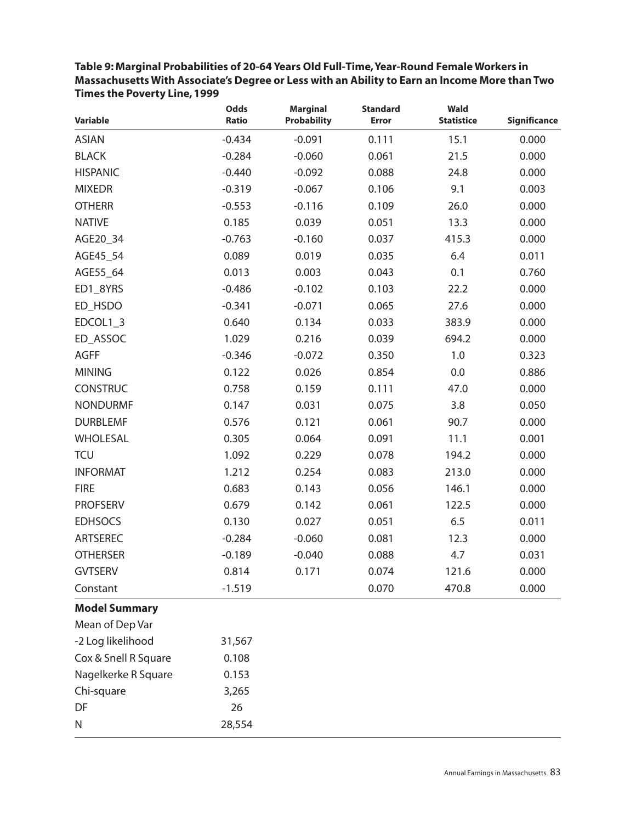| Table 9: Marginal Probabilities of 20-64 Years Old Full-Time, Year-Round Female Workers in    |             |          |                 |             |  |
|-----------------------------------------------------------------------------------------------|-------------|----------|-----------------|-------------|--|
| Massachusetts With Associate's Degree or Less with an Ability to Earn an Income More than Two |             |          |                 |             |  |
| Times the Poverty Line, 1999                                                                  |             |          |                 |             |  |
|                                                                                               | <b>Uyyy</b> | Marginal | <b>Standard</b> | <b>Mald</b> |  |

| Variable             | Odds<br>Ratio | Marginal<br><b>Probability</b> | <b>Standard</b><br><b>Error</b> | Wald<br><b>Statistice</b> | <b>Significance</b> |
|----------------------|---------------|--------------------------------|---------------------------------|---------------------------|---------------------|
|                      |               |                                |                                 |                           |                     |
| <b>ASIAN</b>         | $-0.434$      | $-0.091$                       | 0.111                           | 15.1                      | 0.000               |
| <b>BLACK</b>         | $-0.284$      | $-0.060$                       | 0.061                           | 21.5                      | 0.000               |
| <b>HISPANIC</b>      | $-0.440$      | $-0.092$                       | 0.088                           | 24.8                      | 0.000               |
| <b>MIXEDR</b>        | $-0.319$      | $-0.067$                       | 0.106                           | 9.1                       | 0.003               |
| <b>OTHERR</b>        | $-0.553$      | $-0.116$                       | 0.109                           | 26.0                      | 0.000               |
| <b>NATIVE</b>        | 0.185         | 0.039                          | 0.051                           | 13.3                      | 0.000               |
| AGE20_34             | $-0.763$      | $-0.160$                       | 0.037                           | 415.3                     | 0.000               |
| AGE45_54             | 0.089         | 0.019                          | 0.035                           | 6.4                       | 0.011               |
| AGE55_64             | 0.013         | 0.003                          | 0.043                           | 0.1                       | 0.760               |
| ED1_8YRS             | $-0.486$      | $-0.102$                       | 0.103                           | 22.2                      | 0.000               |
| ED_HSDO              | $-0.341$      | $-0.071$                       | 0.065                           | 27.6                      | 0.000               |
| EDCOL1 3             | 0.640         | 0.134                          | 0.033                           | 383.9                     | 0.000               |
| ED_ASSOC             | 1.029         | 0.216                          | 0.039                           | 694.2                     | 0.000               |
| <b>AGFF</b>          | $-0.346$      | $-0.072$                       | 0.350                           | 1.0                       | 0.323               |
| <b>MINING</b>        | 0.122         | 0.026                          | 0.854                           | 0.0                       | 0.886               |
| <b>CONSTRUC</b>      | 0.758         | 0.159                          | 0.111                           | 47.0                      | 0.000               |
| <b>NONDURMF</b>      | 0.147         | 0.031                          | 0.075                           | 3.8                       | 0.050               |
| <b>DURBLEMF</b>      | 0.576         | 0.121                          | 0.061                           | 90.7                      | 0.000               |
| <b>WHOLESAL</b>      | 0.305         | 0.064                          | 0.091                           | 11.1                      | 0.001               |
| <b>TCU</b>           | 1.092         | 0.229                          | 0.078                           | 194.2                     | 0.000               |
| <b>INFORMAT</b>      | 1.212         | 0.254                          | 0.083                           | 213.0                     | 0.000               |
| <b>FIRE</b>          | 0.683         | 0.143                          | 0.056                           | 146.1                     | 0.000               |
| <b>PROFSERV</b>      | 0.679         | 0.142                          | 0.061                           | 122.5                     | 0.000               |
| <b>EDHSOCS</b>       | 0.130         | 0.027                          | 0.051                           | 6.5                       | 0.011               |
| ARTSEREC             | $-0.284$      | $-0.060$                       | 0.081                           | 12.3                      | 0.000               |
| <b>OTHERSER</b>      | $-0.189$      | $-0.040$                       | 0.088                           | 4.7                       | 0.031               |
| <b>GVTSERV</b>       | 0.814         | 0.171                          | 0.074                           | 121.6                     | 0.000               |
| Constant             | $-1.519$      |                                | 0.070                           | 470.8                     | 0.000               |
| <b>Model Summary</b> |               |                                |                                 |                           |                     |
| Mean of Dep Var      |               |                                |                                 |                           |                     |
| -2 Log likelihood    | 31,567        |                                |                                 |                           |                     |
| Cox & Snell R Square | 0.108         |                                |                                 |                           |                     |
| Nagelkerke R Square  | 0.153         |                                |                                 |                           |                     |
| Chi-square           | 3,265         |                                |                                 |                           |                     |
| DF                   | 26            |                                |                                 |                           |                     |
| N                    | 28,554        |                                |                                 |                           |                     |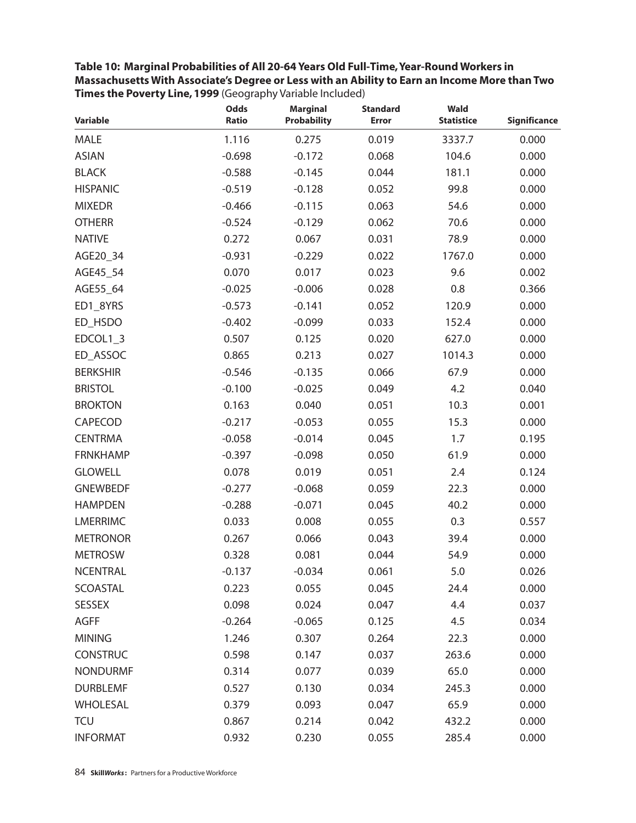| Table 10: Marginal Probabilities of All 20-64 Years Old Full-Time, Year-Round Workers in      |
|-----------------------------------------------------------------------------------------------|
| Massachusetts With Associate's Degree or Less with an Ability to Earn an Income More than Two |
| <b>Times the Poverty Line, 1999</b> (Geography Variable Included)                             |

| <b>Variable</b> | Odds<br><b>Ratio</b> | <b>Marginal</b><br><b>Probability</b> | <b>Standard</b><br><b>Error</b> | Wald<br><b>Statistice</b> | <b>Significance</b> |
|-----------------|----------------------|---------------------------------------|---------------------------------|---------------------------|---------------------|
| <b>MALE</b>     | 1.116                | 0.275                                 | 0.019                           | 3337.7                    | 0.000               |
| <b>ASIAN</b>    | $-0.698$             | $-0.172$                              | 0.068                           | 104.6                     | 0.000               |
| <b>BLACK</b>    | $-0.588$             | $-0.145$                              | 0.044                           | 181.1                     | 0.000               |
| <b>HISPANIC</b> | $-0.519$             | $-0.128$                              | 0.052                           | 99.8                      | 0.000               |
| <b>MIXEDR</b>   | $-0.466$             | $-0.115$                              | 0.063                           | 54.6                      | 0.000               |
| <b>OTHERR</b>   | $-0.524$             | $-0.129$                              | 0.062                           | 70.6                      | 0.000               |
| <b>NATIVE</b>   | 0.272                | 0.067                                 | 0.031                           | 78.9                      | 0.000               |
| AGE20_34        | $-0.931$             | $-0.229$                              | 0.022                           | 1767.0                    | 0.000               |
| AGE45_54        | 0.070                | 0.017                                 | 0.023                           | 9.6                       | 0.002               |
| AGE55_64        | $-0.025$             | $-0.006$                              | 0.028                           | 0.8                       | 0.366               |
| ED1_8YRS        | $-0.573$             | $-0.141$                              | 0.052                           | 120.9                     | 0.000               |
| ED_HSDO         | $-0.402$             | $-0.099$                              | 0.033                           | 152.4                     | 0.000               |
| EDCOL1_3        | 0.507                | 0.125                                 | 0.020                           | 627.0                     | 0.000               |
| ED_ASSOC        | 0.865                | 0.213                                 | 0.027                           | 1014.3                    | 0.000               |
| <b>BERKSHIR</b> | $-0.546$             | $-0.135$                              | 0.066                           | 67.9                      | 0.000               |
| <b>BRISTOL</b>  | $-0.100$             | $-0.025$                              | 0.049                           | 4.2                       | 0.040               |
| <b>BROKTON</b>  | 0.163                | 0.040                                 | 0.051                           | 10.3                      | 0.001               |
| <b>CAPECOD</b>  | $-0.217$             | $-0.053$                              | 0.055                           | 15.3                      | 0.000               |
| <b>CENTRMA</b>  | $-0.058$             | $-0.014$                              | 0.045                           | 1.7                       | 0.195               |
| <b>FRNKHAMP</b> | $-0.397$             | $-0.098$                              | 0.050                           | 61.9                      | 0.000               |
| <b>GLOWELL</b>  | 0.078                | 0.019                                 | 0.051                           | 2.4                       | 0.124               |
| <b>GNEWBEDF</b> | $-0.277$             | $-0.068$                              | 0.059                           | 22.3                      | 0.000               |
| <b>HAMPDEN</b>  | $-0.288$             | $-0.071$                              | 0.045                           | 40.2                      | 0.000               |
| <b>LMERRIMC</b> | 0.033                | 0.008                                 | 0.055                           | 0.3                       | 0.557               |
| <b>METRONOR</b> | 0.267                | 0.066                                 | 0.043                           | 39.4                      | 0.000               |
| <b>METROSW</b>  | 0.328                | 0.081                                 | 0.044                           | 54.9                      | 0.000               |
| <b>NCENTRAL</b> | $-0.137$             | $-0.034$                              | 0.061                           | 5.0                       | 0.026               |
| SCOASTAL        | 0.223                | 0.055                                 | 0.045                           | 24.4                      | 0.000               |
| <b>SESSEX</b>   | 0.098                | 0.024                                 | 0.047                           | 4.4                       | 0.037               |
| <b>AGFF</b>     | $-0.264$             | $-0.065$                              | 0.125                           | 4.5                       | 0.034               |
| <b>MINING</b>   | 1.246                | 0.307                                 | 0.264                           | 22.3                      | 0.000               |
| <b>CONSTRUC</b> | 0.598                | 0.147                                 | 0.037                           | 263.6                     | 0.000               |
| <b>NONDURMF</b> | 0.314                | 0.077                                 | 0.039                           | 65.0                      | 0.000               |
| <b>DURBLEMF</b> | 0.527                | 0.130                                 | 0.034                           | 245.3                     | 0.000               |
| <b>WHOLESAL</b> | 0.379                | 0.093                                 | 0.047                           | 65.9                      | 0.000               |
| <b>TCU</b>      | 0.867                | 0.214                                 | 0.042                           | 432.2                     | 0.000               |
| <b>INFORMAT</b> | 0.932                | 0.230                                 | 0.055                           | 285.4                     | 0.000               |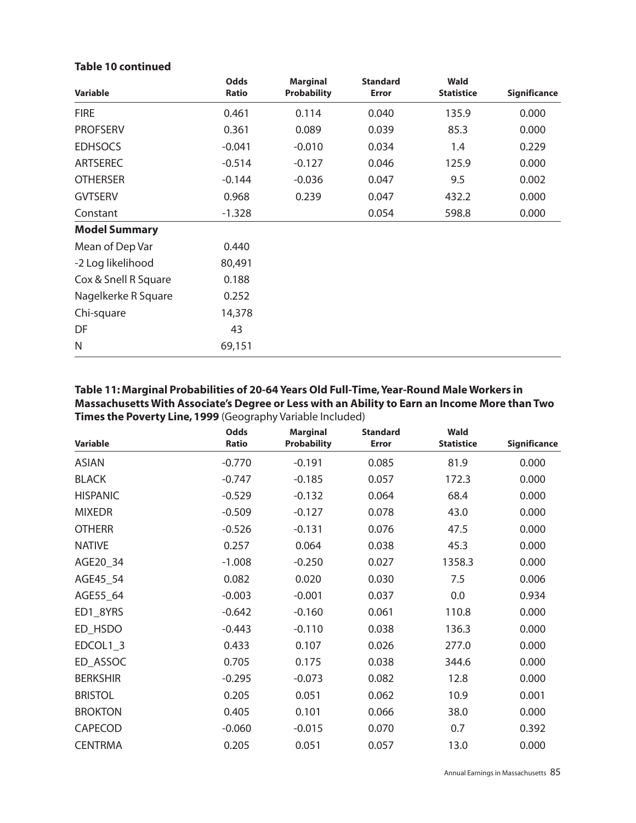#### **Table 10 continued**

| Variable             | <b>Odds</b><br>Ratio | <b>Marginal</b><br><b>Probability</b> | <b>Standard</b><br><b>Error</b> | <b>Wald</b><br><b>Statistice</b> | <b>Significance</b> |
|----------------------|----------------------|---------------------------------------|---------------------------------|----------------------------------|---------------------|
| <b>FIRE</b>          | 0.461                | 0.114                                 | 0.040                           | 135.9                            | 0.000               |
| <b>PROFSERV</b>      | 0.361                | 0.089                                 | 0.039                           | 85.3                             | 0.000               |
| <b>EDHSOCS</b>       | $-0.041$             | $-0.010$                              | 0.034                           | 1.4                              | 0.229               |
| <b>ARTSEREC</b>      | $-0.514$             | $-0.127$                              | 0.046                           | 125.9                            | 0.000               |
| <b>OTHERSER</b>      | $-0.144$             | $-0.036$                              | 0.047                           | 9.5                              | 0.002               |
| <b>GVTSERV</b>       | 0.968                | 0.239                                 | 0.047                           | 432.2                            | 0.000               |
| Constant             | $-1.328$             |                                       | 0.054                           | 598.8                            | 0.000               |
| <b>Model Summary</b> |                      |                                       |                                 |                                  |                     |
| Mean of Dep Var      | 0.440                |                                       |                                 |                                  |                     |
| -2 Log likelihood    | 80,491               |                                       |                                 |                                  |                     |
| Cox & Snell R Square | 0.188                |                                       |                                 |                                  |                     |
| Nagelkerke R Square  | 0.252                |                                       |                                 |                                  |                     |
| Chi-square           | 14,378               |                                       |                                 |                                  |                     |
| DF                   | 43                   |                                       |                                 |                                  |                     |
| N                    | 69,151               |                                       |                                 |                                  |                     |

#### **Table 11: Marginal Probabilities of 20-64 Years Old Full-Time,Year-Round Male Workers in Massachusetts With Associate's Degree or Less with an Ability to Earn an Income More than Two Times the Poverty Line, 1999** (Geography Variable Included)

| <b>Variable</b> | <b>Odds</b><br><b>Ratio</b> | <b>Marginal</b><br><b>Probability</b> | <b>Standard</b><br>Error | Wald<br><b>Statistice</b> | <b>Significance</b> |
|-----------------|-----------------------------|---------------------------------------|--------------------------|---------------------------|---------------------|
| <b>ASIAN</b>    | $-0.770$                    | $-0.191$                              | 0.085                    | 81.9                      | 0.000               |
| <b>BLACK</b>    | $-0.747$                    | $-0.185$                              | 0.057                    | 172.3                     | 0.000               |
| <b>HISPANIC</b> | $-0.529$                    | $-0.132$                              | 0.064                    | 68.4                      | 0.000               |
| <b>MIXEDR</b>   | $-0.509$                    | $-0.127$                              | 0.078                    | 43.0                      | 0.000               |
| <b>OTHERR</b>   | $-0.526$                    | $-0.131$                              | 0.076                    | 47.5                      | 0.000               |
| <b>NATIVE</b>   | 0.257                       | 0.064                                 | 0.038                    | 45.3                      | 0.000               |
| AGE20_34        | $-1.008$                    | $-0.250$                              | 0.027                    | 1358.3                    | 0.000               |
| AGE45_54        | 0.082                       | 0.020                                 | 0.030                    | 7.5                       | 0.006               |
| AGE55_64        | $-0.003$                    | $-0.001$                              | 0.037                    | 0.0                       | 0.934               |
| ED1_8YRS        | $-0.642$                    | $-0.160$                              | 0.061                    | 110.8                     | 0.000               |
| ED_HSDO         | $-0.443$                    | $-0.110$                              | 0.038                    | 136.3                     | 0.000               |
| EDCOL1_3        | 0.433                       | 0.107                                 | 0.026                    | 277.0                     | 0.000               |
| ED ASSOC        | 0.705                       | 0.175                                 | 0.038                    | 344.6                     | 0.000               |
| <b>BERKSHIR</b> | $-0.295$                    | $-0.073$                              | 0.082                    | 12.8                      | 0.000               |
| <b>BRISTOL</b>  | 0.205                       | 0.051                                 | 0.062                    | 10.9                      | 0.001               |
| <b>BROKTON</b>  | 0.405                       | 0.101                                 | 0.066                    | 38.0                      | 0.000               |
| CAPECOD         | $-0.060$                    | $-0.015$                              | 0.070                    | 0.7                       | 0.392               |
| <b>CENTRMA</b>  | 0.205                       | 0.051                                 | 0.057                    | 13.0                      | 0.000               |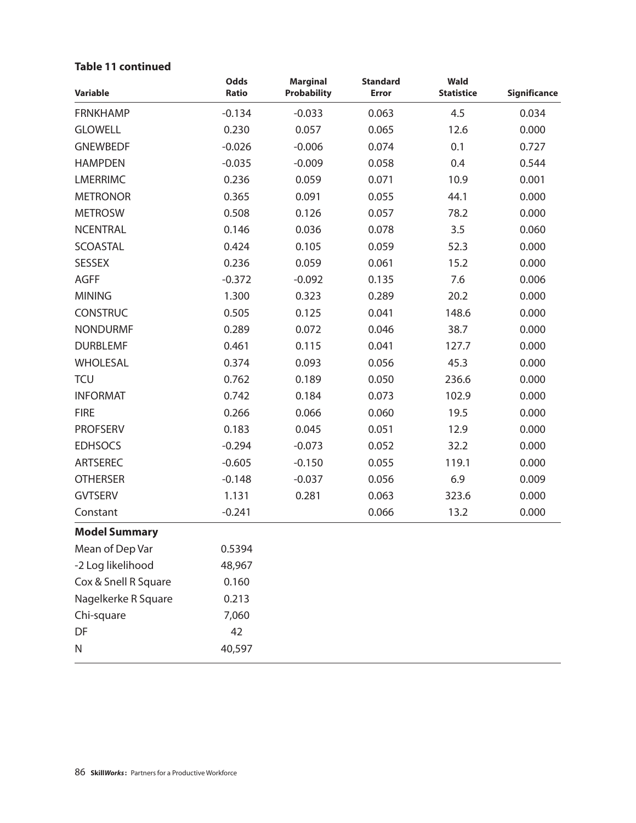## **Table 11 continued**

| Variable             | <b>Odds</b><br>Ratio | <b>Marginal</b><br><b>Probability</b> | <b>Standard</b><br><b>Error</b> | <b>Wald</b><br><b>Statistice</b> | <b>Significance</b> |
|----------------------|----------------------|---------------------------------------|---------------------------------|----------------------------------|---------------------|
| <b>FRNKHAMP</b>      | $-0.134$             | $-0.033$                              | 0.063                           | 4.5                              | 0.034               |
| <b>GLOWELL</b>       | 0.230                | 0.057                                 | 0.065                           | 12.6                             | 0.000               |
| <b>GNEWBEDF</b>      | $-0.026$             | $-0.006$                              | 0.074                           | 0.1                              | 0.727               |
| <b>HAMPDEN</b>       | $-0.035$             | $-0.009$                              | 0.058                           | 0.4                              | 0.544               |
| <b>LMERRIMC</b>      | 0.236                | 0.059                                 | 0.071                           | 10.9                             | 0.001               |
| <b>METRONOR</b>      | 0.365                | 0.091                                 | 0.055                           | 44.1                             | 0.000               |
| <b>METROSW</b>       | 0.508                | 0.126                                 | 0.057                           | 78.2                             | 0.000               |
| <b>NCENTRAL</b>      | 0.146                | 0.036                                 | 0.078                           | 3.5                              | 0.060               |
| <b>SCOASTAL</b>      | 0.424                | 0.105                                 | 0.059                           | 52.3                             | 0.000               |
| <b>SESSEX</b>        | 0.236                | 0.059                                 | 0.061                           | 15.2                             | 0.000               |
| <b>AGFF</b>          | $-0.372$             | $-0.092$                              | 0.135                           | 7.6                              | 0.006               |
| <b>MINING</b>        | 1.300                | 0.323                                 | 0.289                           | 20.2                             | 0.000               |
| <b>CONSTRUC</b>      | 0.505                | 0.125                                 | 0.041                           | 148.6                            | 0.000               |
| <b>NONDURMF</b>      | 0.289                | 0.072                                 | 0.046                           | 38.7                             | 0.000               |
| <b>DURBLEMF</b>      | 0.461                | 0.115                                 | 0.041                           | 127.7                            | 0.000               |
| <b>WHOLESAL</b>      | 0.374                | 0.093                                 | 0.056                           | 45.3                             | 0.000               |
| <b>TCU</b>           | 0.762                | 0.189                                 | 0.050                           | 236.6                            | 0.000               |
| <b>INFORMAT</b>      | 0.742                | 0.184                                 | 0.073                           | 102.9                            | 0.000               |
| <b>FIRE</b>          | 0.266                | 0.066                                 | 0.060                           | 19.5                             | 0.000               |
| <b>PROFSERV</b>      | 0.183                | 0.045                                 | 0.051                           | 12.9                             | 0.000               |
| <b>EDHSOCS</b>       | $-0.294$             | $-0.073$                              | 0.052                           | 32.2                             | 0.000               |
| <b>ARTSEREC</b>      | $-0.605$             | $-0.150$                              | 0.055                           | 119.1                            | 0.000               |
| <b>OTHERSER</b>      | $-0.148$             | $-0.037$                              | 0.056                           | 6.9                              | 0.009               |
| <b>GVTSERV</b>       | 1.131                | 0.281                                 | 0.063                           | 323.6                            | 0.000               |
| Constant             | $-0.241$             |                                       | 0.066                           | 13.2                             | 0.000               |
| <b>Model Summary</b> |                      |                                       |                                 |                                  |                     |
| Mean of Dep Var      | 0.5394               |                                       |                                 |                                  |                     |
| -2 Log likelihood    | 48,967               |                                       |                                 |                                  |                     |
| Cox & Snell R Square | 0.160                |                                       |                                 |                                  |                     |
| Nagelkerke R Square  | 0.213                |                                       |                                 |                                  |                     |
| Chi-square           | 7,060                |                                       |                                 |                                  |                     |
| DF                   | 42                   |                                       |                                 |                                  |                     |
| Ν                    | 40,597               |                                       |                                 |                                  |                     |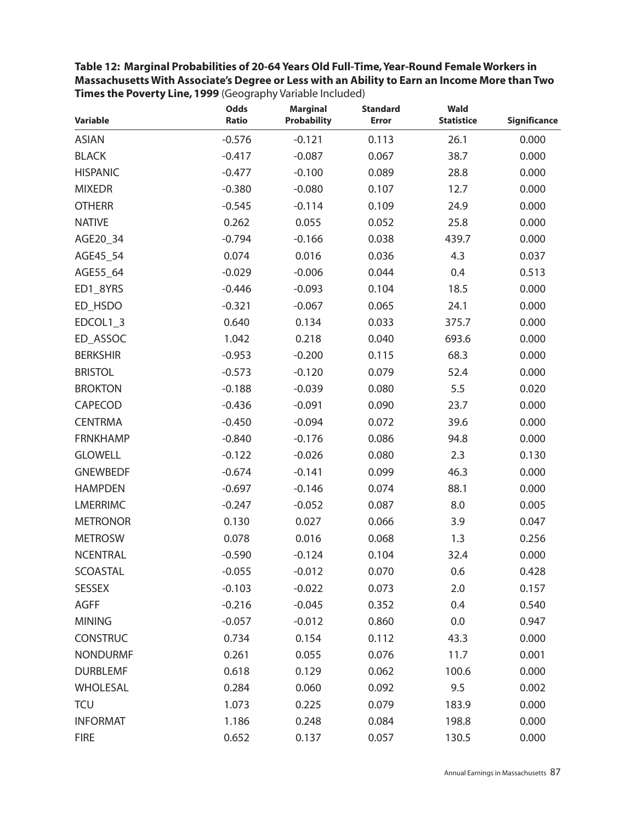| <b>Variable</b> | Odds<br>Ratio | <b>Marginal</b><br><b>Probability</b> | <b>Standard</b><br><b>Error</b> | Wald<br><b>Statistice</b> | Significance |
|-----------------|---------------|---------------------------------------|---------------------------------|---------------------------|--------------|
| <b>ASIAN</b>    | $-0.576$      | $-0.121$                              | 0.113                           | 26.1                      | 0.000        |
| <b>BLACK</b>    | $-0.417$      | $-0.087$                              | 0.067                           | 38.7                      | 0.000        |
| <b>HISPANIC</b> | $-0.477$      | $-0.100$                              | 0.089                           | 28.8                      | 0.000        |
| <b>MIXEDR</b>   | $-0.380$      | $-0.080$                              | 0.107                           | 12.7                      | 0.000        |
| <b>OTHERR</b>   | $-0.545$      | $-0.114$                              | 0.109                           | 24.9                      | 0.000        |
| <b>NATIVE</b>   | 0.262         | 0.055                                 | 0.052                           | 25.8                      | 0.000        |
| AGE20_34        | $-0.794$      | $-0.166$                              | 0.038                           | 439.7                     | 0.000        |
| AGE45_54        | 0.074         | 0.016                                 | 0.036                           | 4.3                       | 0.037        |
| AGE55_64        | $-0.029$      | $-0.006$                              | 0.044                           | 0.4                       | 0.513        |
| ED1_8YRS        | $-0.446$      | $-0.093$                              | 0.104                           | 18.5                      | 0.000        |
| ED_HSDO         | $-0.321$      | $-0.067$                              | 0.065                           | 24.1                      | 0.000        |
| EDCOL1_3        | 0.640         | 0.134                                 | 0.033                           | 375.7                     | 0.000        |
| ED ASSOC        | 1.042         | 0.218                                 | 0.040                           | 693.6                     | 0.000        |
| <b>BERKSHIR</b> | $-0.953$      | $-0.200$                              | 0.115                           | 68.3                      | 0.000        |
| <b>BRISTOL</b>  | $-0.573$      | $-0.120$                              | 0.079                           | 52.4                      | 0.000        |
| <b>BROKTON</b>  | $-0.188$      | $-0.039$                              | 0.080                           | 5.5                       | 0.020        |
| CAPECOD         | $-0.436$      | $-0.091$                              | 0.090                           | 23.7                      | 0.000        |
| <b>CENTRMA</b>  | $-0.450$      | $-0.094$                              | 0.072                           | 39.6                      | 0.000        |
| <b>FRNKHAMP</b> | $-0.840$      | $-0.176$                              | 0.086                           | 94.8                      | 0.000        |
| <b>GLOWELL</b>  | $-0.122$      | $-0.026$                              | 0.080                           | 2.3                       | 0.130        |
| <b>GNEWBEDF</b> | $-0.674$      | $-0.141$                              | 0.099                           | 46.3                      | 0.000        |
| <b>HAMPDEN</b>  | $-0.697$      | $-0.146$                              | 0.074                           | 88.1                      | 0.000        |
| <b>LMERRIMC</b> | $-0.247$      | $-0.052$                              | 0.087                           | $8.0\,$                   | 0.005        |
| <b>METRONOR</b> | 0.130         | 0.027                                 | 0.066                           | 3.9                       | 0.047        |
| <b>METROSW</b>  | 0.078         | 0.016                                 | 0.068                           | 1.3                       | 0.256        |
| <b>NCENTRAL</b> | $-0.590$      | $-0.124$                              | 0.104                           | 32.4                      | 0.000        |
| SCOASTAL        | $-0.055$      | $-0.012$                              | 0.070                           | 0.6                       | 0.428        |
| <b>SESSEX</b>   | $-0.103$      | $-0.022$                              | 0.073                           | 2.0                       | 0.157        |
| <b>AGFF</b>     | $-0.216$      | $-0.045$                              | 0.352                           | 0.4                       | 0.540        |
| <b>MINING</b>   | $-0.057$      | $-0.012$                              | 0.860                           | 0.0                       | 0.947        |
| <b>CONSTRUC</b> | 0.734         | 0.154                                 | 0.112                           | 43.3                      | 0.000        |
| <b>NONDURMF</b> | 0.261         | 0.055                                 | 0.076                           | 11.7                      | 0.001        |
| <b>DURBLEMF</b> | 0.618         | 0.129                                 | 0.062                           | 100.6                     | 0.000        |
| <b>WHOLESAL</b> | 0.284         | 0.060                                 | 0.092                           | 9.5                       | 0.002        |
| <b>TCU</b>      | 1.073         | 0.225                                 | 0.079                           | 183.9                     | 0.000        |
| <b>INFORMAT</b> | 1.186         | 0.248                                 | 0.084                           | 198.8                     | 0.000        |
| <b>FIRE</b>     | 0.652         | 0.137                                 | 0.057                           | 130.5                     | 0.000        |

**Table 12: Marginal Probabilities of 20-64 Years Old Full-Time,Year-Round Female Workers in Massachusetts With Associate's Degree or Less with an Ability to Earn an Income More than Two Times the Poverty Line, 1999** (Geography Variable Included)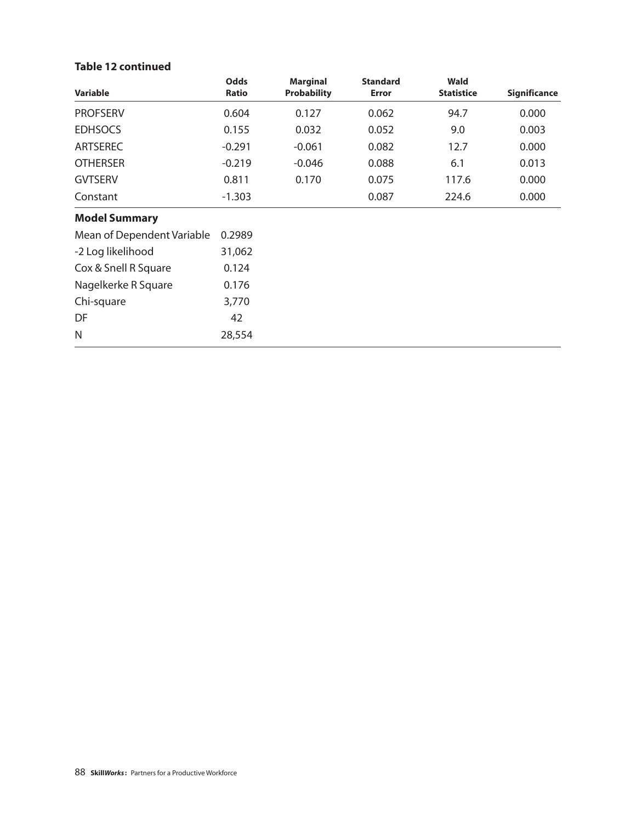## **Table 12 continued**

| Variable                   | <b>Odds</b><br>Ratio | <b>Marginal</b><br><b>Probability</b> | <b>Standard</b><br><b>Error</b> | Wald<br><b>Statistice</b> | <b>Significance</b> |
|----------------------------|----------------------|---------------------------------------|---------------------------------|---------------------------|---------------------|
| <b>PROFSERV</b>            | 0.604                | 0.127                                 | 0.062                           | 94.7                      | 0.000               |
| <b>EDHSOCS</b>             | 0.155                | 0.032                                 | 0.052                           | 9.0                       | 0.003               |
| <b>ARTSEREC</b>            | $-0.291$             | $-0.061$                              | 0.082                           | 12.7                      | 0.000               |
| <b>OTHERSER</b>            | $-0.219$             | $-0.046$                              | 0.088                           | 6.1                       | 0.013               |
| <b>GVTSERV</b>             | 0.811                | 0.170                                 | 0.075                           | 117.6                     | 0.000               |
| Constant                   | $-1.303$             |                                       | 0.087                           | 224.6                     | 0.000               |
| <b>Model Summary</b>       |                      |                                       |                                 |                           |                     |
| Mean of Dependent Variable | 0.2989               |                                       |                                 |                           |                     |
| -2 Log likelihood          | 31,062               |                                       |                                 |                           |                     |
| Cox & Snell R Square       | 0.124                |                                       |                                 |                           |                     |
| Nagelkerke R Square        | 0.176                |                                       |                                 |                           |                     |
| Chi-square                 | 3,770                |                                       |                                 |                           |                     |
| DF                         | 42                   |                                       |                                 |                           |                     |
| N                          | 28,554               |                                       |                                 |                           |                     |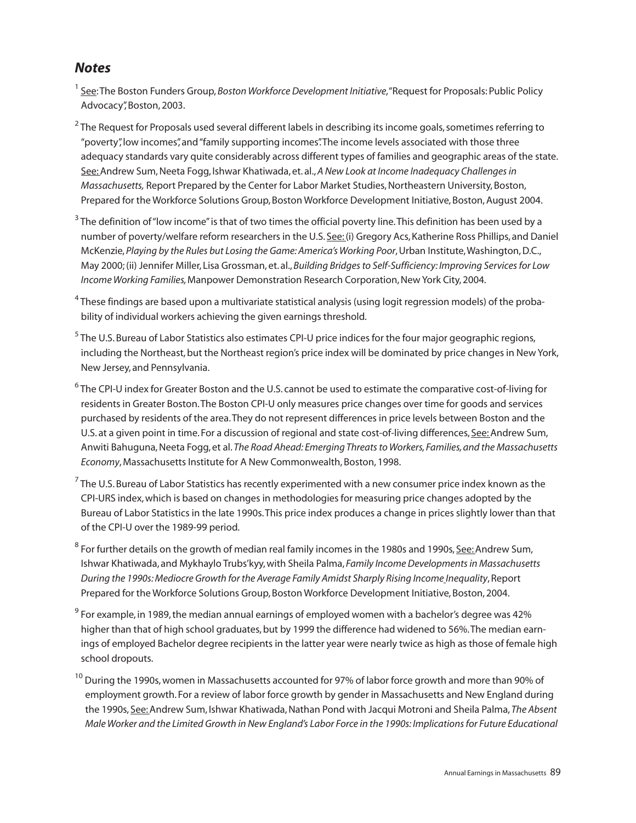# *Notes*

- <sup>1</sup> See:The Boston Funders Group, *Boston Workforce Development Initiative*,"Request for Proposals: Public Policy Advocacy", Boston, 2003.
- $2$ The Request for Proposals used several different labels in describing its income goals, sometimes referring to "poverty", low incomes", and "family supporting incomes".The income levels associated with those three adequacy standards vary quite considerably across different types of families and geographic areas of the state. See:Andrew Sum, Neeta Fogg, Ishwar Khatiwada, et. al.,*A New Look at Income Inadequacy Challenges in Massachusetts,* Report Prepared by the Center for Labor Market Studies, Northeastern University, Boston, Prepared for the Workforce Solutions Group, Boston Workforce Development Initiative, Boston, August 2004.
- $3$  The definition of "low income" is that of two times the official poverty line. This definition has been used by a number of poverty/welfare reform researchers in the U.S. See: (i) Gregory Acs, Katherine Ross Phillips, and Daniel McKenzie, *Playing by the Rules but Losing the Game: America's Working Poor*, Urban Institute,Washington, D.C., May 2000; (ii) Jennifer Miller, Lisa Grossman, et. al.,*Building Bridges to Self-Sufficiency: Improving Services for Low Income Working Families,*Manpower Demonstration Research Corporation, New York City, 2004.
- $4$ These findings are based upon a multivariate statistical analysis (using logit regression models) of the probability of individual workers achieving the given earnings threshold.
- $5$  The U.S. Bureau of Labor Statistics also estimates CPI-U price indices for the four major geographic regions, including the Northeast, but the Northeast region's price index will be dominated by price changes in New York, New Jersey, and Pennsylvania.
- $6$ The CPI-U index for Greater Boston and the U.S. cannot be used to estimate the comparative cost-of-living for residents in Greater Boston.The Boston CPI-U only measures price changes over time for goods and services purchased by residents of the area.They do not represent differences in price levels between Boston and the U.S. at a given point in time. For a discussion of regional and state cost-of-living differences, See:Andrew Sum, Anwiti Bahuguna, Neeta Fogg, et al. *The Road Ahead: Emerging Threats to Workers, Families, and the Massachusetts Economy*, Massachusetts Institute for A New Commonwealth, Boston, 1998.
- $^7$  The U.S. Bureau of Labor Statistics has recently experimented with a new consumer price index known as the CPI-URS index, which is based on changes in methodologies for measuring price changes adopted by the Bureau of Labor Statistics in the late 1990s.This price index produces a change in prices slightly lower than that of the CPI-U over the 1989-99 period.
- $8$  For further details on the growth of median real family incomes in the 1980s and 1990s, See: Andrew Sum, Ishwar Khatiwada, and Mykhaylo Trubs'kyy, with Sheila Palma, *Family Income Developments in Massachusetts During the 1990s: Mediocre Growth for the Average Family Amidst Sharply Rising Income Inequality*, Report Prepared for the Workforce Solutions Group, Boston Workforce Development Initiative, Boston, 2004.
- $9$  For example, in 1989, the median annual earnings of employed women with a bachelor's degree was 42% higher than that of high school graduates, but by 1999 the difference had widened to 56%.The median earnings of employed Bachelor degree recipients in the latter year were nearly twice as high as those of female high school dropouts.
- $^{10}$  During the 1990s, women in Massachusetts accounted for 97% of labor force growth and more than 90% of employment growth. For a review of labor force growth by gender in Massachusetts and New England during the 1990s, See:Andrew Sum, Ishwar Khatiwada, Nathan Pond with Jacqui Motroni and Sheila Palma, *The Absent Male Worker and the Limited Growth in New England's Labor Force in the 1990s: Implications for Future Educational*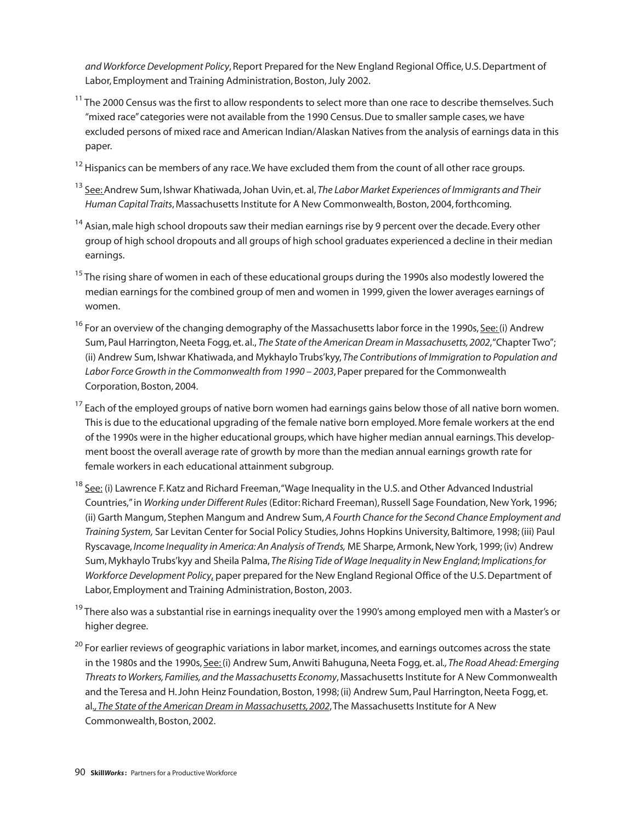*and Workforce Development Policy*, Report Prepared for the New England Regional Office, U.S. Department of Labor, Employment and Training Administration, Boston, July 2002.

- <sup>11</sup> The 2000 Census was the first to allow respondents to select more than one race to describe themselves. Such "mixed race"categories were not available from the 1990 Census. Due to smaller sample cases, we have excluded persons of mixed race and American Indian/Alaskan Natives from the analysis of earnings data in this paper.
- <sup>12</sup> Hispanics can be members of any race. We have excluded them from the count of all other race groups.
- <sup>13</sup> See:Andrew Sum, Ishwar Khatiwada, Johan Uvin, et. al, *The Labor Market Experiences of Immigrants and Their Human Capital Traits*, Massachusetts Institute for A New Commonwealth, Boston, 2004, forthcoming.
- <sup>14</sup> Asian, male high school dropouts saw their median earnings rise by 9 percent over the decade. Every other group of high school dropouts and all groups of high school graduates experienced a decline in their median earnings.
- <sup>15</sup> The rising share of women in each of these educational groups during the 1990s also modestly lowered the median earnings for the combined group of men and women in 1999, given the lower averages earnings of women.
- <sup>16</sup> For an overview of the changing demography of the Massachusetts labor force in the 1990s, See: (i) Andrew Sum, Paul Harrington, Neeta Fogg, et. al., *The State of the American Dream in Massachusetts, 2002*,"Chapter Two"; (ii) Andrew Sum, Ishwar Khatiwada, and Mykhaylo Trubs'kyy, *The Contributions of Immigration to Population and* Labor Force Growth in the Commonwealth from 1990 - 2003, Paper prepared for the Commonwealth Corporation, Boston, 2004.
- <sup>17</sup> Each of the employed groups of native born women had earnings gains below those of all native born women. This is due to the educational upgrading of the female native born employed. More female workers at the end of the 1990s were in the higher educational groups, which have higher median annual earnings.This development boost the overall average rate of growth by more than the median annual earnings growth rate for female workers in each educational attainment subgroup.
- <sup>18</sup> See: (i) Lawrence F. Katz and Richard Freeman, "Wage Inequality in the U.S. and Other Advanced Industrial Countries,"in *Working under Different Rules* (Editor: Richard Freeman), Russell Sage Foundation, New York, 1996; (ii) Garth Mangum, Stephen Mangum and Andrew Sum,*A Fourth Chance for the Second Chance Employment and Training System,* Sar Levitan Center for Social Policy Studies, Johns Hopkins University, Baltimore, 1998; (iii) Paul Ryscavage, *Income Inequality in America: An Analysis of Trends,* ME Sharpe, Armonk, New York, 1999; (iv) Andrew Sum, Mykhaylo Trubs'kyy and Sheila Palma, *The Rising Tide of Wage Inequality in New England*; *Implications for Workforce Development Policy*, paper prepared for the New England Regional Office of the U.S. Department of Labor, Employment and Training Administration, Boston, 2003.
- <sup>19</sup> There also was a substantial rise in earnings inequality over the 1990's among employed men with a Master's or higher degree.
- <sup>20</sup> For earlier reviews of geographic variations in labor market, incomes, and earnings outcomes across the state in the 1980s and the 1990s, See:(i) Andrew Sum, Anwiti Bahuguna, Neeta Fogg, et. al*.,The Road Ahead: Emerging Threats to Workers, Families, and the Massachusetts Economy*,Massachusetts Institute for A New Commonwealth and the Teresa and H. John Heinz Foundation, Boston, 1998; (ii) Andrew Sum, Paul Harrington, Neeta Fogg, et. al*.,The State of the American Dream in Massachusetts,2002*,The Massachusetts Institute for A New Commonwealth, Boston, 2002.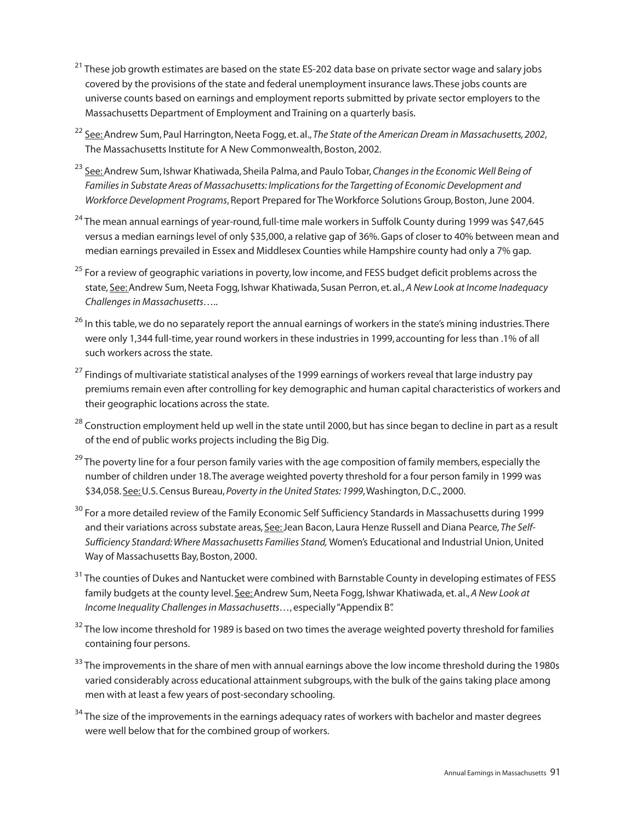- $^{21}$  These job growth estimates are based on the state ES-202 data base on private sector wage and salary jobs covered by the provisions of the state and federal unemployment insurance laws.These jobs counts are universe counts based on earnings and employment reports submitted by private sector employers to the Massachusetts Department of Employment and Training on a quarterly basis.
- <sup>22</sup> See:Andrew Sum, Paul Harrington, Neeta Fogg, et. al., *The State of the American Dream in Massachusetts, 2002*, The Massachusetts Institute for A New Commonwealth, Boston, 2002.
- <sup>23</sup> See:Andrew Sum, Ishwar Khatiwada, Sheila Palma, and Paulo Tobar,*Changes in the Economic Well Being of Families in Substate Areas of Massachusetts: Implications for the Targetting of Economic Development and Workforce Development Programs*, Report Prepared for The Workforce Solutions Group, Boston, June 2004.
- <sup>24</sup> The mean annual earnings of year-round, full-time male workers in Suffolk County during 1999 was \$47,645 versus a median earnings level of only \$35,000, a relative gap of 36%. Gaps of closer to 40% between mean and median earnings prevailed in Essex and Middlesex Counties while Hampshire county had only a 7% gap.
- <sup>25</sup> For a review of geographic variations in poverty, low income, and FESS budget deficit problems across the state, See:Andrew Sum, Neeta Fogg, Ishwar Khatiwada, Susan Perron, et. al.,*A New Look at Income Inadequacy Challenges in Massachusetts…..*
- <sup>26</sup> In this table, we do no separately report the annual earnings of workers in the state's mining industries. There were only 1,344 full-time, year round workers in these industries in 1999, accounting for less than .1% of all such workers across the state.
- <sup>27</sup> Findings of multivariate statistical analyses of the 1999 earnings of workers reveal that large industry pay premiums remain even after controlling for key demographic and human capital characteristics of workers and their geographic locations across the state.
- <sup>28</sup> Construction employment held up well in the state until 2000, but has since began to decline in part as a result of the end of public works projects including the Big Dig.
- <sup>29</sup> The poverty line for a four person family varies with the age composition of family members, especially the number of children under 18.The average weighted poverty threshold for a four person family in 1999 was \$34,058. See:U.S. Census Bureau, *Poverty in the United States: 1999*,Washington, D.C., 2000.
- <sup>30</sup> For a more detailed review of the Family Economic Self Sufficiency Standards in Massachusetts during 1999 and their variations across substate areas, See:Jean Bacon, Laura Henze Russell and Diana Pearce, *The Self-Sufficiency Standard: Where Massachusetts Families Stand,* Women's Educational and Industrial Union, United Way of Massachusetts Bay, Boston, 2000.
- <sup>31</sup> The counties of Dukes and Nantucket were combined with Barnstable County in developing estimates of FESS family budgets at the county level. See:Andrew Sum, Neeta Fogg, Ishwar Khatiwada, et. al.,*A New Look at Income Inequality Challenges in Massachusetts…*, especially "Appendix B".
- <sup>32</sup> The low income threshold for 1989 is based on two times the average weighted poverty threshold for families containing four persons.
- <sup>33</sup> The improvements in the share of men with annual earnings above the low income threshold during the 1980s varied considerably across educational attainment subgroups, with the bulk of the gains taking place among men with at least a few years of post-secondary schooling.
- <sup>34</sup> The size of the improvements in the earnings adequacy rates of workers with bachelor and master degrees were well below that for the combined group of workers.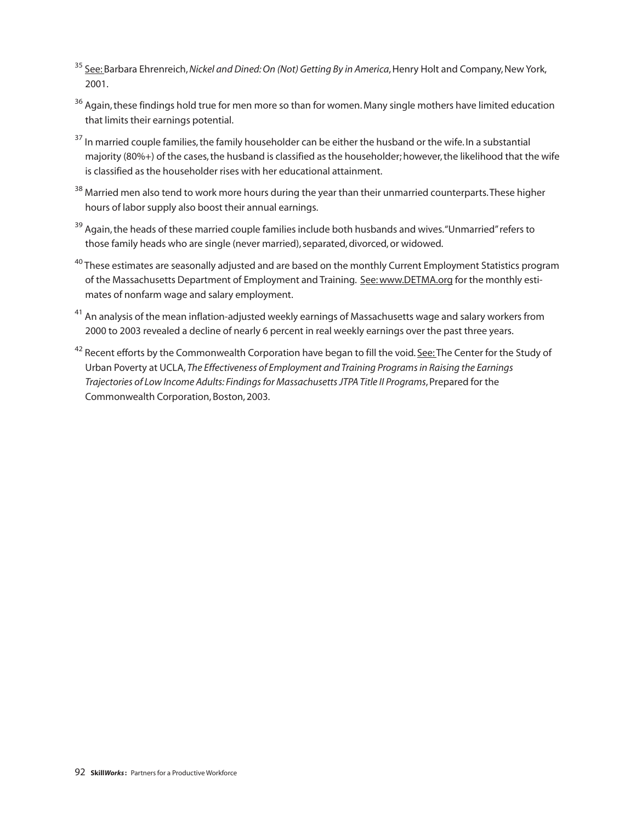- <sup>35</sup> See:Barbara Ehrenreich,*Nickel and Dined: On (Not) Getting By in America*, Henry Holt and Company, New York, 2001.
- <sup>36</sup> Again, these findings hold true for men more so than for women. Many single mothers have limited education that limits their earnings potential.
- <sup>37</sup> In married couple families, the family householder can be either the husband or the wife. In a substantial majority (80%+) of the cases, the husband is classified as the householder; however, the likelihood that the wife is classified as the householder rises with her educational attainment.
- <sup>38</sup> Married men also tend to work more hours during the year than their unmarried counterparts. These higher hours of labor supply also boost their annual earnings.
- <sup>39</sup> Again, the heads of these married couple families include both husbands and wives. "Unmarried" refers to those family heads who are single (never married), separated, divorced, or widowed.
- <sup>40</sup> These estimates are seasonally adjusted and are based on the monthly Current Employment Statistics program of the Massachusetts Department of Employment and Training. See: www.DETMA.org for the monthly estimates of nonfarm wage and salary employment.
- <sup>41</sup> An analysis of the mean inflation-adjusted weekly earnings of Massachusetts wage and salary workers from 2000 to 2003 revealed a decline of nearly 6 percent in real weekly earnings over the past three years.
- <sup>42</sup> Recent efforts by the Commonwealth Corporation have began to fill the void. See: The Center for the Study of Urban Poverty at UCLA, *The Effectiveness of Employment and Training Programs in Raising the Earnings Trajectories of Low Income Adults: Findings for Massachusetts JTPA Title II Programs*, Prepared for the Commonwealth Corporation, Boston, 2003.